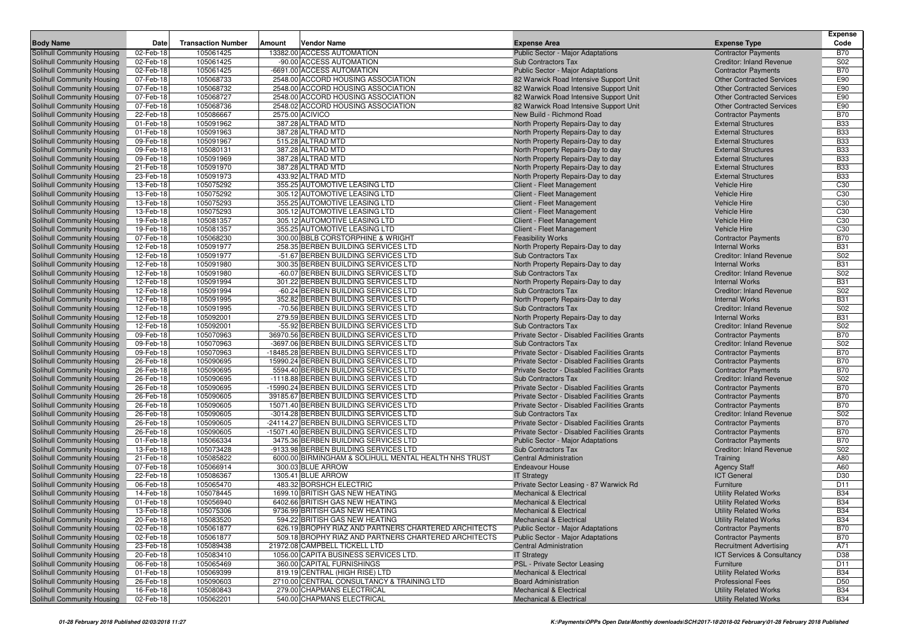|                                                          |                        |                           |        |                                                                                 |                                                                                            |                                                               | <b>Expense</b>                     |
|----------------------------------------------------------|------------------------|---------------------------|--------|---------------------------------------------------------------------------------|--------------------------------------------------------------------------------------------|---------------------------------------------------------------|------------------------------------|
| <b>Body Name</b>                                         | Date                   | <b>Transaction Number</b> | Amount | Vendor Name                                                                     | <b>Expense Area</b>                                                                        | <b>Expense Type</b>                                           | Code                               |
| Solihull Community Housing<br>Solihull Community Housing | 02-Feb-18<br>02-Feb-18 | 105061425<br>105061425    |        | 13382.00 ACCESS AUTOMATION<br>-90.00 ACCESS AUTOMATION                          | Public Sector - Major Adaptations<br><b>Sub Contractors Tax</b>                            | <b>Contractor Payments</b><br><b>Creditor: Inland Revenue</b> | <b>B70</b><br>S02                  |
| Solihull Community Housing                               | 02-Feb-18              | 105061425                 |        | -6691.00 ACCESS AUTOMATION                                                      | Public Sector - Major Adaptations                                                          | <b>Contractor Payments</b>                                    | <b>B70</b>                         |
| Solihull Community Housing                               | 07-Feb-18              | 105068733                 |        | 2548.00 ACCORD HOUSING ASSOCIATION                                              | 82 Warwick Road Intensive Support Unit                                                     | <b>Other Contracted Services</b>                              | E90                                |
| Solihull Community Housing                               | 07-Feb-18              | 105068732                 |        | 2548.00 ACCORD HOUSING ASSOCIATION                                              | 82 Warwick Road Intensive Support Unit                                                     | <b>Other Contracted Services</b>                              | E90                                |
| Solihull Community Housing                               | 07-Feb-18              | 105068727                 |        | 2548.00 ACCORD HOUSING ASSOCIATION                                              | 82 Warwick Road Intensive Support Unit                                                     | <b>Other Contracted Services</b>                              | E90                                |
| Solihull Community Housing                               | 07-Feb-18              | 105068736                 |        | 2548.02 ACCORD HOUSING ASSOCIATION                                              | 82 Warwick Road Intensive Support Unit                                                     | <b>Other Contracted Services</b>                              | E90                                |
| Solihull Community Housing                               | 22-Feb-18              | 105086667                 |        | 2575.00 ACIVICO                                                                 | New Build - Richmond Road                                                                  | <b>Contractor Payments</b>                                    | <b>B70</b>                         |
| Solihull Community Housing                               | 01-Feb-18              | 105091962                 |        | 387.28 ALTRAD MTD                                                               | North Property Repairs-Day to day                                                          | <b>External Structures</b>                                    | <b>B33</b>                         |
| Solihull Community Housing                               | 01-Feb-18              | 105091963                 |        | 387.28 ALTRAD MTD                                                               | North Property Repairs-Day to day                                                          | <b>External Structures</b>                                    | <b>B33</b>                         |
| Solihull Community Housing                               | 09-Feb-18              | 105091967                 |        | 515.28 ALTRAD MTD                                                               | North Property Repairs-Day to day                                                          | <b>External Structures</b>                                    | <b>B33</b>                         |
| Solihull Community Housing                               | 09-Feb-18              | 105080131                 |        | 387.28 ALTRAD MTD                                                               | North Property Repairs-Day to day                                                          | <b>External Structures</b>                                    | <b>B33</b>                         |
| Solihull Community Housing                               | 09-Feb-18              | 105091969                 |        | 387.28 ALTRAD MTD                                                               | North Property Repairs-Day to day                                                          | <b>External Structures</b>                                    | <b>B33</b>                         |
| Solihull Community Housing                               | 21-Feb-18              | 105091970                 |        | 387.28 ALTRAD MTD                                                               | North Property Repairs-Day to day                                                          | <b>External Structures</b>                                    | <b>B33</b>                         |
| Solihull Community Housing                               | 23-Feb-18              | 105091973                 |        | 433.92 ALTRAD MTD                                                               | North Property Repairs-Day to day                                                          | <b>External Structures</b>                                    | <b>B33</b>                         |
| Solihull Community Housing                               | 13-Feb-18              | 105075292                 |        | 355.25 AUTOMOTIVE LEASING LTD                                                   | Client - Fleet Management                                                                  | <b>Vehicle Hire</b>                                           | C30                                |
| Solihull Community Housing                               | 13-Feb-18              | 105075292                 |        | 305.12 AUTOMOTIVE LEASING LTD                                                   | Client - Fleet Management                                                                  | <b>Vehicle Hire</b>                                           | C30                                |
| Solihull Community Housing<br>Solihull Community Housing | 13-Feb-18<br>13-Feb-18 | 105075293<br>105075293    |        | 355.25 AUTOMOTIVE LEASING LTD<br>305.12 AUTOMOTIVE LEASING LTD                  | Client - Fleet Management<br>Client - Fleet Management                                     | <b>Vehicle Hire</b><br><b>Vehicle Hire</b>                    | C <sub>30</sub><br>C <sub>30</sub> |
| Solihull Community Housing                               | 19-Feb-18              | 105081357                 |        | 305.12 AUTOMOTIVE LEASING LTD                                                   | Client - Fleet Management                                                                  | <b>Vehicle Hire</b>                                           | C <sub>30</sub>                    |
| Solihull Community Housing                               | 19-Feb-18              | 105081357                 |        | 355.25 AUTOMOTIVE LEASING LTD                                                   | Client - Fleet Management                                                                  | <b>Vehicle Hire</b>                                           | C30                                |
| Solihull Community Housing                               | 07-Feb-18              | 105068230                 |        | 300.00 BBLB CORSTORPHINE & WRIGHT                                               | <b>Feasibility Works</b>                                                                   | <b>Contractor Payments</b>                                    | <b>B70</b>                         |
| Solihull Community Housing                               | 12-Feb-18              | 105091977                 |        | 258.35 BERBEN BUILDING SERVICES LTD                                             | North Property Repairs-Day to day                                                          | <b>Internal Works</b>                                         | <b>B31</b>                         |
| Solihull Community Housing                               | 12-Feb-18              | 105091977                 |        | -51.67 BERBEN BUILDING SERVICES LTD                                             | Sub Contractors Tax                                                                        | <b>Creditor: Inland Revenue</b>                               | S02                                |
| Solihull Community Housing                               | 12-Feb-18              | 105091980                 |        | 300.35 BERBEN BUILDING SERVICES LTD                                             | North Property Repairs-Day to day                                                          | <b>Internal Works</b>                                         | <b>B31</b>                         |
| Solihull Community Housing                               | 12-Feb-18              | 105091980                 |        | -60.07 BERBEN BUILDING SERVICES LTD                                             | Sub Contractors Tax                                                                        | <b>Creditor: Inland Revenue</b>                               | S <sub>02</sub>                    |
| Solihull Community Housing                               | 12-Feb-18              | 105091994                 |        | 301.22 BERBEN BUILDING SERVICES LTD                                             | North Property Repairs-Day to day                                                          | <b>Internal Works</b>                                         | <b>B31</b>                         |
| Solihull Community Housing                               | 12-Feb-18              | 105091994                 |        | -60.24 BERBEN BUILDING SERVICES LTD                                             | <b>Sub Contractors Tax</b>                                                                 | <b>Creditor: Inland Revenue</b>                               | S02                                |
| Solihull Community Housing                               | 12-Feb-18              | 105091995                 |        | 352.82 BERBEN BUILDING SERVICES LTD                                             | North Property Repairs-Day to day                                                          | <b>Internal Works</b>                                         | <b>B31</b>                         |
| Solihull Community Housing                               | 12-Feb-18              | 105091995                 |        | -70.56 BERBEN BUILDING SERVICES LTD                                             | Sub Contractors Tax                                                                        | <b>Creditor: Inland Revenue</b>                               | S02                                |
| Solihull Community Housing                               | 12-Feb-18              | 105092001                 |        | 279.59 BERBEN BUILDING SERVICES LTD                                             | North Property Repairs-Day to day                                                          | <b>Internal Works</b>                                         | <b>B31</b>                         |
| Solihull Community Housing                               | 12-Feb-18              | 105092001                 |        | -55.92 BERBEN BUILDING SERVICES LTD                                             | <b>Sub Contractors Tax</b>                                                                 | <b>Creditor: Inland Revenue</b>                               | S02                                |
| Solihull Community Housing                               | 09-Feb-18              | 105070963                 |        | 36970.56 BERBEN BUILDING SERVICES LTD                                           | Private Sector - Disabled Facilities Grants                                                | <b>Contractor Payments</b>                                    | <b>B70</b>                         |
| Solihull Community Housing                               | 09-Feb-18              | 105070963<br>105070963    |        | -3697.06 BERBEN BUILDING SERVICES LTD<br>-18485.28 BERBEN BUILDING SERVICES LTD | <b>Sub Contractors Tax</b>                                                                 | <b>Creditor: Inland Revenue</b>                               | S02<br><b>B70</b>                  |
| Solihull Community Housing<br>Solihull Community Housing | 09-Feb-18<br>26-Feb-18 | 105090695                 |        | 15990.24 BERBEN BUILDING SERVICES LTD                                           | Private Sector - Disabled Facilities Grants<br>Private Sector - Disabled Facilities Grants | <b>Contractor Payments</b><br><b>Contractor Payments</b>      | <b>B70</b>                         |
| Solihull Community Housing                               | 26-Feb-18              | 105090695                 |        | 5594.40 BERBEN BUILDING SERVICES LTD                                            | Private Sector - Disabled Facilities Grants                                                | <b>Contractor Payments</b>                                    | <b>B70</b>                         |
| Solihull Community Housing                               | 26-Feb-18              | 105090695                 |        | -1118.88 BERBEN BUILDING SERVICES LTD                                           | <b>Sub Contractors Tax</b>                                                                 | <b>Creditor: Inland Revenue</b>                               | S02                                |
| Solihull Community Housing                               | 26-Feb-18              | 105090695                 |        | -15990.24 BERBEN BUILDING SERVICES LTD                                          | Private Sector - Disabled Facilities Grants                                                | <b>Contractor Payments</b>                                    | <b>B70</b>                         |
| Solihull Community Housing                               | 26-Feb-18              | 105090605                 |        | 39185.67 BERBEN BUILDING SERVICES LTD                                           | Private Sector - Disabled Facilities Grants                                                | <b>Contractor Payments</b>                                    | <b>B70</b>                         |
| Solihull Community Housing                               | 26-Feb-18              | 105090605                 |        | 15071.40 BERBEN BUILDING SERVICES LTD                                           | Private Sector - Disabled Facilities Grants                                                | <b>Contractor Payments</b>                                    | <b>B70</b>                         |
| Solihull Community Housing                               | 26-Feb-18              | 105090605                 |        | -3014.28 BERBEN BUILDING SERVICES LTD                                           | <b>Sub Contractors Tax</b>                                                                 | <b>Creditor: Inland Revenue</b>                               | S02                                |
| Solihull Community Housing                               | 26-Feb-18              | 105090605                 |        | -24114.27 BERBEN BUILDING SERVICES LTD                                          | Private Sector - Disabled Facilities Grants                                                | <b>Contractor Payments</b>                                    | <b>B70</b>                         |
| Solihull Community Housing                               | 26-Feb-18              | 105090605                 |        | -15071.40 BERBEN BUILDING SERVICES LTD                                          | Private Sector - Disabled Facilities Grants                                                | <b>Contractor Payments</b>                                    | <b>B70</b>                         |
| Solihull Community Housing                               | 01-Feb-18              | 105066334                 |        | 3475.36 BERBEN BUILDING SERVICES LTD                                            | Public Sector - Major Adaptations                                                          | <b>Contractor Payments</b>                                    | <b>B70</b>                         |
| Solihull Community Housing                               | 13-Feb-18              | 105073428                 |        | -9133.98 BERBEN BUILDING SERVICES LTD                                           | Sub Contractors Tax                                                                        | <b>Creditor: Inland Revenue</b>                               | S02                                |
| Solihull Community Housing                               | 21-Feb-18              | 105085822                 |        | 6000.00 BIRMINGHAM & SOLIHULL MENTAL HEALTH NHS TRUST                           | <b>Central Administration</b>                                                              | Training                                                      | A80                                |
| Solihull Community Housing                               | 07-Feb-18              | 105066914                 |        | 300.03 BLUE ARROW                                                               | <b>Endeavour House</b>                                                                     | <b>Agency Staff</b>                                           | A60                                |
| Solihull Community Housing<br>Solihull Community Housing | 22-Feb-18<br>06-Feb-18 | 105086367<br>105065470    |        | 1305.41 BLUE ARROW<br>483.32 BORSHCH ELECTRIC                                   | <b>IT Strategy</b><br>Private Sector Leasing - 87 Warwick Rd                               | <b>ICT</b> General<br>Furniture                               | D30<br>D11                         |
| Solihull Community Housing                               | 14-Feb-18              | 105078445                 |        | 1699.10 BRITISH GAS NEW HEATING                                                 | <b>Mechanical &amp; Electrical</b>                                                         | <b>Utility Related Works</b>                                  | <b>B34</b>                         |
| Solihull Community Housing                               | 01-Feb-18              | 105056940                 |        | 6402.66 BRITISH GAS NEW HEATING                                                 | <b>Mechanical &amp; Electrical</b>                                                         | <b>Utility Related Works</b>                                  | <b>B34</b>                         |
| Solihull Community Housing                               | 13-Feb-18              | 105075306                 |        | 9736.99 BRITISH GAS NEW HEATING                                                 | Mechanical & Electrical                                                                    | <b>Utility Related Works</b>                                  | <b>B34</b>                         |
| <b>Solihull Community Housing</b>                        | 20-Feb-18              | 105083520                 |        | 594.22 BRITISH GAS NEW HEATING                                                  | <b>Mechanical &amp; Electrical</b>                                                         | <b>Utility Related Works</b>                                  | <b>B34</b>                         |
| Solihull Community Housing                               | 02-Feb-18              | 105061877                 |        | 626.19 BROPHY RIAZ AND PARTNERS CHARTERED ARCHITECTS                            | Public Sector - Major Adaptations                                                          | <b>Contractor Payments</b>                                    | <b>B70</b>                         |
| Solihull Community Housing                               | 02-Feb-18              | 105061877                 |        | 509.18 BROPHY RIAZ AND PARTNERS CHARTERED ARCHITECTS                            | <b>Public Sector - Major Adaptations</b>                                                   | <b>Contractor Payments</b>                                    | <b>B70</b>                         |
| Solihull Community Housing                               | 23-Feb-18              | 105089438                 |        | 21972.08 CAMPBELL TICKELL LTD                                                   | <b>Central Administration</b>                                                              | <b>Recruitment Advertising</b>                                | A71                                |
| Solihull Community Housing                               | 20-Feb-18              | 105083410                 |        | 1056.00 CAPITA BUSINESS SERVICES LTD.                                           | <b>IT Strategy</b>                                                                         | ICT Services & Consultancy                                    | D38                                |
| Solihull Community Housing                               | 06-Feb-18              | 105065469                 |        | 360.00 CAPITAL FURNISHINGS                                                      | PSL - Private Sector Leasing                                                               | Furniture                                                     | D11                                |
| Solihull Community Housing                               | 01-Feb-18              | 105069399                 |        | 819.19 CENTRAL (HIGH RISE) LTD                                                  | Mechanical & Electrical                                                                    | <b>Utility Related Works</b>                                  | <b>B34</b>                         |
| Solihull Community Housing                               | 26-Feb-18              | 105090603                 |        | 2710.00 CENTRAL CONSULTANCY & TRAINING LTD                                      | <b>Board Administration</b>                                                                | <b>Professional Fees</b>                                      | D <sub>50</sub>                    |
| Solihull Community Housing                               | 16-Feb-18              | 105080843                 |        | 279.00 CHAPMANS ELECTRICAL                                                      | <b>Mechanical &amp; Electrical</b>                                                         | <b>Utility Related Works</b>                                  | <b>B34</b>                         |
| Solihull Community Housing                               | 02-Feb-18              | 105062201                 |        | 540.00 CHAPMANS ELECTRICAL                                                      | <b>Mechanical &amp; Electrical</b>                                                         | <b>Utility Related Works</b>                                  | <b>B34</b>                         |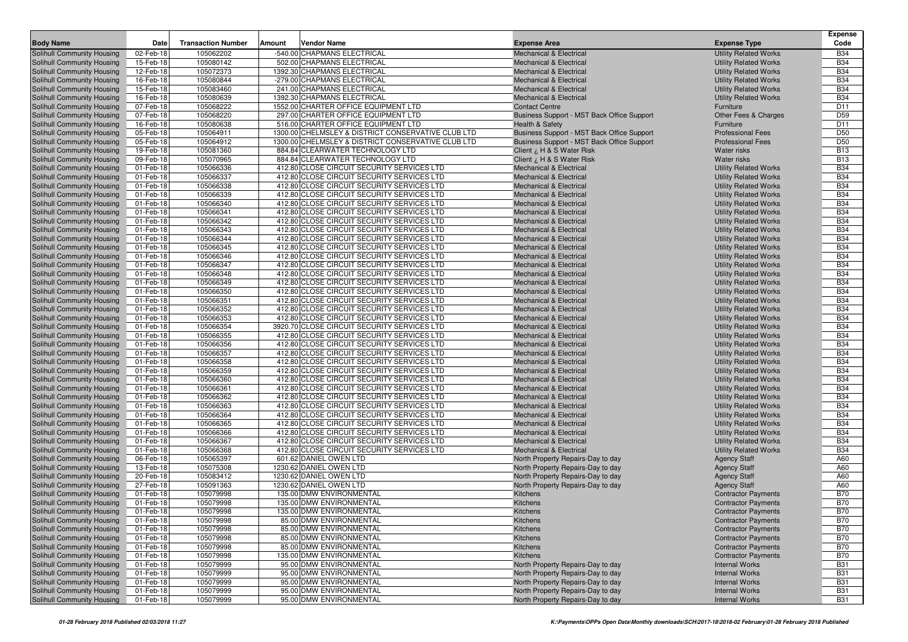|                                                          |                        |                           |        |                                                                                          |                                                                        |                                                              | Expense                            |
|----------------------------------------------------------|------------------------|---------------------------|--------|------------------------------------------------------------------------------------------|------------------------------------------------------------------------|--------------------------------------------------------------|------------------------------------|
| <b>Body Name</b>                                         | <b>Date</b>            | <b>Transaction Number</b> | Amount | Vendor Name                                                                              | <b>Expense Area</b>                                                    | <b>Expense Type</b>                                          | Code                               |
| Solihull Community Housing                               | 02-Feb-18              | 105062202                 |        | -540.00 CHAPMANS ELECTRICAL                                                              | <b>Mechanical &amp; Electrical</b>                                     | <b>Utility Related Works</b>                                 | <b>B34</b>                         |
| Solihull Community Housing                               | 15-Feb-18              | 105080142                 |        | 502.00 CHAPMANS ELECTRICAL                                                               | <b>Mechanical &amp; Electrical</b>                                     | <b>Utility Related Works</b>                                 | <b>B34</b>                         |
| Solihull Community Housing                               | 12-Feb-18              | 105072373                 |        | 1392.30 CHAPMANS ELECTRICAL                                                              | <b>Mechanical &amp; Electrical</b>                                     | <b>Utility Related Works</b>                                 | <b>B34</b>                         |
| Solihull Community Housing                               | 16-Feb-18              | 105080844                 |        | -279.00 CHAPMANS ELECTRICAL                                                              | <b>Mechanical &amp; Electrical</b>                                     | <b>Utility Related Works</b>                                 | <b>B34</b>                         |
| Solihull Community Housing                               | 15-Feb-18              | 105083460                 |        | 241.00 CHAPMANS ELECTRICAL                                                               | <b>Mechanical &amp; Electrical</b>                                     | <b>Utility Related Works</b>                                 | <b>B34</b>                         |
| Solihull Community Housing                               | 16-Feb-18              | 105080639                 |        | 1392.30 CHAPMANS ELECTRICAL                                                              | <b>Mechanical &amp; Electrical</b>                                     | <b>Utility Related Works</b>                                 | <b>B34</b>                         |
| Solihull Community Housing                               | 07-Feb-18              | 105068222                 |        | 1552.00 CHARTER OFFICE EQUIPMENT LTD                                                     | <b>Contact Centre</b>                                                  | Furniture                                                    | D11                                |
| Solihull Community Housing                               | 07-Feb-18              | 105068220                 |        | 297.00 CHARTER OFFICE EQUIPMENT LTD                                                      | Business Support - MST Back Office Support                             | Other Fees & Charges                                         | D <sub>59</sub>                    |
| Solihull Community Housing                               | 16-Feb-18              | 105080638                 |        | 516.00 CHARTER OFFICE EQUIPMENT LTD                                                      | <b>Health &amp; Safety</b>                                             | Furniture                                                    | D11                                |
| Solihull Community Housing                               | 05-Feb-18              | 105064911                 |        | 1300.00 CHELMSLEY & DISTRICT CONSERVATIVE CLUB LTD                                       | Business Support - MST Back Office Support                             | <b>Professional Fees</b>                                     | D <sub>50</sub><br>D <sub>50</sub> |
| Solihull Community Housing                               | 05-Feb-18<br>19-Feb-18 | 105064912<br>105081360    |        | 1300.00 CHELMSLEY & DISTRICT CONSERVATIVE CLUB LTD                                       | Business Support - MST Back Office Support                             | <b>Professional Fees</b>                                     | <b>B13</b>                         |
| Solihull Community Housing<br>Solihull Community Housing | 09-Feb-18              | 105070965                 |        | 884.84 CLEARWATER TECHNOLOGY LTD<br>884.84 CLEARWATER TECHNOLOGY LTD                     | Client ¿ H & S Water Risk<br>Client ¿ H & S Water Risk                 | <b>Water risks</b><br><b>Water risks</b>                     | <b>B13</b>                         |
| Solihull Community Housing                               | 01-Feb-18              | 105066336                 |        | 412.80 CLOSE CIRCUIT SECURITY SERVICES LTD                                               | <b>Mechanical &amp; Electrical</b>                                     | <b>Utility Related Works</b>                                 | <b>B34</b>                         |
| Solihull Community Housing                               | 01-Feb-18              | 105066337                 |        | 412.80 CLOSE CIRCUIT SECURITY SERVICES LTD                                               | <b>Mechanical &amp; Electrical</b>                                     | <b>Utility Related Works</b>                                 | <b>B34</b>                         |
| Solihull Community Housing                               | 01-Feb-18              | 105066338                 |        | 412.80 CLOSE CIRCUIT SECURITY SERVICES LTD                                               | <b>Mechanical &amp; Electrical</b>                                     | <b>Utility Related Works</b>                                 | <b>B34</b>                         |
| Solihull Community Housing                               | 01-Feb-18              | 105066339                 |        | 412.80 CLOSE CIRCUIT SECURITY SERVICES LTD                                               | <b>Mechanical &amp; Electrical</b>                                     | <b>Utility Related Works</b>                                 | <b>B34</b>                         |
| Solihull Community Housing                               | 01-Feb-18              | 105066340                 |        | 412.80 CLOSE CIRCUIT SECURITY SERVICES LTD                                               | <b>Mechanical &amp; Electrical</b>                                     | <b>Utility Related Works</b>                                 | <b>B34</b>                         |
| Solihull Community Housing                               | 01-Feb-18              | 105066341                 |        | 412.80 CLOSE CIRCUIT SECURITY SERVICES LTD                                               | <b>Mechanical &amp; Electrical</b>                                     | <b>Utility Related Works</b>                                 | <b>B34</b>                         |
| Solihull Community Housing                               | 01-Feb-18              | 105066342                 |        | 412.80 CLOSE CIRCUIT SECURITY SERVICES LTD                                               | <b>Mechanical &amp; Electrical</b>                                     | <b>Utility Related Works</b>                                 | <b>B34</b>                         |
| Solihull Community Housing                               | 01-Feb-18              | 105066343                 |        | 412.80 CLOSE CIRCUIT SECURITY SERVICES LTD                                               | <b>Mechanical &amp; Electrical</b>                                     | <b>Utility Related Works</b>                                 | <b>B34</b>                         |
| Solihull Community Housing                               | 01-Feb-18              | 105066344                 |        | 412.80 CLOSE CIRCUIT SECURITY SERVICES LTD                                               | <b>Mechanical &amp; Electrical</b>                                     | <b>Utility Related Works</b>                                 | <b>B34</b>                         |
| Solihull Community Housing                               | 01-Feb-18              | 105066345                 |        | 412.80 CLOSE CIRCUIT SECURITY SERVICES LTD                                               | <b>Mechanical &amp; Electrical</b>                                     | <b>Utility Related Works</b>                                 | <b>B34</b>                         |
| Solihull Community Housing                               | 01-Feb-18              | 105066346                 |        | 412.80 CLOSE CIRCUIT SECURITY SERVICES LTD                                               | <b>Mechanical &amp; Electrical</b>                                     | <b>Utility Related Works</b>                                 | <b>B34</b>                         |
| Solihull Community Housing                               | 01-Feb-18              | 105066347                 |        | 412.80 CLOSE CIRCUIT SECURITY SERVICES LTD                                               | Mechanical & Electrical                                                | <b>Utility Related Works</b>                                 | <b>B34</b>                         |
| Solihull Community Housing                               | 01-Feb-18              | 105066348                 |        | 412.80 CLOSE CIRCUIT SECURITY SERVICES LTD                                               | Mechanical & Electrical                                                | <b>Utility Related Works</b>                                 | <b>B34</b>                         |
| Solihull Community Housing                               | 01-Feb-18              | 105066349                 |        | 412.80 CLOSE CIRCUIT SECURITY SERVICES LTD                                               | Mechanical & Electrical                                                | <b>Utility Related Works</b>                                 | <b>B34</b>                         |
| Solihull Community Housing                               | 01-Feb-18              | 105066350                 |        | 412.80 CLOSE CIRCUIT SECURITY SERVICES LTD                                               | Mechanical & Electrical                                                | <b>Utility Related Works</b>                                 | <b>B34</b>                         |
| Solihull Community Housing                               | 01-Feb-18              | 105066351                 |        | 412.80 CLOSE CIRCUIT SECURITY SERVICES LTD                                               | <b>Mechanical &amp; Electrical</b>                                     | <b>Utility Related Works</b>                                 | <b>B34</b>                         |
| Solihull Community Housing                               | 01-Feb-18              | 105066352                 |        | 412.80 CLOSE CIRCUIT SECURITY SERVICES LTD                                               | Mechanical & Electrical                                                | <b>Utility Related Works</b>                                 | <b>B34</b>                         |
| Solihull Community Housing                               | 01-Feb-18              | 105066353                 |        | 412.80 CLOSE CIRCUIT SECURITY SERVICES LTD                                               | <b>Mechanical &amp; Electrical</b>                                     | <b>Utility Related Works</b>                                 | <b>B34</b>                         |
| Solihull Community Housing                               | 01-Feb-18              | 105066354                 |        | 3920.70 CLOSE CIRCUIT SECURITY SERVICES LTD                                              | <b>Mechanical &amp; Electrical</b>                                     | <b>Utility Related Works</b>                                 | <b>B34</b>                         |
| Solihull Community Housing                               | 01-Feb-18              | 105066355                 |        | 412.80 CLOSE CIRCUIT SECURITY SERVICES LTD                                               | <b>Mechanical &amp; Electrical</b>                                     | <b>Utility Related Works</b>                                 | <b>B34</b>                         |
| Solihull Community Housing                               | 01-Feb-18              | 105066356                 |        | 412.80 CLOSE CIRCUIT SECURITY SERVICES LTD                                               | <b>Mechanical &amp; Electrical</b>                                     | <b>Utility Related Works</b>                                 | <b>B34</b>                         |
| Solihull Community Housing                               | 01-Feb-18              | 105066357                 |        | 412.80 CLOSE CIRCUIT SECURITY SERVICES LTD                                               | Mechanical & Electrical                                                | <b>Utility Related Works</b>                                 | <b>B34</b>                         |
| Solihull Community Housing                               | 01-Feb-18              | 105066358                 |        | 412.80 CLOSE CIRCUIT SECURITY SERVICES LTD                                               | <b>Mechanical &amp; Electrical</b>                                     | <b>Utility Related Works</b>                                 | <b>B34</b>                         |
| Solihull Community Housing                               | 01-Feb-18              | 105066359                 |        | 412.80 CLOSE CIRCUIT SECURITY SERVICES LTD<br>412.80 CLOSE CIRCUIT SECURITY SERVICES LTD | <b>Mechanical &amp; Electrical</b>                                     | <b>Utility Related Works</b>                                 | <b>B34</b><br><b>B34</b>           |
| Solihull Community Housing<br>Solihull Community Housing | 01-Feb-18<br>01-Feb-18 | 105066360<br>105066361    |        | 412.80 CLOSE CIRCUIT SECURITY SERVICES LTD                                               | <b>Mechanical &amp; Electrical</b><br>Mechanical & Electrical          | <b>Utility Related Works</b><br><b>Utility Related Works</b> | <b>B34</b>                         |
| Solihull Community Housing                               | 01-Feb-18              | 105066362                 |        | 412.80 CLOSE CIRCUIT SECURITY SERVICES LTD                                               | <b>Mechanical &amp; Electrical</b>                                     | <b>Utility Related Works</b>                                 | <b>B34</b>                         |
| Solihull Community Housing                               | 01-Feb-18              | 105066363                 |        | 412.80 CLOSE CIRCUIT SECURITY SERVICES LTD                                               | Mechanical & Electrical                                                | <b>Utility Related Works</b>                                 | <b>B34</b>                         |
| Solihull Community Housing                               | 01-Feb-18              | 105066364                 |        | 412.80 CLOSE CIRCUIT SECURITY SERVICES LTD                                               | <b>Mechanical &amp; Electrical</b>                                     | <b>Utility Related Works</b>                                 | <b>B34</b>                         |
| Solihull Community Housing                               | 01-Feb-18              | 105066365                 |        | 412.80 CLOSE CIRCUIT SECURITY SERVICES LTD                                               | <b>Mechanical &amp; Electrical</b>                                     | <b>Utility Related Works</b>                                 | <b>B34</b>                         |
| Solihull Community Housing                               | 01-Feb-18              | 105066366                 |        | 412.80 CLOSE CIRCUIT SECURITY SERVICES LTD                                               | Mechanical & Electrical                                                | <b>Utility Related Works</b>                                 | <b>B34</b>                         |
| Solihull Community Housing                               | 01-Feb-18              | 105066367                 |        | 412.80 CLOSE CIRCUIT SECURITY SERVICES LTD                                               | <b>Mechanical &amp; Electrical</b>                                     | <b>Utility Related Works</b>                                 | <b>B34</b>                         |
| Solihull Community Housing                               | 01-Feb-18              | 105066368                 |        | 412.80 CLOSE CIRCUIT SECURITY SERVICES LTD                                               | <b>Mechanical &amp; Electrical</b>                                     | <b>Utility Related Works</b>                                 | <b>B34</b>                         |
| Solihull Community Housing                               | 06-Feb-18              | 105065397                 |        | 601.62 DANIEL OWEN LTD                                                                   | North Property Repairs-Day to day                                      | <b>Agency Staff</b>                                          | A60                                |
| Solihull Community Housing                               | 13-Feb-18              | 105075308                 |        | 1230.62 DANIEL OWEN LTD                                                                  | North Property Repairs-Day to day                                      | <b>Agency Staff</b>                                          | A60                                |
| Solihull Community Housing                               | 20-Feb-18              | 105083412                 |        | 1230.62 DANIEL OWEN LTD                                                                  | North Property Repairs-Day to day                                      | <b>Agency Staff</b>                                          | A60                                |
| Solihull Community Housing                               | 27-Feb-18              | 105091363                 |        | 1230.62 DANIEL OWEN LTD                                                                  | North Property Repairs-Day to day                                      | <b>Agency Staff</b>                                          | A60                                |
| Solihull Community Housing                               | 01-Feb-18              | 105079998                 |        | 135.00 DMW ENVIRONMENTAL                                                                 | Kitchens                                                               | <b>Contractor Payments</b>                                   | <b>B70</b>                         |
| Solihull Community Housing                               | 01-Feb-18              | 105079998                 |        | 135.00 DMW ENVIRONMENTAL                                                                 | Kitchens                                                               | <b>Contractor Payments</b>                                   | <b>B70</b>                         |
| Solihull Community Housing                               | 01-Feb-18              | 105079998                 |        | 135.00 DMW ENVIRONMENTAL                                                                 | Kitchens                                                               | <b>Contractor Payments</b>                                   | <b>B70</b>                         |
| Solihull Community Housing                               | 01-Feb-18              | 105079998                 |        | 85.00 DMW ENVIRONMENTAL                                                                  | Kitchens                                                               | <b>Contractor Payments</b>                                   | <b>B70</b>                         |
| Solihull Community Housing                               | 01-Feb-18              | 105079998                 |        | 85.00 DMW ENVIRONMENTAL                                                                  | Kitchens                                                               | <b>Contractor Payments</b>                                   | <b>B70</b>                         |
| Solihull Community Housing                               | 01-Feb-18              | 105079998                 |        | 85.00 DMW ENVIRONMENTAL                                                                  | Kitchens                                                               | <b>Contractor Payments</b>                                   | <b>B70</b>                         |
| Solihull Community Housing                               | 01-Feb-18              | 105079998                 |        | 85.00 DMW ENVIRONMENTAL                                                                  | Kitchens                                                               | <b>Contractor Payments</b>                                   | <b>B70</b>                         |
| Solihull Community Housing                               | 01-Feb-18              | 105079998                 |        | 135.00 DMW ENVIRONMENTAL                                                                 | Kitchens                                                               | <b>Contractor Payments</b>                                   | <b>B70</b>                         |
| Solihull Community Housing                               | 01-Feb-18              | 105079999                 |        | 95.00 DMW ENVIRONMENTAL                                                                  | North Property Repairs-Day to day                                      | <b>Internal Works</b>                                        | <b>B31</b>                         |
| Solihull Community Housing<br>Solihull Community Housing | 01-Feb-18              | 105079999                 |        | 95.00 DMW ENVIRONMENTAL                                                                  | North Property Repairs-Day to day                                      | <b>Internal Works</b>                                        | <b>B31</b>                         |
|                                                          | 01-Feb-18              | 105079999                 |        | 95.00 DMW ENVIRONMENTAL<br>95.00 DMW ENVIRONMENTAL                                       | North Property Repairs-Day to day                                      | <b>Internal Works</b>                                        | <b>B31</b>                         |
| Solihull Community Housing                               | 01-Feb-18              | 105079999                 |        |                                                                                          | North Property Repairs-Day to day<br>North Property Repairs-Day to day | <b>Internal Works</b>                                        | <b>B31</b>                         |
| Solihull Community Housing                               | 01-Feb-18              | 105079999                 |        | 95.00 DMW ENVIRONMENTAL                                                                  |                                                                        | <b>Internal Works</b>                                        | <b>B31</b>                         |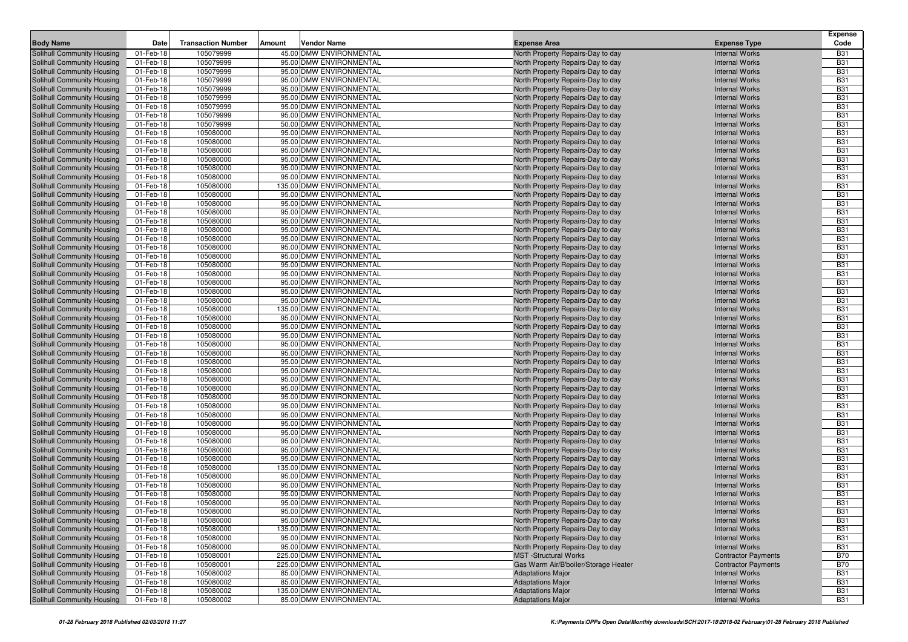|                                                          |                        |                           |        |                                                    |                                                                        |                                                | <b>Expense</b>           |
|----------------------------------------------------------|------------------------|---------------------------|--------|----------------------------------------------------|------------------------------------------------------------------------|------------------------------------------------|--------------------------|
| <b>Body Name</b>                                         | Date                   | <b>Transaction Number</b> | Amount | Vendor Name                                        | <b>Expense Area</b>                                                    | <b>Expense Type</b>                            | Code                     |
| Solihull Community Housing                               | 01-Feb-18              | 105079999                 |        | 45.00 DMW ENVIRONMENTAL                            | North Property Repairs-Day to day                                      | <b>Internal Works</b>                          | <b>B31</b>               |
| Solihull Community Housing                               | 01-Feb-18              | 105079999                 |        | 95.00 DMW ENVIRONMENTAL                            | North Property Repairs-Day to day                                      | <b>Internal Works</b>                          | <b>B31</b>               |
| Solihull Community Housing                               | 01-Feb-18              | 105079999                 |        | 95.00 DMW ENVIRONMENTAL                            | North Property Repairs-Day to day                                      | <b>Internal Works</b>                          | <b>B31</b>               |
| Solihull Community Housing                               | 01-Feb-18              | 105079999                 |        | 95.00 DMW ENVIRONMENTAL                            | North Property Repairs-Day to day                                      | <b>Internal Works</b>                          | <b>B31</b>               |
| Solihull Community Housing                               | 01-Feb-18              | 105079999                 |        | 95.00 DMW ENVIRONMENTAL                            | North Property Repairs-Day to day                                      | <b>Internal Works</b>                          | <b>B31</b>               |
| Solihull Community Housing                               | 01-Feb-18              | 105079999                 |        | 95.00 DMW ENVIRONMENTAL                            | North Property Repairs-Day to day                                      | <b>Internal Works</b>                          | <b>B31</b>               |
| Solihull Community Housing                               | 01-Feb-18              | 105079999                 |        | 95.00 DMW ENVIRONMENTAL                            | North Property Repairs-Day to day                                      | <b>Internal Works</b>                          | <b>B31</b>               |
| Solihull Community Housing                               | 01-Feb-18              | 105079999                 |        | 95.00 DMW ENVIRONMENTAL<br>50.00 DMW ENVIRONMENTAL | North Property Repairs-Day to day                                      | <b>Internal Works</b>                          | <b>B31</b><br><b>B31</b> |
| Solihull Community Housing                               | 01-Feb-18              | 105079999<br>105080000    |        | 95.00 DMW ENVIRONMENTAL                            | North Property Repairs-Day to day                                      | <b>Internal Works</b>                          | <b>B31</b>               |
| Solihull Community Housing                               | 01-Feb-18              |                           |        | 95.00 DMW ENVIRONMENTAL                            | North Property Repairs-Day to day                                      | <b>Internal Works</b>                          | <b>B31</b>               |
| Solihull Community Housing                               | 01-Feb-18              | 105080000<br>105080000    |        | 95.00 DMW ENVIRONMENTAL                            | North Property Repairs-Day to day                                      | <b>Internal Works</b><br><b>Internal Works</b> | <b>B31</b>               |
| Solihull Community Housing<br>Solihull Community Housing | 01-Feb-18<br>01-Feb-18 | 105080000                 |        | 95.00 DMW ENVIRONMENTAL                            | North Property Repairs-Day to day<br>North Property Repairs-Day to day | <b>Internal Works</b>                          | <b>B31</b>               |
| Solihull Community Housing                               | 01-Feb-18              | 105080000                 |        | 95.00 DMW ENVIRONMENTAL                            | North Property Repairs-Day to day                                      | <b>Internal Works</b>                          | <b>B31</b>               |
| Solihull Community Housing                               | 01-Feb-18              | 105080000                 |        | 95.00 DMW ENVIRONMENTAL                            | North Property Repairs-Day to day                                      | <b>Internal Works</b>                          | <b>B31</b>               |
| Solihull Community Housing                               | 01-Feb-18              | 105080000                 |        | 135.00 DMW ENVIRONMENTAL                           | North Property Repairs-Day to day                                      | <b>Internal Works</b>                          | <b>B31</b>               |
| Solihull Community Housing                               | 01-Feb-18              | 105080000                 |        | 95.00 DMW ENVIRONMENTAL                            | North Property Repairs-Day to day                                      | <b>Internal Works</b>                          | <b>B31</b>               |
| Solihull Community Housing                               | 01-Feb-18              | 105080000                 |        | 95.00 DMW ENVIRONMENTAL                            | North Property Repairs-Day to day                                      | <b>Internal Works</b>                          | <b>B31</b>               |
| Solihull Community Housing                               | 01-Feb-18              | 105080000                 |        | 95.00 DMW ENVIRONMENTAL                            | North Property Repairs-Day to day                                      | <b>Internal Works</b>                          | <b>B31</b>               |
| Solihull Community Housing                               | 01-Feb-18              | 105080000                 |        | 95.00 DMW ENVIRONMENTAL                            | North Property Repairs-Day to day                                      | <b>Internal Works</b>                          | <b>B31</b>               |
| Solihull Community Housing                               | 01-Feb-18              | 105080000                 |        | 95.00 DMW ENVIRONMENTAL                            | North Property Repairs-Day to day                                      | <b>Internal Works</b>                          | <b>B31</b>               |
| Solihull Community Housing                               | 01-Feb-18              | 105080000                 |        | 95.00 DMW ENVIRONMENTAL                            | North Property Repairs-Day to day                                      | <b>Internal Works</b>                          | <b>B31</b>               |
| Solihull Community Housing                               | 01-Feb-18              | 105080000                 |        | 95.00 DMW ENVIRONMENTAL                            | North Property Repairs-Day to day                                      | <b>Internal Works</b>                          | <b>B31</b>               |
| Solihull Community Housing                               | 01-Feb-18              | 105080000                 |        | 95.00 DMW ENVIRONMENTAL                            | North Property Repairs-Day to day                                      | <b>Internal Works</b>                          | <b>B31</b>               |
| Solihull Community Housing                               | 01-Feb-18              | 105080000                 |        | 95.00 DMW ENVIRONMENTAL                            | North Property Repairs-Day to day                                      | <b>Internal Works</b>                          | <b>B31</b>               |
| Solihull Community Housing                               | 01-Feb-18              | 105080000                 |        | 95.00 DMW ENVIRONMENTAL                            | North Property Repairs-Day to day                                      | <b>Internal Works</b>                          | <b>B31</b>               |
| Solihull Community Housing                               | 01-Feb-18              | 105080000                 |        | 95.00 DMW ENVIRONMENTAL                            | North Property Repairs-Day to day                                      | <b>Internal Works</b>                          | <b>B31</b>               |
| Solihull Community Housing                               | 01-Feb-18              | 105080000                 |        | 95.00 DMW ENVIRONMENTAL                            | North Property Repairs-Day to day                                      | <b>Internal Works</b>                          | <b>B31</b>               |
| Solihull Community Housing                               | 01-Feb-18              | 105080000                 |        | 95.00 DMW ENVIRONMENTAL                            | North Property Repairs-Day to day                                      | <b>Internal Works</b>                          | <b>B31</b>               |
| Solihull Community Housing                               | 01-Feb-18              | 105080000                 |        | 135.00 DMW ENVIRONMENTAL                           | North Property Repairs-Day to day                                      | <b>Internal Works</b>                          | <b>B31</b>               |
| Solihull Community Housing                               | 01-Feb-18              | 105080000                 |        | 95.00 DMW ENVIRONMENTAL                            | North Property Repairs-Day to day                                      | <b>Internal Works</b>                          | <b>B31</b>               |
| Solihull Community Housing                               | 01-Feb-18              | 105080000                 |        | 95.00 DMW ENVIRONMENTAL                            | North Property Repairs-Day to day                                      | <b>Internal Works</b>                          | <b>B31</b>               |
| Solihull Community Housing                               | 01-Feb-18              | 105080000                 |        | 95.00 DMW ENVIRONMENTAL                            | North Property Repairs-Day to day                                      | <b>Internal Works</b>                          | <b>B31</b>               |
| Solihull Community Housing                               | 01-Feb-18              | 105080000                 |        | 95.00 DMW ENVIRONMENTAL                            | North Property Repairs-Day to day                                      | <b>Internal Works</b>                          | <b>B31</b>               |
| Solihull Community Housing                               | 01-Feb-18              | 105080000                 |        | 95.00 DMW ENVIRONMENTAL                            | North Property Repairs-Day to day                                      | <b>Internal Works</b>                          | <b>B31</b>               |
| Solihull Community Housing                               | 01-Feb-18              | 105080000                 |        | 95.00 DMW ENVIRONMENTAL                            | North Property Repairs-Day to day                                      | <b>Internal Works</b>                          | <b>B31</b>               |
| Solihull Community Housing                               | 01-Feb-18              | 105080000                 |        | 95.00 DMW ENVIRONMENTAL                            | North Property Repairs-Day to day                                      | <b>Internal Works</b>                          | <b>B31</b>               |
| Solihull Community Housing                               | 01-Feb-18              | 105080000                 |        | 95.00 DMW ENVIRONMENTAL                            | North Property Repairs-Day to day                                      | <b>Internal Works</b>                          | <b>B31</b>               |
| Solihull Community Housing                               | 01-Feb-18              | 105080000                 |        | 95.00 DMW ENVIRONMENTAL                            | North Property Repairs-Day to day                                      | <b>Internal Works</b>                          | <b>B31</b>               |
| Solihull Community Housing                               | 01-Feb-18              | 105080000<br>105080000    |        | 95.00 DMW ENVIRONMENTAL<br>95.00 DMW ENVIRONMENTAL | North Property Repairs-Day to day                                      | <b>Internal Works</b>                          | <b>B31</b><br><b>B31</b> |
| Solihull Community Housing                               | 01-Feb-18<br>01-Feb-18 |                           |        | 95.00 DMW ENVIRONMENTAL                            | North Property Repairs-Day to day                                      | <b>Internal Works</b><br><b>Internal Works</b> | <b>B31</b>               |
| Solihull Community Housing<br>Solihull Community Housing | 01-Feb-18              | 105080000<br>105080000    |        | 95.00 DMW ENVIRONMENTAL                            | North Property Repairs-Day to day<br>North Property Repairs-Day to day | <b>Internal Works</b>                          | <b>B31</b>               |
| Solihull Community Housing                               | 01-Feb-18              | 105080000                 |        | 95.00 DMW ENVIRONMENTAL                            | North Property Repairs-Day to day                                      | <b>Internal Works</b>                          | <b>B31</b>               |
| Solihull Community Housing                               | 01-Feb-18              | 105080000                 |        | 95.00 DMW ENVIRONMENTAL                            | North Property Repairs-Day to day                                      | <b>Internal Works</b>                          | <b>B31</b>               |
| Solihull Community Housing                               | 01-Feb-18              | 105080000                 |        | 95.00 DMW ENVIRONMENTAL                            | North Property Repairs-Day to day                                      | <b>Internal Works</b>                          | <b>B31</b>               |
| Solihull Community Housing                               | 01-Feb-18              | 105080000                 |        | 95.00 DMW ENVIRONMENTAL                            | North Property Repairs-Day to day                                      | <b>Internal Works</b>                          | <b>B31</b>               |
| Solihull Community Housing                               | 01-Feb-18              | 105080000                 |        | 135.00 DMW ENVIRONMENTAL                           | North Property Repairs-Day to day                                      | <b>Internal Works</b>                          | <b>B31</b>               |
| Solihull Community Housing                               | 01-Feb-18              | 105080000                 |        | 95.00 DMW ENVIRONMENTAL                            | North Property Repairs-Day to day                                      | <b>Internal Works</b>                          | <b>B31</b>               |
| <b>Solihull Community Housing</b>                        | 01-Feb-18              | 105080000                 |        | 95.00 DMW ENVIRONMENTAL                            | North Property Repairs-Day to day                                      | <b>Internal Works</b>                          | <b>B31</b>               |
| Solihull Community Housing                               | 01-Feb-18              | 105080000                 |        | 95.00 DMW ENVIRONMENTAL                            | North Property Repairs-Day to day                                      | <b>Internal Works</b>                          | <b>B31</b>               |
| Solihull Community Housing                               | 01-Feb-18              | 105080000                 |        | 95.00 DMW ENVIRONMENTAL                            | North Property Repairs-Day to day                                      | <b>Internal Works</b>                          | <b>B31</b>               |
| Solihull Community Housing                               | 01-Feb-18              | 105080000                 |        | 95.00 DMW ENVIRONMENTAL                            | North Property Repairs-Day to day                                      | <b>Internal Works</b>                          | <b>B31</b>               |
| Solihull Community Housing                               | 01-Feb-18              | 105080000                 |        | 95.00 DMW ENVIRONMENTAL                            | North Property Repairs-Day to day                                      | <b>Internal Works</b>                          | <b>B31</b>               |
| Solihull Community Housing                               | 01-Feb-18              | 105080000                 |        | 135.00 DMW ENVIRONMENTAL                           | North Property Repairs-Day to day                                      | <b>Internal Works</b>                          | <b>B31</b>               |
| Solihull Community Housing                               | 01-Feb-18              | 105080000                 |        | 95.00 DMW ENVIRONMENTAL                            | North Property Repairs-Day to day                                      | <b>Internal Works</b>                          | <b>B31</b>               |
| Solihull Community Housing                               | 01-Feb-18              | 105080000                 |        | 95.00 DMW ENVIRONMENTAL                            | North Property Repairs-Day to day                                      | <b>Internal Works</b>                          | <b>B31</b>               |
| Solihull Community Housing                               | 01-Feb-18              | 105080001                 |        | 225.00 DMW ENVIRONMENTAL                           | <b>MST</b> -Structural Works                                           | <b>Contractor Payments</b>                     | <b>B70</b>               |
| Solihull Community Housing                               | 01-Feb-18              | 105080001                 |        | 225.00 DMW ENVIRONMENTAL                           | Gas Warm Air/B'boiler/Storage Heater                                   | <b>Contractor Payments</b>                     | <b>B70</b>               |
| Solihull Community Housing                               | 01-Feb-18              | 105080002                 |        | 85.00 DMW ENVIRONMENTAL                            | <b>Adaptations Major</b>                                               | <b>Internal Works</b>                          | <b>B31</b>               |
| Solihull Community Housing                               | 01-Feb-18              | 105080002                 |        | 85.00 DMW ENVIRONMENTAL                            | <b>Adaptations Major</b>                                               | <b>Internal Works</b>                          | <b>B31</b>               |
| Solihull Community Housing                               | 01-Feb-18              | 105080002                 |        | 135.00 DMW ENVIRONMENTAL                           | <b>Adaptations Major</b>                                               | <b>Internal Works</b>                          | <b>B31</b>               |
| Solihull Community Housing                               | 01-Feb-18              | 105080002                 |        | 85.00 DMW ENVIRONMENTAL                            | <b>Adaptations Major</b>                                               | <b>Internal Works</b>                          | <b>B31</b>               |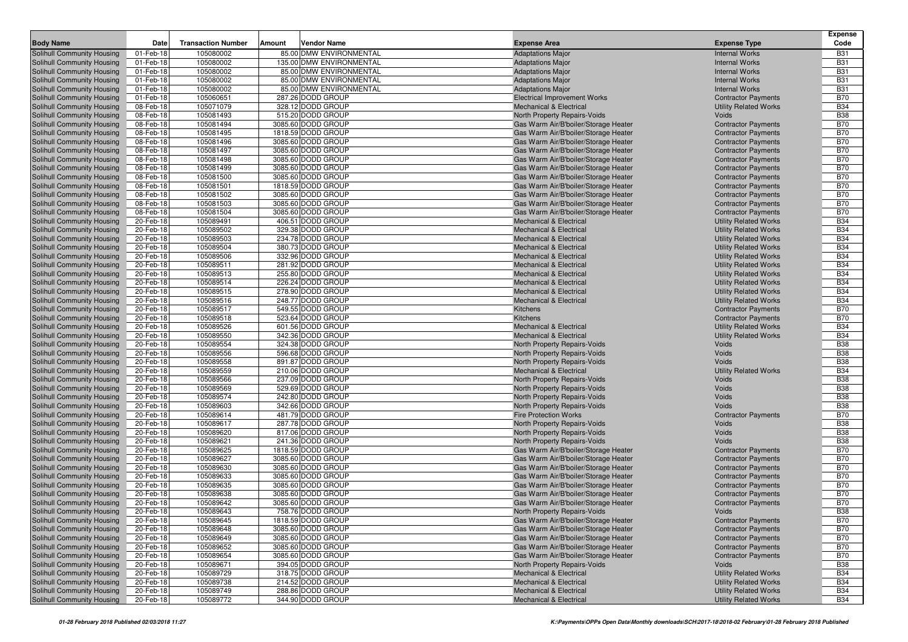|                                                          |                        |                           |                                          |                                                                              |                                                            | <b>Expense</b>           |
|----------------------------------------------------------|------------------------|---------------------------|------------------------------------------|------------------------------------------------------------------------------|------------------------------------------------------------|--------------------------|
| <b>Body Name</b>                                         | Date                   | <b>Transaction Number</b> | Amount<br>Vendor Name                    | <b>Expense Area</b>                                                          | <b>Expense Type</b>                                        | Code                     |
| Solihull Community Housing                               | 01-Feb-18              | 105080002                 | 85.00 DMW ENVIRONMENTAL                  | <b>Adaptations Major</b>                                                     | <b>Internal Works</b>                                      | <b>B31</b>               |
| Solihull Community Housing                               | 01-Feb-18              | 105080002                 | 135.00 DMW ENVIRONMENTAL                 | <b>Adaptations Major</b>                                                     | <b>Internal Works</b>                                      | <b>B31</b>               |
| Solihull Community Housing                               | 01-Feb-18              | 105080002                 | 85.00 DMW ENVIRONMENTAL                  | <b>Adaptations Major</b>                                                     | <b>Internal Works</b>                                      | <b>B31</b>               |
| Solihull Community Housing                               | 01-Feb-18              | 105080002                 | 85.00 DMW ENVIRONMENTAL                  | <b>Adaptations Major</b>                                                     | <b>Internal Works</b>                                      | <b>B31</b>               |
| Solihull Community Housing                               | 01-Feb-18              | 105080002                 | 85.00 DMW ENVIRONMENTAL                  | <b>Adaptations Major</b>                                                     | <b>Internal Works</b>                                      | <b>B31</b>               |
| Solihull Community Housing                               | 01-Feb-18              | 105060651                 | 287.26 DODD GROUP                        | <b>Electrical Improvement Works</b>                                          | <b>Contractor Payments</b>                                 | <b>B70</b>               |
| Solihull Community Housing                               | 08-Feb-18              | 105071079                 | 328.12 DODD GROUP                        | <b>Mechanical &amp; Electrical</b>                                           | <b>Utility Related Works</b>                               | <b>B34</b>               |
| Solihull Community Housing                               | 08-Feb-18              | 105081493                 | 515.20 DODD GROUP                        | North Property Repairs-Voids                                                 | Voids                                                      | <b>B38</b>               |
| Solihull Community Housing                               | 08-Feb-18              | 105081494                 | 3085.60 DODD GROUP                       | Gas Warm Air/B'boiler/Storage Heater                                         | <b>Contractor Payments</b>                                 | <b>B70</b><br><b>B70</b> |
| Solihull Community Housing<br>Solihull Community Housing | 08-Feb-18<br>08-Feb-18 | 105081495<br>105081496    | 1818.59 DODD GROUP<br>3085.60 DODD GROUP | Gas Warm Air/B'boiler/Storage Heater<br>Gas Warm Air/B'boiler/Storage Heater | <b>Contractor Payments</b><br><b>Contractor Payments</b>   | <b>B70</b>               |
| Solihull Community Housing                               | 08-Feb-18              | 105081497                 | 3085.60 DODD GROUP                       | Gas Warm Air/B'boiler/Storage Heater                                         | <b>Contractor Payments</b>                                 | <b>B70</b>               |
| Solihull Community Housing                               | 08-Feb-18              | 105081498                 | 3085.60 DODD GROUP                       | Gas Warm Air/B'boiler/Storage Heater                                         | <b>Contractor Payments</b>                                 | <b>B70</b>               |
| Solihull Community Housing                               | 08-Feb-18              | 105081499                 | 3085.60 DODD GROUP                       | Gas Warm Air/B'boiler/Storage Heater                                         | <b>Contractor Payments</b>                                 | <b>B70</b>               |
| Solihull Community Housing                               | 08-Feb-18              | 105081500                 | 3085.60 DODD GROUP                       | Gas Warm Air/B'boiler/Storage Heater                                         | <b>Contractor Payments</b>                                 | <b>B70</b>               |
| Solihull Community Housing                               | 08-Feb-18              | 105081501                 | 1818.59 DODD GROUP                       | Gas Warm Air/B'boiler/Storage Heater                                         | <b>Contractor Payments</b>                                 | <b>B70</b>               |
| Solihull Community Housing                               | 08-Feb-18              | 105081502                 | 3085.60 DODD GROUP                       | Gas Warm Air/B'boiler/Storage Heater                                         | <b>Contractor Payments</b>                                 | <b>B70</b>               |
| Solihull Community Housing                               | 08-Feb-18              | 105081503                 | 3085.60 DODD GROUP                       | Gas Warm Air/B'boiler/Storage Heater                                         | <b>Contractor Payments</b>                                 | <b>B70</b>               |
| Solihull Community Housing                               | 08-Feb-18              | 105081504                 | 3085.60 DODD GROUP                       | Gas Warm Air/B'boiler/Storage Heater                                         | <b>Contractor Payments</b>                                 | <b>B70</b>               |
| Solihull Community Housing                               | 20-Feb-18              | 105089491                 | 406.51 DODD GROUP                        | <b>Mechanical &amp; Electrical</b>                                           | <b>Utility Related Works</b>                               | <b>B34</b>               |
| Solihull Community Housing                               | 20-Feb-18              | 105089502                 | 329.38 DODD GROUP                        | <b>Mechanical &amp; Electrical</b>                                           | <b>Utility Related Works</b>                               | <b>B34</b>               |
| Solihull Community Housing                               | 20-Feb-18              | 105089503                 | 234.78 DODD GROUP                        | <b>Mechanical &amp; Electrical</b>                                           | <b>Utility Related Works</b>                               | <b>B34</b>               |
| Solihull Community Housing                               | 20-Feb-18              | 105089504                 | 380.73 DODD GROUP                        | <b>Mechanical &amp; Electrical</b>                                           | <b>Utility Related Works</b>                               | <b>B34</b>               |
| Solihull Community Housing                               | 20-Feb-18              | 105089506                 | 332.96 DODD GROUP                        | <b>Mechanical &amp; Electrical</b>                                           | <b>Utility Related Works</b>                               | <b>B34</b>               |
| Solihull Community Housing                               | 20-Feb-18              | 105089511                 | 281.92 DODD GROUP                        | <b>Mechanical &amp; Electrical</b>                                           | <b>Utility Related Works</b>                               | <b>B34</b>               |
| Solihull Community Housing                               | 20-Feb-18              | 105089513                 | 255.80 DODD GROUP                        | <b>Mechanical &amp; Electrical</b>                                           | <b>Utility Related Works</b>                               | <b>B34</b>               |
| Solihull Community Housing                               | 20-Feb-18              | 105089514                 | 226.24 DODD GROUP                        | <b>Mechanical &amp; Electrical</b>                                           | <b>Utility Related Works</b>                               | <b>B34</b>               |
| Solihull Community Housing                               | 20-Feb-18              | 105089515                 | 278.90 DODD GROUP<br>248.77 DODD GROUP   | <b>Mechanical &amp; Electrical</b>                                           | <b>Utility Related Works</b>                               | <b>B34</b><br><b>B34</b> |
| Solihull Community Housing<br>Solihull Community Housing | 20-Feb-18<br>20-Feb-18 | 105089516<br>105089517    | 549.55 DODD GROUP                        | <b>Mechanical &amp; Electrical</b><br>Kitchens                               | <b>Utility Related Works</b><br><b>Contractor Payments</b> | <b>B70</b>               |
| Solihull Community Housing                               | 20-Feb-18              | 105089518                 | 523.64 DODD GROUP                        | Kitchens                                                                     | <b>Contractor Payments</b>                                 | <b>B70</b>               |
| Solihull Community Housing                               | 20-Feb-18              | 105089526                 | 601.56 DODD GROUP                        | <b>Mechanical &amp; Electrical</b>                                           | <b>Utility Related Works</b>                               | <b>B34</b>               |
| Solihull Community Housing                               | 20-Feb-18              | 105089550                 | 342.36 DODD GROUP                        | <b>Mechanical &amp; Electrical</b>                                           | <b>Utility Related Works</b>                               | <b>B34</b>               |
| Solihull Community Housing                               | 20-Feb-18              | 105089554                 | 324.38 DODD GROUP                        | North Property Repairs-Voids                                                 | Voids                                                      | <b>B38</b>               |
| Solihull Community Housing                               | 20-Feb-18              | 105089556                 | 596.68 DODD GROUP                        | North Property Repairs-Voids                                                 | Voids                                                      | <b>B38</b>               |
| Solihull Community Housing                               | 20-Feb-18              | 105089558                 | 891.87 DODD GROUP                        | North Property Repairs-Voids                                                 | Voids                                                      | <b>B38</b>               |
| Solihull Community Housing                               | 20-Feb-18              | 105089559                 | 210.06 DODD GROUP                        | <b>Mechanical &amp; Electrical</b>                                           | <b>Utility Related Works</b>                               | <b>B34</b>               |
| Solihull Community Housing                               | 20-Feb-18              | 105089566                 | 237.09 DODD GROUP                        | North Property Repairs-Voids                                                 | Voids                                                      | <b>B38</b>               |
| Solihull Community Housing                               | 20-Feb-18              | 105089569                 | 529.69 DODD GROUP                        | North Property Repairs-Voids                                                 | Voids                                                      | <b>B38</b>               |
| Solihull Community Housing                               | 20-Feb-18              | 105089574                 | 242.80 DODD GROUP                        | North Property Repairs-Voids                                                 | Voids                                                      | <b>B38</b>               |
| Solihull Community Housing                               | 20-Feb-18              | 105089603                 | 342.66 DODD GROUP                        | North Property Repairs-Voids                                                 | Voids                                                      | <b>B38</b>               |
| <b>Solihull Community Housing</b>                        | 20-Feb-18              | 105089614                 | 481.79 DODD GROUP                        | <b>Fire Protection Works</b>                                                 | <b>Contractor Payments</b>                                 | <b>B70</b>               |
| Solihull Community Housing                               | 20-Feb-18              | 105089617                 | 287.78 DODD GROUP                        | North Property Repairs-Voids                                                 | Voids                                                      | <b>B38</b><br><b>B38</b> |
| Solihull Community Housing<br>Solihull Community Housing | 20-Feb-18<br>20-Feb-18 | 105089620<br>105089621    | 817.06 DODD GROUP<br>241.36 DODD GROUP   | North Property Repairs-Voids<br>North Property Repairs-Voids                 | Voids<br>Voids                                             | <b>B38</b>               |
| Solihull Community Housing                               | 20-Feb-18              | 105089625                 | 1818.59 DODD GROUP                       | Gas Warm Air/B'boiler/Storage Heater                                         | <b>Contractor Payments</b>                                 | <b>B70</b>               |
| Solihull Community Housing                               | 20-Feb-18              | 105089627                 | 3085.60 DODD GROUP                       | Gas Warm Air/B'boiler/Storage Heater                                         | <b>Contractor Payments</b>                                 | <b>B70</b>               |
| Solihull Community Housing                               | 20-Feb-18              | 105089630                 | 3085.60 DODD GROUP                       | Gas Warm Air/B'boiler/Storage Heater                                         | <b>Contractor Payments</b>                                 | <b>B70</b>               |
| Solihull Community Housing                               | 20-Feb-18              | 105089633                 | 3085.60 DODD GROUP                       | Gas Warm Air/B'boiler/Storage Heater                                         | <b>Contractor Payments</b>                                 | <b>B70</b>               |
| Solihull Community Housing                               | 20-Feb-18              | 105089635                 | 3085.60 DODD GROUP                       | Gas Warm Air/B'boiler/Storage Heater                                         | <b>Contractor Payments</b>                                 | <b>B70</b>               |
| Solihull Community Housing                               | 20-Feb-18              | 105089638                 | 3085.60 DODD GROUP                       | Gas Warm Air/B'boiler/Storage Heater                                         | <b>Contractor Payments</b>                                 | <b>B70</b>               |
| Solihull Community Housing                               | 20-Feb-18              | 105089642                 | 3085.60 DODD GROUP                       | Gas Warm Air/B'boiler/Storage Heater                                         | <b>Contractor Payments</b>                                 | <b>B70</b>               |
| Solihull Community Housing                               | 20-Feb-18              | 105089643                 | 758.76 DODD GROUP                        | North Property Repairs-Voids                                                 | Voids                                                      | <b>B38</b>               |
| Solihull Community Housing                               | 20-Feb-18              | 105089645                 | 1818.59 DODD GROUP                       | Gas Warm Air/B'boiler/Storage Heater                                         | <b>Contractor Payments</b>                                 | <b>B70</b>               |
| Solihull Community Housing                               | 20-Feb-18              | 105089648                 | 3085.60 DODD GROUP                       | Gas Warm Air/B'boiler/Storage Heater                                         | <b>Contractor Payments</b>                                 | <b>B70</b>               |
| Solihull Community Housing                               | 20-Feb-18              | 105089649                 | 3085.60 DODD GROUP                       | Gas Warm Air/B'boiler/Storage Heater                                         | <b>Contractor Payments</b>                                 | <b>B70</b>               |
| Solihull Community Housing                               | 20-Feb-18              | 105089652                 | 3085.60 DODD GROUP                       | Gas Warm Air/B'boiler/Storage Heater                                         | <b>Contractor Payments</b>                                 | <b>B70</b>               |
| Solihull Community Housing                               | 20-Feb-18              | 105089654                 | 3085.60 DODD GROUP                       | Gas Warm Air/B'boiler/Storage Heater                                         | <b>Contractor Payments</b>                                 | <b>B70</b>               |
| Solihull Community Housing                               | 20-Feb-18              | 105089671                 | 394.05 DODD GROUP                        | North Property Repairs-Voids                                                 | Voids                                                      | <b>B38</b>               |
| Solihull Community Housing                               | 20-Feb-18              | 105089729                 | 318.75 DODD GROUP                        | Mechanical & Electrical                                                      | <b>Utility Related Works</b>                               | <b>B34</b>               |
| Solihull Community Housing                               | 20-Feb-18<br>20-Feb-18 | 105089738                 | 214.52 DODD GROUP                        | <b>Mechanical &amp; Electrical</b><br><b>Mechanical &amp; Electrical</b>     | <b>Utility Related Works</b>                               | <b>B34</b>               |
| Solihull Community Housing<br>Solihull Community Housing |                        | 105089749                 | 288.86 DODD GROUP<br>344.90 DODD GROUP   |                                                                              | <b>Utility Related Works</b>                               | <b>B34</b><br><b>B34</b> |
|                                                          | 20-Feb-18              | 105089772                 |                                          | Mechanical & Electrical                                                      | <b>Utility Related Works</b>                               |                          |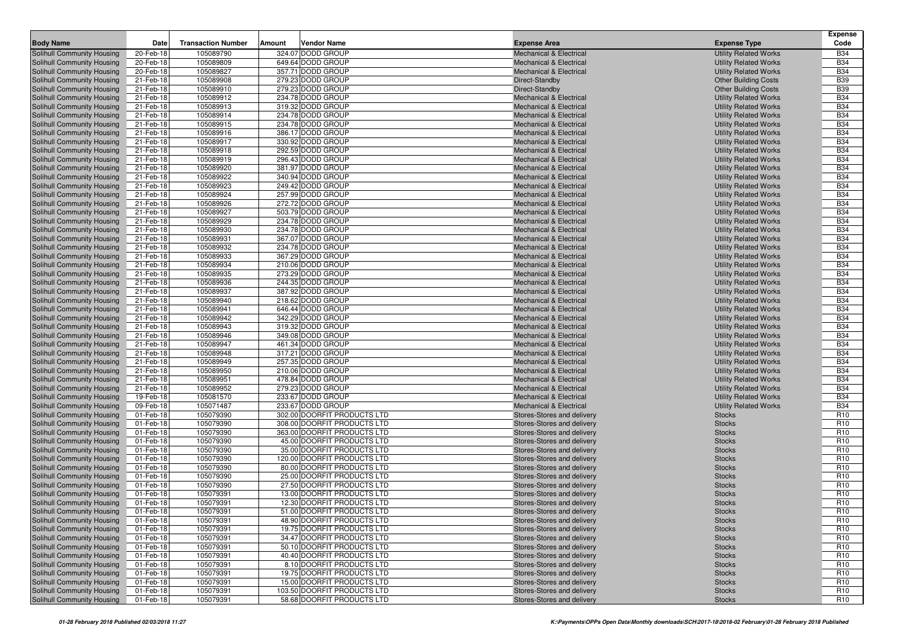|                                                          |                        |                           |        |                                                          |                                                                          |                                                              | Expense                            |
|----------------------------------------------------------|------------------------|---------------------------|--------|----------------------------------------------------------|--------------------------------------------------------------------------|--------------------------------------------------------------|------------------------------------|
| <b>Body Name</b>                                         | Date                   | <b>Transaction Number</b> | Amount | <b>Vendor Name</b>                                       | <b>Expense Area</b>                                                      | <b>Expense Type</b>                                          | Code                               |
| Solihull Community Housing                               | 20-Feb-18              | 105089790                 |        | 324.07 DODD GROUP                                        | <b>Mechanical &amp; Electrical</b>                                       | <b>Utility Related Works</b>                                 | <b>B34</b>                         |
| Solihull Community Housing                               | 20-Feb-18              | 105089809                 |        | 649.64 DODD GROUP                                        | <b>Mechanical &amp; Electrical</b>                                       | <b>Utility Related Works</b>                                 | <b>B34</b>                         |
| Solihull Community Housing                               | 20-Feb-18              | 105089827                 |        | 357.71 DODD GROUP                                        | <b>Mechanical &amp; Electrical</b>                                       | <b>Utility Related Works</b>                                 | <b>B34</b>                         |
| Solihull Community Housing                               | 21-Feb-18              | 105089908                 |        | 279.23 DODD GROUP                                        | Direct-Standby                                                           | <b>Other Building Costs</b>                                  | <b>B39</b>                         |
| Solihull Community Housing                               | 21-Feb-18              | 105089910                 |        | 279.23 DODD GROUP                                        | Direct-Standby                                                           | <b>Other Building Costs</b>                                  | <b>B39</b>                         |
| Solihull Community Housing                               | 21-Feb-18              | 105089912                 |        | 234.78 DODD GROUP                                        | <b>Mechanical &amp; Electrical</b>                                       | <b>Utility Related Works</b>                                 | <b>B34</b>                         |
| Solihull Community Housing                               | 21-Feb-18              | 105089913                 |        | 319.32 DODD GROUP                                        | <b>Mechanical &amp; Electrical</b>                                       | <b>Utility Related Works</b>                                 | <b>B34</b>                         |
| Solihull Community Housing                               | 21-Feb-18              | 105089914                 |        | 234.78 DODD GROUP                                        | <b>Mechanical &amp; Electrical</b>                                       | <b>Utility Related Works</b>                                 | <b>B34</b>                         |
| Solihull Community Housing                               | 21-Feb-18              | 105089915                 |        | 234.78 DODD GROUP                                        | <b>Mechanical &amp; Electrical</b>                                       | <b>Utility Related Works</b>                                 | <b>B34</b>                         |
| Solihull Community Housing                               | 21-Feb-18              | 105089916                 |        | 386.17 DODD GROUP                                        | <b>Mechanical &amp; Electrical</b>                                       | <b>Utility Related Works</b>                                 | <b>B34</b>                         |
| Solihull Community Housing                               | 21-Feb-18              | 105089917                 |        | 330.92 DODD GROUP                                        | <b>Mechanical &amp; Electrical</b>                                       | <b>Utility Related Works</b>                                 | <b>B34</b>                         |
| Solihull Community Housing                               | 21-Feb-18              | 105089918                 |        | 292.59 DODD GROUP                                        | <b>Mechanical &amp; Electrical</b>                                       | <b>Utility Related Works</b>                                 | <b>B34</b>                         |
| Solihull Community Housing                               | 21-Feb-18              | 105089919                 |        | 296.43 DODD GROUP                                        | <b>Mechanical &amp; Electrical</b>                                       | <b>Utility Related Works</b>                                 | <b>B34</b>                         |
| Solihull Community Housing                               | 21-Feb-18              | 105089920                 |        | 381.97 DODD GROUP                                        | <b>Mechanical &amp; Electrical</b>                                       | <b>Utility Related Works</b>                                 | <b>B34</b>                         |
| Solihull Community Housing                               | 21-Feb-18              | 105089922                 |        | 340.94 DODD GROUP                                        | <b>Mechanical &amp; Electrical</b>                                       | <b>Utility Related Works</b>                                 | <b>B34</b>                         |
| Solihull Community Housing                               | 21-Feb-18              | 105089923                 |        | 249.42 DODD GROUP                                        | <b>Mechanical &amp; Electrical</b>                                       | <b>Utility Related Works</b>                                 | <b>B34</b>                         |
| Solihull Community Housing                               | 21-Feb-18              | 105089924                 |        | 257.99 DODD GROUP                                        | <b>Mechanical &amp; Electrical</b>                                       | <b>Utility Related Works</b>                                 | <b>B34</b>                         |
| Solihull Community Housing                               | 21-Feb-18              | 105089926                 |        | 272.72 DODD GROUP                                        | <b>Mechanical &amp; Electrical</b>                                       | <b>Utility Related Works</b>                                 | <b>B34</b>                         |
| Solihull Community Housing                               | 21-Feb-18              | 105089927                 |        | 503.79 DODD GROUP                                        | <b>Mechanical &amp; Electrical</b>                                       | <b>Utility Related Works</b>                                 | <b>B34</b>                         |
| Solihull Community Housing                               | 21-Feb-18              | 105089929                 |        | 234.78 DODD GROUP                                        | <b>Mechanical &amp; Electrical</b>                                       | <b>Utility Related Works</b>                                 | <b>B34</b>                         |
| Solihull Community Housing                               | 21-Feb-18              | 105089930                 |        | 234.78 DODD GROUP                                        | <b>Mechanical &amp; Electrical</b>                                       | <b>Utility Related Works</b>                                 | <b>B34</b>                         |
| Solihull Community Housing                               | 21-Feb-18              | 105089931                 |        | 367.07 DODD GROUP                                        | <b>Mechanical &amp; Electrical</b>                                       | <b>Utility Related Works</b>                                 | <b>B34</b>                         |
| Solihull Community Housing                               | 21-Feb-18              | 105089932                 |        | 234.78 DODD GROUP                                        | <b>Mechanical &amp; Electrical</b>                                       | <b>Utility Related Works</b>                                 | <b>B34</b>                         |
| Solihull Community Housing                               | 21-Feb-18              | 105089933                 |        | 367.29 DODD GROUP                                        | <b>Mechanical &amp; Electrical</b>                                       | <b>Utility Related Works</b>                                 | <b>B34</b>                         |
| Solihull Community Housing<br>Solihull Community Housing | 21-Feb-18              | 105089934<br>105089935    |        | 210.06 DODD GROUP<br>273.29 DODD GROUP                   | <b>Mechanical &amp; Electrical</b>                                       | <b>Utility Related Works</b>                                 | <b>B34</b><br><b>B34</b>           |
| Solihull Community Housing                               | 21-Feb-18<br>21-Feb-18 | 105089936                 |        | 244.35 DODD GROUP                                        | <b>Mechanical &amp; Electrical</b><br><b>Mechanical &amp; Electrical</b> | <b>Utility Related Works</b><br><b>Utility Related Works</b> | <b>B34</b>                         |
| Solihull Community Housing                               | 21-Feb-18              | 105089937                 |        | 387.92 DODD GROUP                                        | <b>Mechanical &amp; Electrical</b>                                       | <b>Utility Related Works</b>                                 | <b>B34</b>                         |
| Solihull Community Housing                               | 21-Feb-18              | 105089940                 |        | 218.62 DODD GROUP                                        | <b>Mechanical &amp; Electrical</b>                                       | <b>Utility Related Works</b>                                 | <b>B34</b>                         |
| Solihull Community Housing                               | 21-Feb-18              | 105089941                 |        | 646.44 DODD GROUP                                        | <b>Mechanical &amp; Electrical</b>                                       | <b>Utility Related Works</b>                                 | <b>B34</b>                         |
| Solihull Community Housing                               | 21-Feb-18              | 105089942                 |        | 342.29 DODD GROUP                                        | <b>Mechanical &amp; Electrical</b>                                       | <b>Utility Related Works</b>                                 | <b>B34</b>                         |
| Solihull Community Housing                               | 21-Feb-18              | 105089943                 |        | 319.32 DODD GROUP                                        | <b>Mechanical &amp; Electrical</b>                                       | <b>Utility Related Works</b>                                 | <b>B34</b>                         |
| Solihull Community Housing                               | 21-Feb-18              | 105089946                 |        | 349.08 DODD GROUP                                        | <b>Mechanical &amp; Electrical</b>                                       | <b>Utility Related Works</b>                                 | <b>B34</b>                         |
| Solihull Community Housing                               | 21-Feb-18              | 105089947                 |        | 461.34 DODD GROUP                                        | <b>Mechanical &amp; Electrical</b>                                       | <b>Utility Related Works</b>                                 | <b>B34</b>                         |
| Solihull Community Housing                               | 21-Feb-18              | 105089948                 |        | 317.21 DODD GROUP                                        | <b>Mechanical &amp; Electrical</b>                                       | <b>Utility Related Works</b>                                 | <b>B34</b>                         |
| Solihull Community Housing                               | 21-Feb-18              | 105089949                 |        | 257.35 DODD GROUP                                        | <b>Mechanical &amp; Electrical</b>                                       | <b>Utility Related Works</b>                                 | <b>B34</b>                         |
| Solihull Community Housing                               | 21-Feb-18              | 105089950                 |        | 210.06 DODD GROUP                                        | <b>Mechanical &amp; Electrical</b>                                       | <b>Utility Related Works</b>                                 | <b>B34</b>                         |
| Solihull Community Housing                               | 21-Feb-18              | 105089951                 |        | 478.84 DODD GROUP                                        | <b>Mechanical &amp; Electrical</b>                                       | <b>Utility Related Works</b>                                 | <b>B34</b>                         |
| Solihull Community Housing                               | 21-Feb-18              | 105089952                 |        | 279.23 DODD GROUP                                        | <b>Mechanical &amp; Electrical</b>                                       | <b>Utility Related Works</b>                                 | <b>B34</b>                         |
| Solihull Community Housing                               | 19-Feb-18              | 105081570                 |        | 233.67 DODD GROUP                                        | <b>Mechanical &amp; Electrical</b>                                       | <b>Utility Related Works</b>                                 | <b>B34</b>                         |
| Solihull Community Housing                               | 09-Feb-18              | 105071487                 |        | 233.67 DODD GROUP                                        | <b>Mechanical &amp; Electrical</b>                                       | <b>Utility Related Works</b>                                 | <b>B34</b>                         |
| Solihull Community Housing                               | 01-Feb-18              | 105079390                 |        | 302.00 DOORFIT PRODUCTS LTD                              | Stores-Stores and delivery                                               | <b>Stocks</b>                                                | R <sub>10</sub>                    |
| Solihull Community Housing                               | 01-Feb-18              | 105079390                 |        | 308.00 DOORFIT PRODUCTS LTD                              | Stores-Stores and delivery                                               | <b>Stocks</b>                                                | R <sub>10</sub>                    |
| Solihull Community Housing                               | 01-Feb-18              | 105079390                 |        | 363.00 DOORFIT PRODUCTS LTD                              | Stores-Stores and delivery                                               | <b>Stocks</b>                                                | R <sub>10</sub>                    |
| Solihull Community Housing                               | 01-Feb-18              | 105079390                 |        | 45.00 DOORFIT PRODUCTS LTD                               | Stores-Stores and delivery                                               | <b>Stocks</b>                                                | R <sub>10</sub>                    |
| Solihull Community Housing                               | 01-Feb-18              | 105079390                 |        | 35.00 DOORFIT PRODUCTS LTD                               | Stores-Stores and delivery                                               | <b>Stocks</b>                                                | R <sub>10</sub>                    |
| Solihull Community Housing                               | 01-Feb-18              | 105079390                 |        | 120.00 DOORFIT PRODUCTS LTD                              | Stores-Stores and delivery                                               | <b>Stocks</b>                                                | R <sub>10</sub>                    |
| Solihull Community Housing                               | 01-Feb-18              | 105079390                 |        | 80.00 DOORFIT PRODUCTS LTD                               | Stores-Stores and delivery                                               | <b>Stocks</b>                                                | R <sub>10</sub>                    |
| Solihull Community Housing                               | 01-Feb-18              | 105079390                 |        | 25.00 DOORFIT PRODUCTS LTD<br>27.50 DOORFIT PRODUCTS LTD | Stores-Stores and delivery                                               | <b>Stocks</b>                                                | R <sub>10</sub>                    |
| Solihull Community Housing<br>Solihull Community Housing | 01-Feb-18<br>01-Feb-18 | 105079390<br>105079391    |        | 13.00 DOORFIT PRODUCTS LTD                               | Stores-Stores and delivery<br>Stores-Stores and delivery                 | <b>Stocks</b><br><b>Stocks</b>                               | R <sub>10</sub><br>R <sub>10</sub> |
| Solihull Community Housing                               | 01-Feb-18              | 105079391                 |        | 12.30 DOORFIT PRODUCTS LTD                               | Stores-Stores and delivery                                               | <b>Stocks</b>                                                | R <sub>10</sub>                    |
| <b>Solihull Community Housing</b>                        | 01-Feb-18              | 105079391                 |        | 51.00 DOORFIT PRODUCTS LTD                               | Stores-Stores and delivery                                               | <b>Stocks</b>                                                | R <sub>10</sub>                    |
|                                                          | 01-Feb-18              | 105079391                 |        | 48.90 DOORFIT PRODUCTS LTD                               | Stores-Stores and delivery                                               | <b>Stocks</b>                                                | R <sub>10</sub>                    |
| Solihull Community Housing<br>Solihull Community Housing | 01-Feb-18              | 105079391                 |        | 19.75 DOORFIT PRODUCTS LTD                               | Stores-Stores and delivery                                               | <b>Stocks</b>                                                | R <sub>10</sub>                    |
| Solihull Community Housing                               | 01-Feb-18              | 105079391                 |        | 34.47 DOORFIT PRODUCTS LTD                               | Stores-Stores and delivery                                               | <b>Stocks</b>                                                | R <sub>10</sub>                    |
| Solihull Community Housing                               | 01-Feb-18              | 105079391                 |        | 50.10 DOORFIT PRODUCTS LTD                               | Stores-Stores and delivery                                               | <b>Stocks</b>                                                | R <sub>10</sub>                    |
| Solihull Community Housing                               | 01-Feb-18              | 105079391                 |        | 40.40 DOORFIT PRODUCTS LTD                               | Stores-Stores and delivery                                               | <b>Stocks</b>                                                | R <sub>10</sub>                    |
| Solihull Community Housing                               | 01-Feb-18              | 105079391                 |        | 8.10 DOORFIT PRODUCTS LTD                                | Stores-Stores and delivery                                               | <b>Stocks</b>                                                | R <sub>10</sub>                    |
| Solihull Community Housing                               | 01-Feb-18              | 105079391                 |        | 19.75 DOORFIT PRODUCTS LTD                               | Stores-Stores and delivery                                               | <b>Stocks</b>                                                | R <sub>10</sub>                    |
| Solihull Community Housing                               | 01-Feb-18              | 105079391                 |        | 15.00 DOORFIT PRODUCTS LTD                               | Stores-Stores and delivery                                               | <b>Stocks</b>                                                | R <sub>10</sub>                    |
| Solihull Community Housing                               | 01-Feb-18              | 105079391                 |        | 103.50 DOORFIT PRODUCTS LTD                              | Stores-Stores and delivery                                               | <b>Stocks</b>                                                | R <sub>10</sub>                    |
| Solihull Community Housing                               | 01-Feb-18              | 105079391                 |        | 58.68 DOORFIT PRODUCTS LTD                               | Stores-Stores and delivery                                               | <b>Stocks</b>                                                | R <sub>10</sub>                    |
|                                                          |                        |                           |        |                                                          |                                                                          |                                                              |                                    |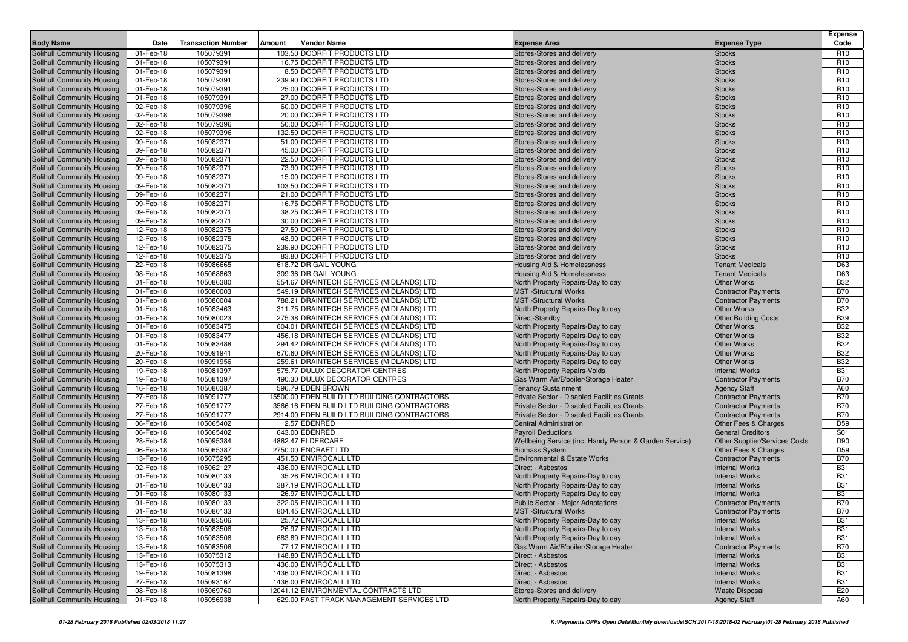|                                                          |              |                           |        |                                              |                                                          |                               | <b>Expense</b>                     |
|----------------------------------------------------------|--------------|---------------------------|--------|----------------------------------------------|----------------------------------------------------------|-------------------------------|------------------------------------|
| <b>Body Name</b>                                         | Date         | <b>Transaction Number</b> | Amount | <b>Vendor Name</b>                           | <b>Expense Area</b>                                      | <b>Expense Type</b>           | Code                               |
| Solihull Community Housing                               | 01-Feb-18    | 105079391                 |        | 103.50 DOORFIT PRODUCTS LTD                  | Stores-Stores and delivery                               | <b>Stocks</b>                 | R <sub>10</sub>                    |
| Solihull Community Housing                               | 01-Feb-18    | 105079391                 |        | 16.75 DOORFIT PRODUCTS LTD                   | Stores-Stores and delivery                               | <b>Stocks</b>                 | R <sub>10</sub>                    |
| Solihull Community Housing                               | 01-Feb-18    | 105079391                 |        | 8.50 DOORFIT PRODUCTS LTD                    | Stores-Stores and delivery                               | <b>Stocks</b>                 | R <sub>10</sub>                    |
| Solihull Community Housing                               | 01-Feb-18    | 105079391                 |        | 239.90 DOORFIT PRODUCTS LTD                  | Stores-Stores and delivery                               | <b>Stocks</b>                 | R <sub>10</sub>                    |
| Solihull Community Housing                               | 01-Feb-18    | 105079391                 |        | 25.00 DOORFIT PRODUCTS LTD                   | Stores-Stores and delivery                               | <b>Stocks</b>                 | R <sub>10</sub>                    |
| Solihull Community Housing                               | 01-Feb-18    | 105079391                 |        | 27.00 DOORFIT PRODUCTS LTD                   | Stores-Stores and delivery                               | <b>Stocks</b>                 | R <sub>10</sub>                    |
| Solihull Community Housing                               | 02-Feb-18    | 105079396                 |        | 60.00 DOORFIT PRODUCTS LTD                   | Stores-Stores and delivery                               | <b>Stocks</b>                 | R <sub>10</sub>                    |
| Solihull Community Housing                               | 02-Feb-18    | 105079396                 |        | 20.00 DOORFIT PRODUCTS LTD                   | Stores-Stores and delivery                               | <b>Stocks</b>                 | R <sub>10</sub>                    |
| Solihull Community Housing                               | 02-Feb-18    | 105079396                 |        | 50.00 DOORFIT PRODUCTS LTD                   | Stores-Stores and delivery                               | <b>Stocks</b>                 | R <sub>10</sub>                    |
| Solihull Community Housing                               | 02-Feb-18    | 105079396                 |        | 132.50 DOORFIT PRODUCTS LTD                  | Stores-Stores and delivery                               | <b>Stocks</b>                 | R <sub>10</sub>                    |
| Solihull Community Housing                               | 09-Feb-18    | 105082371                 |        | 51.00 DOORFIT PRODUCTS LTD                   | Stores-Stores and delivery                               | <b>Stocks</b>                 | R <sub>10</sub>                    |
| Solihull Community Housing                               | 09-Feb-18    | 105082371                 |        | 45.00 DOORFIT PRODUCTS LTD                   |                                                          | <b>Stocks</b>                 | R <sub>10</sub>                    |
|                                                          | 09-Feb-18    | 105082371                 |        | 22.50 DOORFIT PRODUCTS LTD                   | Stores-Stores and delivery<br>Stores-Stores and delivery | <b>Stocks</b>                 | R <sub>10</sub>                    |
| Solihull Community Housing<br>Solihull Community Housing | 09-Feb-18    | 105082371                 |        | 73.90 DOORFIT PRODUCTS LTD                   |                                                          | <b>Stocks</b>                 | R <sub>10</sub>                    |
|                                                          |              |                           |        |                                              | Stores-Stores and delivery                               |                               | R <sub>10</sub>                    |
| Solihull Community Housing                               | 09-Feb-18    | 105082371                 |        | 15.00 DOORFIT PRODUCTS LTD                   | Stores-Stores and delivery<br>Stores-Stores and delivery | <b>Stocks</b>                 |                                    |
| Solihull Community Housing                               | 09-Feb-18    | 105082371                 |        | 103.50 DOORFIT PRODUCTS LTD                  |                                                          | <b>Stocks</b>                 | R <sub>10</sub><br>R <sub>10</sub> |
| Solihull Community Housing                               | 09-Feb-18    | 105082371                 |        | 21.00 DOORFIT PRODUCTS LTD                   | Stores-Stores and delivery                               | <b>Stocks</b>                 |                                    |
| Solihull Community Housing                               | 09-Feb-18    | 105082371                 |        | 16.75 DOORFIT PRODUCTS LTD                   | Stores-Stores and delivery                               | <b>Stocks</b>                 | R <sub>10</sub>                    |
| Solihull Community Housing                               | 09-Feb-18    | 105082371                 |        | 38.25 DOORFIT PRODUCTS LTD                   | Stores-Stores and delivery                               | <b>Stocks</b>                 | R <sub>10</sub>                    |
| Solihull Community Housing                               | 09-Feb-18    | 105082371                 |        | 30.00 DOORFIT PRODUCTS LTD                   | Stores-Stores and delivery                               | <b>Stocks</b>                 | R <sub>10</sub>                    |
| Solihull Community Housing                               | 12-Feb-18    | 105082375                 |        | 27.50 DOORFIT PRODUCTS LTD                   | Stores-Stores and delivery                               | <b>Stocks</b>                 | R <sub>10</sub>                    |
| Solihull Community Housing                               | 12-Feb-18    | 105082375                 |        | 48.90 DOORFIT PRODUCTS LTD                   | Stores-Stores and delivery                               | <b>Stocks</b>                 | R <sub>10</sub>                    |
| Solihull Community Housing                               | 12-Feb-18    | 105082375                 |        | 239.90 DOORFIT PRODUCTS LTD                  | Stores-Stores and delivery                               | <b>Stocks</b>                 | R <sub>10</sub>                    |
| Solihull Community Housing                               | 12-Feb-18    | 105082375                 |        | 83.80 DOORFIT PRODUCTS LTD                   | Stores-Stores and delivery                               | <b>Stocks</b>                 | R <sub>10</sub>                    |
| Solihull Community Housing                               | 22-Feb-18    | 105086665                 |        | 618.72 DR GAIL YOUNG                         | <b>Housing Aid &amp; Homelessness</b>                    | <b>Tenant Medicals</b>        | D63                                |
| Solihull Community Housing                               | 08-Feb-18    | 105068863                 |        | 309.36 DR GAIL YOUNG                         | Housing Aid & Homelessness                               | <b>Tenant Medicals</b>        | D63                                |
| Solihull Community Housing                               | 01-Feb-18    | 105086380                 |        | 554.67 DRAINTECH SERVICES (MIDLANDS) LTD     | North Property Repairs-Day to day                        | <b>Other Works</b>            | <b>B32</b>                         |
| Solihull Community Housing                               | 01-Feb-18    | 105080003                 |        | 549.19 DRAINTECH SERVICES (MIDLANDS) LTD     | <b>MST</b> -Structural Works                             | <b>Contractor Payments</b>    | <b>B70</b>                         |
| Solihull Community Housing                               | 01-Feb-18    | 105080004                 |        | 788.21 DRAINTECH SERVICES (MIDLANDS) LTD     | <b>MST</b> -Structural Works                             | <b>Contractor Payments</b>    | <b>B70</b>                         |
| Solihull Community Housing                               | 01-Feb-18    | 105083463                 |        | 311.75 DRAINTECH SERVICES (MIDLANDS) LTD     | North Property Repairs-Day to day                        | Other Works                   | <b>B32</b>                         |
| Solihull Community Housing                               | 01-Feb-18    | 105080023                 |        | 275.38 DRAINTECH SERVICES (MIDLANDS) LTD     | Direct-Standby                                           | <b>Other Building Costs</b>   | <b>B39</b>                         |
| Solihull Community Housing                               | 01-Feb-18    | 105083475                 |        | 604.01 DRAINTECH SERVICES (MIDLANDS) LTD     | North Property Repairs-Day to day                        | Other Works                   | <b>B32</b>                         |
| Solihull Community Housing                               | 01-Feb-18    | 105083477                 |        | 456.18 DRAINTECH SERVICES (MIDLANDS) LTD     | North Property Repairs-Day to day                        | <b>Other Works</b>            | <b>B32</b>                         |
| Solihull Community Housing                               | 01-Feb-18    | 105083488                 |        | 294.42 DRAINTECH SERVICES (MIDLANDS) LTD     | North Property Repairs-Day to day                        | <b>Other Works</b>            | <b>B32</b>                         |
| Solihull Community Housing                               | 20-Feb-18    | 105091941                 |        | 670.60 DRAINTECH SERVICES (MIDLANDS) LTD     | North Property Repairs-Day to day                        | <b>Other Works</b>            | <b>B32</b>                         |
| Solihull Community Housing                               | 20-Feb-18    | 105091956                 |        | 259.61 DRAINTECH SERVICES (MIDLANDS) LTD     | North Property Repairs-Day to day                        | <b>Other Works</b>            | <b>B32</b>                         |
| Solihull Community Housing                               | 19-Feb-18    | 105081397                 |        | 575.77 DULUX DECORATOR CENTRES               | North Property Repairs-Voids                             | <b>Internal Works</b>         | <b>B31</b>                         |
| Solihull Community Housing                               | 19-Feb-18    | 105081397                 |        | 490.30 DULUX DECORATOR CENTRES               | Gas Warm Air/B'boiler/Storage Heater                     | <b>Contractor Payments</b>    | <b>B70</b>                         |
| Solihull Community Housing                               | 16-Feb-18    | 105080387                 |        | 596.79 EDEN BROWN                            | <b>Tenancy Sustainment</b>                               | <b>Agency Staff</b>           | A60                                |
| Solihull Community Housing                               | 27-Feb-18    | 105091777                 |        | 15500.00 EDEN BUILD LTD BUILDING CONTRACTORS | Private Sector - Disabled Facilities Grants              | <b>Contractor Payments</b>    | <b>B70</b>                         |
| Solihull Community Housing                               | 27-Feb-18    | 105091777                 |        | 3566.16 EDEN BUILD LTD BUILDING CONTRACTORS  | Private Sector - Disabled Facilities Grants              | <b>Contractor Payments</b>    | <b>B70</b>                         |
| Solihull Community Housing                               | 27-Feb-18    | 105091777                 |        | 2914.00 EDEN BUILD LTD BUILDING CONTRACTORS  | Private Sector - Disabled Facilities Grants              | <b>Contractor Payments</b>    | <b>B70</b>                         |
| Solihull Community Housing                               | 06-Feb-18    | 105065402                 |        | 2.57 EDENRED                                 | <b>Central Administration</b>                            | Other Fees & Charges          | D <sub>59</sub>                    |
| Solihull Community Housing                               | 06-Feb-18    | 105065402                 |        | 643.00 EDENRED                               | <b>Payroll Deductions</b>                                | <b>General Creditors</b>      | S01                                |
| Solihull Community Housing                               | 28-Feb-18    | 105095384                 |        | 4862.47 ELDERCARE                            | Wellbeing Service (inc. Handy Person & Garden Service)   | Other Supplier/Services Costs | D90                                |
| Solihull Community Housing                               | 06-Feb-18    | 105065387                 |        | 2750.00 ENCRAFT LTD                          | <b>Biomass System</b>                                    | Other Fees & Charges          | D <sub>59</sub>                    |
| Solihull Community Housing                               | 13-Feb-18    | 105075295                 |        | 451.50 ENVIROCALL LTD                        | Environmental & Estate Works                             | <b>Contractor Payments</b>    | <b>B70</b>                         |
| Solihull Community Housing                               | 02-Feb-18    | 105062127                 |        | 1436.00 ENVIROCALL LTD                       | <b>Direct - Asbestos</b>                                 | <b>Internal Works</b>         | <b>B31</b>                         |
| Solihull Community Housing                               | 01-Feb-18    | 105080133                 |        | 35.26 ENVIROCALL LTD                         | North Property Repairs-Day to day                        | <b>Internal Works</b>         | <b>B31</b>                         |
| Solihull Community Housing                               | 01-Feb-18    | 105080133                 |        | 387.19 ENVIROCALL LTD                        | North Property Repairs-Day to day                        | <b>Internal Works</b>         | <b>B31</b>                         |
| Solihull Community Housing                               | 01-Feb-18    | 105080133                 |        | 26.97 ENVIROCALL LTD                         | North Property Repairs-Day to day                        | <b>Internal Works</b>         | <b>B31</b>                         |
| Solihull Community Housing                               | 01-Feb-18    | 105080133                 |        | 322.05 ENVIROCALL LTD                        | Public Sector - Major Adaptations                        | <b>Contractor Payments</b>    | <b>B70</b>                         |
| <b>Solihull Community Housing</b>                        | 01-Feb-18    | 105080133                 |        | 804.45 ENVIROCALL LTD                        | <b>MST</b> -Structural Works                             | <b>Contractor Payments</b>    | <b>B70</b>                         |
| Solihull Community Housing                               | 13-Feb-18    | 105083506                 |        | 25.72 ENVIROCALL LTD                         | North Property Repairs-Day to day                        | <b>Internal Works</b>         | <b>B31</b>                         |
| Solihull Community Housing                               | 13-Feb-18    | 105083506                 |        | 26.97 ENVIROCALL LTD                         | North Property Repairs-Day to day                        | <b>Internal Works</b>         | <b>B31</b>                         |
| Solihull Community Housing                               | 13-Feb-18    | 105083506                 |        | 683.89 ENVIROCALL LTD                        | North Property Repairs-Day to day                        | <b>Internal Works</b>         | <b>B31</b>                         |
| Solihull Community Housing                               | 13-Feb-18    | 105083506                 |        | 77.17 ENVIROCALL LTD                         | Gas Warm Air/B'boiler/Storage Heater                     | <b>Contractor Payments</b>    | <b>B70</b>                         |
| Solihull Community Housing                               | 13-Feb-18    | 105075312                 |        | 1148.80 ENVIROCALL LTD                       | Direct - Asbestos                                        | <b>Internal Works</b>         | <b>B31</b>                         |
| Solihull Community Housing                               | 13-Feb-18    | 105075313                 |        | 1436.00 ENVIROCALL LTD                       | Direct - Asbestos                                        | <b>Internal Works</b>         | <b>B31</b>                         |
| Solihull Community Housing                               | 19-Feb-18    | 105081398                 |        | 1436.00 ENVIROCALL LTD                       | Direct - Asbestos                                        | <b>Internal Works</b>         | <b>B31</b>                         |
| Solihull Community Housing                               | 27-Feb-18    | 105093167                 |        | 1436.00 ENVIROCALL LTD                       | Direct - Asbestos                                        | <b>Internal Works</b>         | <b>B31</b>                         |
| Solihull Community Housing                               | 08-Feb-18    | 105069760                 |        | 12041.12 ENVIRONMENTAL CONTRACTS LTD         | Stores-Stores and delivery                               | <b>Waste Disposal</b>         | E20                                |
| Solihull Community Housing                               | $01$ -Feb-18 | 105056938                 |        | 629.00 FAST TRACK MANAGEMENT SERVICES LTD    | North Property Repairs-Day to day                        | <b>Agency Staff</b>           | A60                                |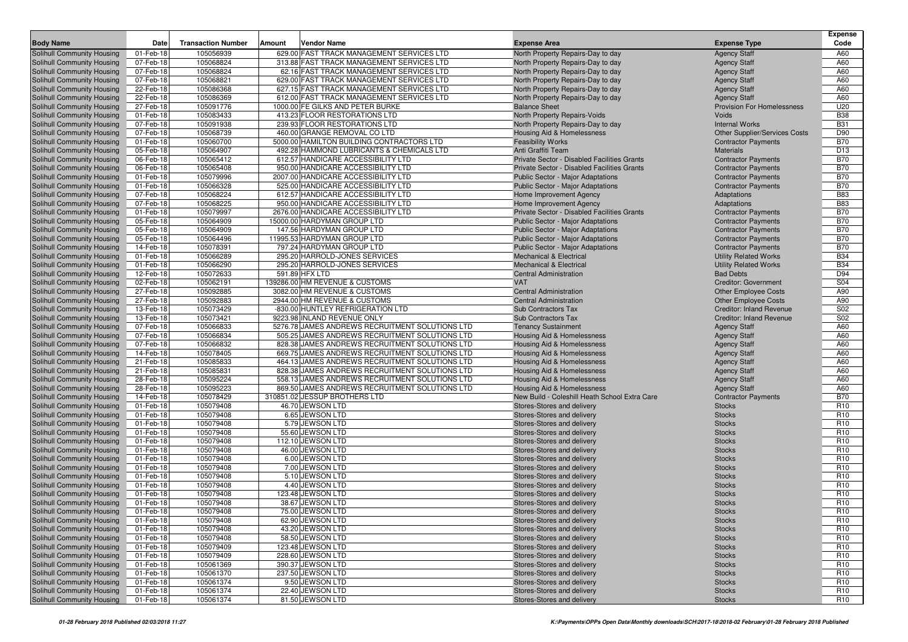| <b>Body Name</b>                                         | Date                   | <b>Transaction Number</b> | Vendor Name<br>Amount                                                                            | <b>Expense Area</b>                                          | <b>Expense Type</b>                        | <b>Expense</b><br>Code             |
|----------------------------------------------------------|------------------------|---------------------------|--------------------------------------------------------------------------------------------------|--------------------------------------------------------------|--------------------------------------------|------------------------------------|
| Solihull Community Housing                               | 01-Feb-18              | 105056939                 | 629.00 FAST TRACK MANAGEMENT SERVICES LTD                                                        | North Property Repairs-Day to day                            | <b>Agency Staff</b>                        | A60                                |
| Solihull Community Housing                               | 07-Feb-18              | 105068824                 | 313.88 FAST TRACK MANAGEMENT SERVICES LTD                                                        | North Property Repairs-Day to day                            | <b>Agency Staff</b>                        | A60                                |
| Solihull Community Housing                               | 07-Feb-18              | 105068824                 | 62.16 FAST TRACK MANAGEMENT SERVICES LTD                                                         | North Property Repairs-Day to day                            | <b>Agency Staff</b>                        | A60                                |
| Solihull Community Housing                               | 07-Feb-18              | 105068821                 | 629.00 FAST TRACK MANAGEMENT SERVICES LTD                                                        | North Property Repairs-Day to day                            | <b>Agency Staff</b>                        | A60                                |
| Solihull Community Housing                               | 22-Feb-18              | 105086368                 | 627.15 FAST TRACK MANAGEMENT SERVICES LTD                                                        | North Property Repairs-Day to day                            | <b>Agency Staff</b>                        | A60                                |
| Solihull Community Housing                               | 22-Feb-18              | 105086369                 | 612.00 FAST TRACK MANAGEMENT SERVICES LTD                                                        | North Property Repairs-Day to day                            | <b>Agency Staff</b>                        | A60                                |
| Solihull Community Housing                               | 27-Feb-18              | 105091776                 | 1000.00 FE GILKS AND PETER BURKE                                                                 | <b>Balance Sheet</b>                                         | <b>Provision For Homelessness</b>          | U20                                |
| Solihull Community Housing                               | 01-Feb-18              | 105083433                 | 413.23 FLOOR RESTORATIONS LTD                                                                    | North Property Repairs-Voids                                 | Voids                                      | <b>B38</b>                         |
| Solihull Community Housing                               | 07-Feb-18              | 105091938                 | 239.93 FLOOR RESTORATIONS LTD                                                                    | North Property Repairs-Day to day                            | <b>Internal Works</b>                      | <b>B31</b>                         |
| Solihull Community Housing                               | 07-Feb-18              | 105068739                 | 460.00 GRANGE REMOVAL CO LTD                                                                     | Housing Aid & Homelessness                                   | <b>Other Supplier/Services Costs</b>       | D90                                |
| Solihull Community Housing                               | 01-Feb-18              | 105060700                 | 5000.00 HAMILTON BUILDING CONTRACTORS LTD                                                        | <b>Feasibility Works</b>                                     | <b>Contractor Payments</b>                 | <b>B70</b>                         |
| Solihull Community Housing                               | 05-Feb-18              | 105064907                 | 492.28 HAMMOND LUBRICANTS & CHEMICALS LTD                                                        | Anti Graffiti Team                                           | <b>Materials</b>                           | D <sub>13</sub>                    |
| Solihull Community Housing                               | 06-Feb-18              | 105065412                 | 612.57 HANDICARE ACCESSIBILITY LTD                                                               | Private Sector - Disabled Facilities Grants                  | <b>Contractor Payments</b>                 | <b>B70</b>                         |
| Solihull Community Housing                               | 06-Feb-18              | 105065408                 | 950.00 HANDICARE ACCESSIBILITY LTD                                                               | Private Sector - Disabled Facilities Grants                  | <b>Contractor Payments</b>                 | <b>B70</b>                         |
| Solihull Community Housing                               | 01-Feb-18              | 105079996                 | 2007.00 HANDICARE ACCESSIBILITY LTD                                                              | Public Sector - Major Adaptations                            | <b>Contractor Payments</b>                 | <b>B70</b><br><b>B70</b>           |
| Solihull Community Housing<br>Solihull Community Housing | 01-Feb-18<br>07-Feb-18 | 105066328<br>105068224    | 525.00 HANDICARE ACCESSIBILITY LTD<br>612.57 HANDICARE ACCESSIBILITY LTD                         | Public Sector - Major Adaptations<br>Home Improvement Agency | <b>Contractor Payments</b><br>Adaptations  | <b>B83</b>                         |
| Solihull Community Housing                               | 07-Feb-18              | 105068225                 | 950.00 HANDICARE ACCESSIBILITY LTD                                                               | Home Improvement Agency                                      | Adaptations                                | <b>B83</b>                         |
| Solihull Community Housing                               | 01-Feb-18              | 105079997                 | 2676.00 HANDICARE ACCESSIBILITY LTD                                                              | Private Sector - Disabled Facilities Grants                  | <b>Contractor Payments</b>                 | <b>B70</b>                         |
| Solihull Community Housing                               | 05-Feb-18              | 105064909                 | 15000.00 HARDYMAN GROUP LTD                                                                      | Public Sector - Major Adaptations                            | <b>Contractor Payments</b>                 | <b>B70</b>                         |
| Solihull Community Housing                               | 05-Feb-18              | 105064909                 | 147.56 HARDYMAN GROUP LTD                                                                        | Public Sector - Major Adaptations                            | <b>Contractor Payments</b>                 | <b>B70</b>                         |
| Solihull Community Housing                               | 05-Feb-18              | 105064496                 | 11995.53 HARDYMAN GROUP LTD                                                                      | <b>Public Sector - Major Adaptations</b>                     | <b>Contractor Payments</b>                 | <b>B70</b>                         |
| Solihull Community Housing                               | 14-Feb-18              | 105078391                 | 797.24 HARDYMAN GROUP LTD                                                                        | <b>Public Sector - Major Adaptations</b>                     | <b>Contractor Payments</b>                 | <b>B70</b>                         |
| Solihull Community Housing                               | 01-Feb-18              | 105066289                 | 295.20 HARROLD-JONES SERVICES                                                                    | <b>Mechanical &amp; Electrical</b>                           | <b>Utility Related Works</b>               | <b>B34</b>                         |
| Solihull Community Housing                               | 01-Feb-18              | 105066290                 | 295.20 HARROLD-JONES SERVICES                                                                    | <b>Mechanical &amp; Electrical</b>                           | <b>Utility Related Works</b>               | <b>B34</b>                         |
| Solihull Community Housing                               | 12-Feb-18              | 105072633                 | 591.89 HFX LTD                                                                                   | Central Administration                                       | <b>Bad Debts</b>                           | D94                                |
| Solihull Community Housing                               | 02-Feb-18              | 105062191                 | 139286.00 HM REVENUE & CUSTOMS                                                                   | <b>VAT</b>                                                   | <b>Creditor: Government</b>                | S04                                |
| Solihull Community Housing                               | 27-Feb-18              | 105092885                 | 3082.00 HM REVENUE & CUSTOMS                                                                     | <b>Central Administration</b>                                | <b>Other Employee Costs</b>                | A90                                |
| <b>Solihull Community Housing</b>                        | 27-Feb-18              | 105092883                 | 2944.00 HM REVENUE & CUSTOMS                                                                     | <b>Central Administration</b>                                | <b>Other Employee Costs</b>                | A90                                |
| Solihull Community Housing                               | 13-Feb-18              | 105073429                 | -830.00 HUNTLEY REFRIGERATION LTD                                                                | <b>Sub Contractors Tax</b>                                   | <b>Creditor: Inland Revenue</b>            | S02                                |
| Solihull Community Housing                               | 13-Feb-18              | 105073421                 | 9223.98 INLAND REVENUE ONLY                                                                      | <b>Sub Contractors Tax</b>                                   | <b>Creditor: Inland Revenue</b>            | S <sub>02</sub>                    |
| Solihull Community Housing                               | 07-Feb-18              | 105066833                 | 5276.78 JAMES ANDREWS RECRUITMENT SOLUTIONS LTD                                                  | <b>Tenancy Sustainment</b>                                   | <b>Agency Staff</b>                        | A60                                |
| Solihull Community Housing                               | 07-Feb-18              | 105066834                 | 505.25 JAMES ANDREWS RECRUITMENT SOLUTIONS LTD                                                   | Housing Aid & Homelessness                                   | <b>Agency Staff</b>                        | A60                                |
| Solihull Community Housing                               | 07-Feb-18              | 105066832                 | 828.38 JAMES ANDREWS RECRUITMENT SOLUTIONS LTD                                                   | Housing Aid & Homelessness                                   | <b>Agency Staff</b>                        | A60                                |
| Solihull Community Housing                               | 14-Feb-18<br>21-Feb-18 | 105078405<br>105085833    | 669.75 JAMES ANDREWS RECRUITMENT SOLUTIONS LTD                                                   | Housing Aid & Homelessness                                   | <b>Agency Staff</b>                        | A60<br>A60                         |
| Solihull Community Housing<br>Solihull Community Housing | 21-Feb-18              | 105085831                 | 464.13 JAMES ANDREWS RECRUITMENT SOLUTIONS LTD<br>828.38 JAMES ANDREWS RECRUITMENT SOLUTIONS LTD | Housing Aid & Homelessness<br>Housing Aid & Homelessness     | <b>Agency Staff</b><br><b>Agency Staff</b> | A60                                |
| Solihull Community Housing                               | 28-Feb-18              | 105095224                 | 558.13 JAMES ANDREWS RECRUITMENT SOLUTIONS LTD                                                   | Housing Aid & Homelessness                                   | <b>Agency Staff</b>                        | A60                                |
| Solihull Community Housing                               | 28-Feb-18              | 105095223                 | 869.50 JAMES ANDREWS RECRUITMENT SOLUTIONS LTD                                                   | Housing Aid & Homelessness                                   | <b>Agency Staff</b>                        | A60                                |
| Solihull Community Housing                               | 14-Feb-18              | 105078429                 | 310851.02 JESSUP BROTHERS LTD                                                                    | New Build - Coleshill Heath School Extra Care                | <b>Contractor Payments</b>                 | <b>B70</b>                         |
| Solihull Community Housing                               | 01-Feb-18              | 105079408                 | 46.70 JEWSON LTD                                                                                 | Stores-Stores and delivery                                   | <b>Stocks</b>                              | R <sub>10</sub>                    |
| Solihull Community Housing                               | 01-Feb-18              | 105079408                 | 6.65 JEWSON LTD                                                                                  | Stores-Stores and delivery                                   | <b>Stocks</b>                              | R <sub>10</sub>                    |
| Solihull Community Housing                               | 01-Feb-18              | 105079408                 | 5.79 JEWSON LTD                                                                                  | Stores-Stores and delivery                                   | <b>Stocks</b>                              | R <sub>10</sub>                    |
| Solihull Community Housing                               | 01-Feb-18              | 105079408                 | 55.60 JEWSON LTD                                                                                 | Stores-Stores and delivery                                   | <b>Stocks</b>                              | R <sub>10</sub>                    |
| Solihull Community Housing                               | 01-Feb-18              | 105079408                 | 112.10 JEWSON LTD                                                                                | Stores-Stores and delivery                                   | <b>Stocks</b>                              | R <sub>10</sub>                    |
| Solihull Community Housing                               | 01-Feb-18              | 105079408                 | 46.00 JEWSON LTD                                                                                 | Stores-Stores and delivery                                   | <b>Stocks</b>                              | R <sub>10</sub>                    |
| Solihull Community Housing                               | 01-Feb-18              | 105079408                 | 6.00 JEWSON LTD                                                                                  | Stores-Stores and delivery                                   | <b>Stocks</b>                              | R <sub>10</sub>                    |
| Solihull Community Housing                               | 01-Feb-18              | 105079408                 | 7.00 JEWSON LTD                                                                                  | Stores-Stores and delivery                                   | <b>Stocks</b>                              | R <sub>10</sub>                    |
| Solihull Community Housing                               | 01-Feb-18              | 105079408                 | 5.10 JEWSON LTD                                                                                  | Stores-Stores and delivery                                   | <b>Stocks</b>                              | R <sub>10</sub>                    |
| Solihull Community Housing                               | 01-Feb-18              | 105079408                 | 4.40 JEWSON LTD                                                                                  | Stores-Stores and delivery                                   | <b>Stocks</b>                              | R <sub>10</sub>                    |
| Solihull Community Housing                               | 01-Feb-18              | 105079408                 | 123.48 JEWSON LTD                                                                                | Stores-Stores and delivery                                   | <b>Stocks</b>                              | R <sub>10</sub>                    |
| Solihull Community Housing                               | 01-Feb-18              | 105079408                 | 38.67 JEWSON LTD                                                                                 | Stores-Stores and delivery                                   | <b>Stocks</b>                              | R <sub>10</sub>                    |
| <b>Solihull Community Housing</b>                        | 01-Feb-18              | 105079408                 | 75.00 JEWSON LTD                                                                                 | Stores-Stores and delivery                                   | <b>Stocks</b>                              | R <sub>10</sub>                    |
| Solihull Community Housing                               | 01-Feb-18              | 105079408                 | 62.90 JEWSON LTD                                                                                 | Stores-Stores and delivery                                   | <b>Stocks</b>                              | R <sub>10</sub>                    |
| Solihull Community Housing                               | 01-Feb-18              | 105079408                 | 43.20 JEWSON LTD                                                                                 | Stores-Stores and delivery                                   | <b>Stocks</b>                              | R <sub>10</sub>                    |
| Solihull Community Housing<br>Solihull Community Housing | 01-Feb-18              | 105079408                 | 58.50 JEWSON LTD<br>123.48 JEWSON LTD                                                            | Stores-Stores and delivery                                   | <b>Stocks</b>                              | R <sub>10</sub>                    |
| Solihull Community Housing                               | 01-Feb-18<br>01-Feb-18 | 105079409<br>105079409    | 228.60 JEWSON LTD                                                                                | Stores-Stores and delivery<br>Stores-Stores and delivery     | <b>Stocks</b><br><b>Stocks</b>             | R <sub>10</sub><br>R <sub>10</sub> |
| Solihull Community Housing                               | 01-Feb-18              | 105061369                 | 390.37 JEWSON LTD                                                                                | Stores-Stores and delivery                                   | <b>Stocks</b>                              | R <sub>10</sub>                    |
| Solihull Community Housing                               | 01-Feb-18              | 105061370                 | 237.50 JEWSON LTD                                                                                | Stores-Stores and delivery                                   | <b>Stocks</b>                              | R <sub>10</sub>                    |
| Solihull Community Housing                               | 01-Feb-18              | 105061374                 | 9.50 JEWSON LTD                                                                                  | Stores-Stores and delivery                                   | <b>Stocks</b>                              | R <sub>10</sub>                    |
| Solihull Community Housing                               | 01-Feb-18              | 105061374                 | 22.40 JEWSON LTD                                                                                 | Stores-Stores and delivery                                   | <b>Stocks</b>                              | R10                                |
| Solihull Community Housing                               | 01-Feb-18              | 105061374                 | 81.50 JEWSON LTD                                                                                 | Stores-Stores and delivery                                   | <b>Stocks</b>                              | R <sub>10</sub>                    |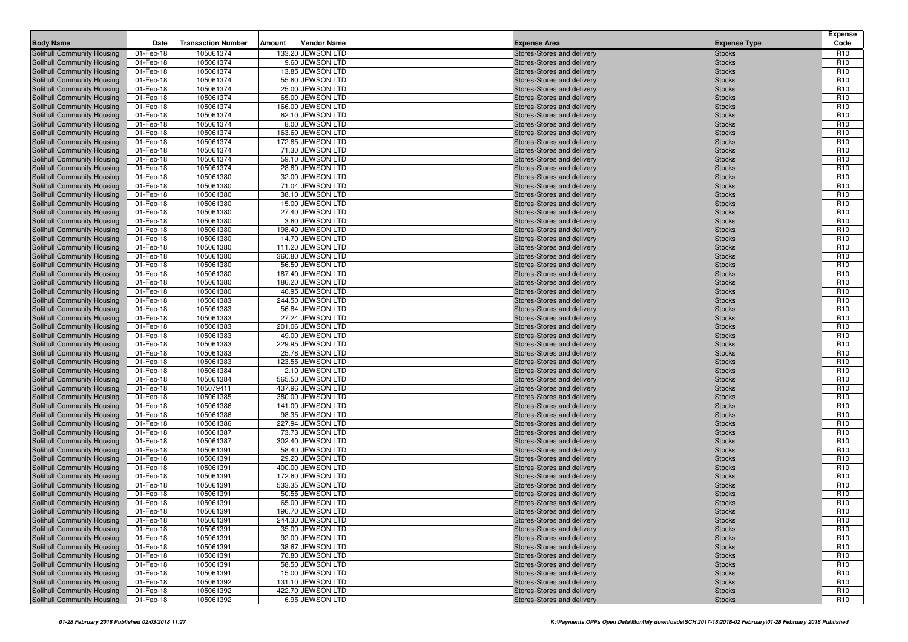| <b>Body Name</b>                                         | Date                   | <b>Transaction Number</b> | Amount | <b>Vendor Name</b>                    | <b>Expense Area</b>                                      | <b>Expense Type</b>            | <b>Expense</b><br>Code             |
|----------------------------------------------------------|------------------------|---------------------------|--------|---------------------------------------|----------------------------------------------------------|--------------------------------|------------------------------------|
| Solihull Community Housing                               | 01-Feb-18              | 105061374                 |        | 133.20 JEWSON LTD                     | Stores-Stores and delivery                               | <b>Stocks</b>                  | R <sub>10</sub>                    |
| Solihull Community Housing                               | 01-Feb-18              | 105061374                 |        | 9.60 JEWSON LTD                       | Stores-Stores and delivery                               | <b>Stocks</b>                  | R <sub>10</sub>                    |
| Solihull Community Housing                               | 01-Feb-18              | 105061374                 |        | 13.85 JEWSON LTD                      | Stores-Stores and delivery                               | <b>Stocks</b>                  | R <sub>10</sub>                    |
| Solihull Community Housing                               | 01-Feb-18              | 105061374                 |        | 55.60 JEWSON LTD                      | Stores-Stores and delivery                               | <b>Stocks</b>                  | R <sub>10</sub>                    |
| Solihull Community Housing                               | 01-Feb-18              | 105061374                 |        | 25.00 JEWSON LTD                      | Stores-Stores and delivery                               | <b>Stocks</b>                  | R <sub>10</sub>                    |
| Solihull Community Housing                               | 01-Feb-18              | 105061374                 |        | 65.00 JEWSON LTD                      | Stores-Stores and delivery                               | <b>Stocks</b>                  | R <sub>10</sub>                    |
| Solihull Community Housing                               | 01-Feb-18              | 105061374                 |        | 1166.00 JEWSON LTD                    | Stores-Stores and delivery                               | <b>Stocks</b>                  | R <sub>10</sub>                    |
| Solihull Community Housing                               | 01-Feb-18              | 105061374                 |        | 62.10 JEWSON LTD                      | Stores-Stores and delivery                               | <b>Stocks</b>                  | R <sub>10</sub>                    |
| Solihull Community Housing                               | 01-Feb-18              | 105061374                 |        | 8.00 JEWSON LTD                       | Stores-Stores and delivery                               | <b>Stocks</b>                  | R <sub>10</sub>                    |
| Solihull Community Housing                               | 01-Feb-18              | 105061374                 |        | 163.60 JEWSON LTD                     | Stores-Stores and delivery                               | <b>Stocks</b>                  | R <sub>10</sub>                    |
| Solihull Community Housing                               | 01-Feb-18              | 105061374                 |        | 172.85 JEWSON LTD                     | Stores-Stores and delivery                               | <b>Stocks</b>                  | R <sub>10</sub>                    |
| Solihull Community Housing                               | 01-Feb-18              | 105061374                 |        | 71.30 JEWSON LTD                      | Stores-Stores and delivery                               | <b>Stocks</b>                  | R <sub>10</sub>                    |
| Solihull Community Housing                               | 01-Feb-18              | 105061374                 |        | 59.10 JEWSON LTD                      | Stores-Stores and delivery                               | <b>Stocks</b>                  | R <sub>10</sub>                    |
| Solihull Community Housing                               | 01-Feb-18              | 105061374                 |        | 28.80 JEWSON LTD                      | Stores-Stores and delivery                               | <b>Stocks</b>                  | R <sub>10</sub>                    |
| Solihull Community Housing                               | 01-Feb-18              | 105061380                 |        | 32.00 JEWSON LTD                      | Stores-Stores and delivery                               | <b>Stocks</b>                  | R <sub>10</sub>                    |
| Solihull Community Housing                               | 01-Feb-18              | 105061380                 |        | 71.04 JEWSON LTD                      | Stores-Stores and delivery                               | <b>Stocks</b>                  | R <sub>10</sub>                    |
| Solihull Community Housing                               | 01-Feb-18              | 105061380                 |        | 38.10 JEWSON LTD                      | Stores-Stores and delivery                               | <b>Stocks</b>                  | R <sub>10</sub>                    |
| Solihull Community Housing                               | 01-Feb-18              | 105061380                 |        | 15.00 JEWSON LTD                      | Stores-Stores and delivery                               | <b>Stocks</b>                  | R <sub>10</sub>                    |
| Solihull Community Housing                               | 01-Feb-18              | 105061380                 |        | 27.40 JEWSON LTD                      | Stores-Stores and delivery                               | <b>Stocks</b>                  | R <sub>10</sub>                    |
| Solihull Community Housing                               | 01-Feb-18              | 105061380                 |        | 3.60 JEWSON LTD                       | Stores-Stores and delivery                               | <b>Stocks</b>                  | R <sub>10</sub>                    |
| Solihull Community Housing                               | 01-Feb-18              | 105061380                 |        | 198.40 JEWSON LTD                     | Stores-Stores and delivery                               | <b>Stocks</b>                  | R <sub>10</sub>                    |
| Solihull Community Housing                               | 01-Feb-18              | 105061380                 |        | 14.70 JEWSON LTD                      | Stores-Stores and delivery                               | <b>Stocks</b>                  | R <sub>10</sub>                    |
| Solihull Community Housing                               | 01-Feb-18              | 105061380                 |        | 111.20 JEWSON LTD                     | Stores-Stores and delivery                               | <b>Stocks</b>                  | R <sub>10</sub>                    |
| Solihull Community Housing                               | 01-Feb-18              | 105061380                 |        | 360.80 JEWSON LTD                     | Stores-Stores and delivery                               | <b>Stocks</b>                  | R <sub>10</sub>                    |
| Solihull Community Housing                               | 01-Feb-18<br>01-Feb-18 | 105061380<br>105061380    |        | 56.50 JEWSON LTD<br>187.40 JEWSON LTD | Stores-Stores and delivery<br>Stores-Stores and delivery | <b>Stocks</b><br><b>Stocks</b> | R <sub>10</sub><br>R <sub>10</sub> |
| Solihull Community Housing<br>Solihull Community Housing | 01-Feb-18              | 105061380                 |        | 186.20 JEWSON LTD                     | Stores-Stores and delivery                               | <b>Stocks</b>                  | R <sub>10</sub>                    |
| Solihull Community Housing                               | 01-Feb-18              | 105061380                 |        | 46.95 JEWSON LTD                      | Stores-Stores and delivery                               | <b>Stocks</b>                  | R <sub>10</sub>                    |
| Solihull Community Housing                               | 01-Feb-18              | 105061383                 |        | 244.50 JEWSON LTD                     | Stores-Stores and delivery                               | <b>Stocks</b>                  | R <sub>10</sub>                    |
| Solihull Community Housing                               | 01-Feb-18              | 105061383                 |        | 56.84 JEWSON LTD                      | Stores-Stores and delivery                               | <b>Stocks</b>                  | R <sub>10</sub>                    |
| Solihull Community Housing                               | 01-Feb-18              | 105061383                 |        | 27.24 JEWSON LTD                      | Stores-Stores and delivery                               | <b>Stocks</b>                  | R <sub>10</sub>                    |
| Solihull Community Housing                               | 01-Feb-18              | 105061383                 |        | 201.06 JEWSON LTD                     | Stores-Stores and delivery                               | <b>Stocks</b>                  | R <sub>10</sub>                    |
| Solihull Community Housing                               | 01-Feb-18              | 105061383                 |        | 49.00 JEWSON LTD                      | Stores-Stores and delivery                               | <b>Stocks</b>                  | R <sub>10</sub>                    |
| Solihull Community Housing                               | 01-Feb-18              | 105061383                 |        | 229.95 JEWSON LTD                     | Stores-Stores and delivery                               | <b>Stocks</b>                  | R <sub>10</sub>                    |
| <b>Solihull Community Housing</b>                        | 01-Feb-18              | 105061383                 |        | 25.78 JEWSON LTD                      | Stores-Stores and delivery                               | <b>Stocks</b>                  | R <sub>10</sub>                    |
| Solihull Community Housing                               | 01-Feb-18              | 105061383                 |        | 123.55 JEWSON LTD                     | Stores-Stores and delivery                               | <b>Stocks</b>                  | R <sub>10</sub>                    |
| Solihull Community Housing                               | 01-Feb-18              | 105061384                 |        | 2.10 JEWSON LTD                       | Stores-Stores and delivery                               | <b>Stocks</b>                  | R <sub>10</sub>                    |
| Solihull Community Housing                               | 01-Feb-18              | 105061384                 |        | 565.50 JEWSON LTD                     | Stores-Stores and delivery                               | <b>Stocks</b>                  | R <sub>10</sub>                    |
| <b>Solihull Community Housing</b>                        | 01-Feb-18              | 105079411                 |        | 437.96 JEWSON LTD                     | Stores-Stores and delivery                               | <b>Stocks</b>                  | R <sub>10</sub>                    |
| Solihull Community Housing                               | 01-Feb-18              | 105061385                 |        | 380.00 JEWSON LTD                     | Stores-Stores and delivery                               | <b>Stocks</b>                  | R <sub>10</sub>                    |
| Solihull Community Housing                               | 01-Feb-18              | 105061386                 |        | 141.00 JEWSON LTD                     | Stores-Stores and delivery                               | <b>Stocks</b>                  | R <sub>10</sub>                    |
| Solihull Community Housing                               | 01-Feb-18              | 105061386                 |        | 98.35 JEWSON LTD                      | Stores-Stores and delivery                               | <b>Stocks</b>                  | R <sub>10</sub>                    |
| Solihull Community Housing                               | 01-Feb-18              | 105061386                 |        | 227.94 JEWSON LTD                     | Stores-Stores and delivery                               | <b>Stocks</b>                  | R <sub>10</sub>                    |
| Solihull Community Housing                               | 01-Feb-18              | 105061387                 |        | 73.73 JEWSON LTD                      | Stores-Stores and delivery                               | <b>Stocks</b>                  | R <sub>10</sub>                    |
| Solihull Community Housing                               | 01-Feb-18              | 105061387                 |        | 302.40 JEWSON LTD                     | Stores-Stores and delivery                               | <b>Stocks</b>                  | R <sub>10</sub>                    |
| Solihull Community Housing                               | 01-Feb-18              | 105061391                 |        | 58.40 JEWSON LTD                      | Stores-Stores and delivery                               | <b>Stocks</b>                  | R <sub>10</sub>                    |
| Solihull Community Housing                               | 01-Feb-18              | 105061391                 |        | 29.20 JEWSON LTD                      | Stores-Stores and delivery                               | <b>Stocks</b>                  | R <sub>10</sub>                    |
| Solihull Community Housing                               | 01-Feb-18              | 105061391                 |        | 400.00 JEWSON LTD                     | Stores-Stores and delivery                               | <b>Stocks</b>                  | R <sub>10</sub>                    |
| Solihull Community Housing                               | 01-Feb-18              | 105061391                 |        | 172.60 JEWSON LTD                     | Stores-Stores and delivery                               | <b>Stocks</b>                  | R <sub>10</sub>                    |
| Solihull Community Housing                               | 01-Feb-18              | 105061391                 |        | 533.35 JEWSON LTD                     | Stores-Stores and delivery                               | <b>Stocks</b>                  | R <sub>10</sub>                    |
| Solihull Community Housing                               | 01-Feb-18              | 105061391                 |        | 50.55 JEWSON LTD                      | Stores-Stores and delivery                               | <b>Stocks</b>                  | R <sub>10</sub>                    |
| Solihull Community Housing                               | 01-Feb-18              | 105061391                 |        | 65.00 JEWSON LTD                      | Stores-Stores and delivery                               | <b>Stocks</b>                  | R <sub>10</sub>                    |
| Solihull Community Housing                               | 01-Feb-18              | 105061391                 |        | 196.70 JEWSON LTD                     | Stores-Stores and delivery                               | <b>Stocks</b>                  | R <sub>10</sub>                    |
| Solihull Community Housing                               | 01-Feb-18              | 105061391                 |        | 244.30 JEWSON LTD                     | Stores-Stores and delivery                               | <b>Stocks</b>                  | R <sub>10</sub>                    |
| Solihull Community Housing                               | 01-Feb-18              | 105061391                 |        | 35.00 JEWSON LTD                      | Stores-Stores and delivery                               | <b>Stocks</b>                  | R <sub>10</sub>                    |
| Solihull Community Housing                               | 01-Feb-18              | 105061391                 |        | 92.00 JEWSON LTD                      | Stores-Stores and delivery<br>Stores-Stores and delivery | <b>Stocks</b>                  | R <sub>10</sub>                    |
| Solihull Community Housing<br>Solihull Community Housing | 01-Feb-18              | 105061391<br>105061391    |        | 38.67 JEWSON LTD<br>76.80 JEWSON LTD  | Stores-Stores and delivery                               | <b>Stocks</b>                  | R <sub>10</sub><br>R <sub>10</sub> |
| Solihull Community Housing                               | 01-Feb-18<br>01-Feb-18 | 105061391                 |        | 58.50 JEWSON LTD                      | Stores-Stores and delivery                               | <b>Stocks</b>                  | R <sub>10</sub>                    |
| <b>Solihull Community Housing</b>                        | 01-Feb-18              | 105061391                 |        | 15.00 JEWSON LTD                      | Stores-Stores and delivery                               | <b>Stocks</b><br><b>Stocks</b> | R <sub>10</sub>                    |
| Solihull Community Housing                               | 01-Feb-18              | 105061392                 |        | 131.10 JEWSON LTD                     | Stores-Stores and delivery                               | <b>Stocks</b>                  | R <sub>10</sub>                    |
| Solihull Community Housing                               | 01-Feb-18              | 105061392                 |        | 422.70 JEWSON LTD                     | Stores-Stores and delivery                               | <b>Stocks</b>                  | R <sub>10</sub>                    |
| Solihull Community Housing                               | 01-Feb-18              | 105061392                 |        | 6.95 JEWSON LTD                       | Stores-Stores and delivery                               | <b>Stocks</b>                  | R <sub>10</sub>                    |
|                                                          |                        |                           |        |                                       |                                                          |                                |                                    |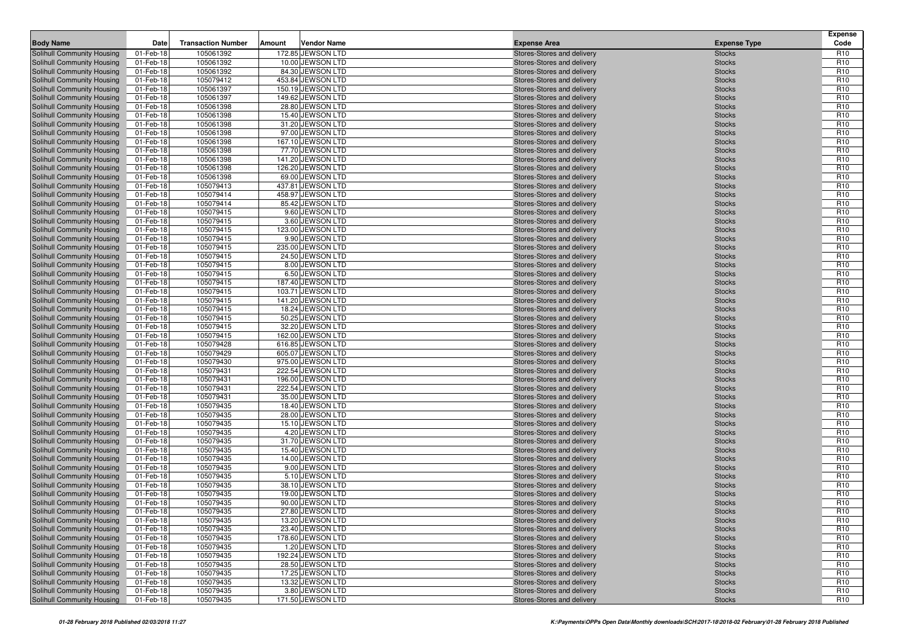| <b>Body Name</b>                                                | Date                   | <b>Transaction Number</b> | Amount | <b>Vendor Name</b>                     | <b>Expense Area</b>                                      | <b>Expense Type</b>            | <b>Expense</b><br>Code             |
|-----------------------------------------------------------------|------------------------|---------------------------|--------|----------------------------------------|----------------------------------------------------------|--------------------------------|------------------------------------|
| Solihull Community Housing                                      | 01-Feb-18              | 105061392                 |        | 172.85 JEWSON LTD                      | Stores-Stores and delivery                               | <b>Stocks</b>                  | R <sub>10</sub>                    |
| Solihull Community Housing                                      | 01-Feb-18              | 105061392                 |        | 10.00 JEWSON LTD                       | Stores-Stores and delivery                               | <b>Stocks</b>                  | R <sub>10</sub>                    |
| Solihull Community Housing                                      | 01-Feb-18              | 105061392                 |        | 84.30 JEWSON LTD                       | Stores-Stores and delivery                               | <b>Stocks</b>                  | R <sub>10</sub>                    |
| Solihull Community Housing                                      | 01-Feb-18              | 105079412                 |        | 453.84 JEWSON LTD                      | Stores-Stores and delivery                               | <b>Stocks</b>                  | R <sub>10</sub>                    |
| Solihull Community Housing                                      | 01-Feb-18              | 105061397                 |        | 150.19 JEWSON LTD                      | Stores-Stores and delivery                               | <b>Stocks</b>                  | R <sub>10</sub>                    |
| Solihull Community Housing                                      | 01-Feb-18              | 105061397                 |        | 149.62 JEWSON LTD                      | Stores-Stores and delivery                               | <b>Stocks</b>                  | R <sub>10</sub>                    |
| Solihull Community Housing                                      | 01-Feb-18              | 105061398                 |        | 28.80 JEWSON LTD                       | Stores-Stores and delivery                               | <b>Stocks</b>                  | R <sub>10</sub>                    |
| Solihull Community Housing                                      | 01-Feb-18              | 105061398                 |        | 15.40 JEWSON LTD                       | Stores-Stores and delivery                               | <b>Stocks</b>                  | R <sub>10</sub>                    |
| Solihull Community Housing                                      | 01-Feb-18              | 105061398                 |        | 31.20 JEWSON LTD                       | Stores-Stores and delivery                               | <b>Stocks</b>                  | R <sub>10</sub>                    |
| Solihull Community Housing                                      | 01-Feb-18              | 105061398                 |        | 97.00 JEWSON LTD                       | Stores-Stores and delivery                               | <b>Stocks</b>                  | R <sub>10</sub>                    |
| Solihull Community Housing                                      | 01-Feb-18              | 105061398                 |        | 167.10 JEWSON LTD                      | Stores-Stores and delivery                               | <b>Stocks</b>                  | R <sub>10</sub>                    |
| Solihull Community Housing                                      | 01-Feb-18              | 105061398                 |        | 77.70 JEWSON LTD                       | Stores-Stores and delivery                               | <b>Stocks</b>                  | R <sub>10</sub>                    |
| Solihull Community Housing                                      | 01-Feb-18              | 105061398                 |        | 141.20 JEWSON LTD                      | Stores-Stores and delivery                               | <b>Stocks</b>                  | R <sub>10</sub>                    |
| Solihull Community Housing                                      | 01-Feb-18              | 105061398                 |        | 126.20 JEWSON LTD<br>69.00 JEWSON LTD  | Stores-Stores and delivery<br>Stores-Stores and delivery | <b>Stocks</b>                  | R <sub>10</sub>                    |
| Solihull Community Housing<br>Solihull Community Housing        | 01-Feb-18<br>01-Feb-18 | 105061398<br>105079413    |        | 437.81 JEWSON LTD                      | Stores-Stores and delivery                               | <b>Stocks</b><br><b>Stocks</b> | R <sub>10</sub><br>R <sub>10</sub> |
| Solihull Community Housing                                      | 01-Feb-18              | 105079414                 |        | 458.97 JEWSON LTD                      | Stores-Stores and delivery                               | <b>Stocks</b>                  | R <sub>10</sub>                    |
| Solihull Community Housing                                      | 01-Feb-18              | 105079414                 |        | 85.42 JEWSON LTD                       | Stores-Stores and delivery                               | <b>Stocks</b>                  | R <sub>10</sub>                    |
| Solihull Community Housing                                      | 01-Feb-18              | 105079415                 |        | 9.60 JEWSON LTD                        | Stores-Stores and delivery                               | <b>Stocks</b>                  | R <sub>10</sub>                    |
| Solihull Community Housing                                      | 01-Feb-18              | 105079415                 |        | 3.60 JEWSON LTD                        | Stores-Stores and delivery                               | <b>Stocks</b>                  | R <sub>10</sub>                    |
| Solihull Community Housing                                      | 01-Feb-18              | 105079415                 |        | 123.00 JEWSON LTD                      | Stores-Stores and delivery                               | <b>Stocks</b>                  | R <sub>10</sub>                    |
| Solihull Community Housing                                      | 01-Feb-18              | 105079415                 |        | 9.90 JEWSON LTD                        | Stores-Stores and delivery                               | <b>Stocks</b>                  | R <sub>10</sub>                    |
| Solihull Community Housing                                      | 01-Feb-18              | 105079415                 |        | 235.00 JEWSON LTD                      | Stores-Stores and delivery                               | <b>Stocks</b>                  | R <sub>10</sub>                    |
| Solihull Community Housing                                      | 01-Feb-18              | 105079415                 |        | 24.50 JEWSON LTD                       | Stores-Stores and delivery                               | <b>Stocks</b>                  | R <sub>10</sub>                    |
| Solihull Community Housing                                      | 01-Feb-18              | 105079415                 |        | 8.00 JEWSON LTD                        | Stores-Stores and delivery                               | <b>Stocks</b>                  | R <sub>10</sub>                    |
| Solihull Community Housing                                      | 01-Feb-18              | 105079415                 |        | 6.50 JEWSON LTD                        | Stores-Stores and delivery                               | <b>Stocks</b>                  | R <sub>10</sub>                    |
| Solihull Community Housing                                      | 01-Feb-18              | 105079415                 |        | 187.40 JEWSON LTD                      | Stores-Stores and delivery                               | <b>Stocks</b>                  | R <sub>10</sub>                    |
| Solihull Community Housing                                      | 01-Feb-18              | 105079415                 |        | 103.71 JEWSON LTD                      | Stores-Stores and delivery                               | <b>Stocks</b>                  | R <sub>10</sub>                    |
| Solihull Community Housing                                      | 01-Feb-18              | 105079415                 |        | 141.20 JEWSON LTD                      | Stores-Stores and delivery                               | <b>Stocks</b>                  | R <sub>10</sub>                    |
| Solihull Community Housing                                      | 01-Feb-18              | 105079415                 |        | 18.24 JEWSON LTD                       | Stores-Stores and delivery                               | <b>Stocks</b>                  | R <sub>10</sub>                    |
| Solihull Community Housing                                      | 01-Feb-18              | 105079415                 |        | 50.25 JEWSON LTD                       | Stores-Stores and delivery                               | <b>Stocks</b>                  | R <sub>10</sub>                    |
| Solihull Community Housing                                      | 01-Feb-18              | 105079415                 |        | 32.20 JEWSON LTD                       | Stores-Stores and delivery                               | <b>Stocks</b>                  | R <sub>10</sub>                    |
| Solihull Community Housing                                      | 01-Feb-18              | 105079415<br>105079428    |        | 162.00 JEWSON LTD<br>616.85 JEWSON LTD | Stores-Stores and delivery                               | <b>Stocks</b>                  | R <sub>10</sub><br>R <sub>10</sub> |
| Solihull Community Housing<br>Solihull Community Housing        | 01-Feb-18<br>01-Feb-18 | 105079429                 |        | 605.07 JEWSON LTD                      | Stores-Stores and delivery<br>Stores-Stores and delivery | <b>Stocks</b><br><b>Stocks</b> | R <sub>10</sub>                    |
| Solihull Community Housing                                      | 01-Feb-18              | 105079430                 |        | 975.00 JEWSON LTD                      | Stores-Stores and delivery                               | <b>Stocks</b>                  | R <sub>10</sub>                    |
| Solihull Community Housing                                      | 01-Feb-18              | 105079431                 |        | 222.54 JEWSON LTD                      | Stores-Stores and delivery                               | <b>Stocks</b>                  | R <sub>10</sub>                    |
| Solihull Community Housing                                      | 01-Feb-18              | 105079431                 |        | 196.00 JEWSON LTD                      | Stores-Stores and delivery                               | <b>Stocks</b>                  | R <sub>10</sub>                    |
| Solihull Community Housing                                      | 01-Feb-18              | 105079431                 |        | 222.54 JEWSON LTD                      | Stores-Stores and delivery                               | <b>Stocks</b>                  | R <sub>10</sub>                    |
| Solihull Community Housing                                      | 01-Feb-18              | 105079431                 |        | 35.00 JEWSON LTD                       | Stores-Stores and delivery                               | <b>Stocks</b>                  | R <sub>10</sub>                    |
| Solihull Community Housing                                      | 01-Feb-18              | 105079435                 |        | 18.40 JEWSON LTD                       | Stores-Stores and delivery                               | <b>Stocks</b>                  | R <sub>10</sub>                    |
| Solihull Community Housing                                      | 01-Feb-18              | 105079435                 |        | 28.00 JEWSON LTD                       | Stores-Stores and delivery                               | <b>Stocks</b>                  | R <sub>10</sub>                    |
| Solihull Community Housing                                      | 01-Feb-18              | 105079435                 |        | 15.10 JEWSON LTD                       | Stores-Stores and delivery                               | <b>Stocks</b>                  | R <sub>10</sub>                    |
| Solihull Community Housing                                      | 01-Feb-18              | 105079435                 |        | 4.20 JEWSON LTD                        | Stores-Stores and delivery                               | <b>Stocks</b>                  | R <sub>10</sub>                    |
| Solihull Community Housing                                      | 01-Feb-18              | 105079435                 |        | 31.70 JEWSON LTD                       | Stores-Stores and delivery                               | <b>Stocks</b>                  | R <sub>10</sub>                    |
| Solihull Community Housing                                      | 01-Feb-18              | 105079435                 |        | 15.40 JEWSON LTD                       | Stores-Stores and delivery                               | <b>Stocks</b>                  | R <sub>10</sub>                    |
| Solihull Community Housing                                      | 01-Feb-18              | 105079435                 |        | 14.00 JEWSON LTD                       | Stores-Stores and delivery                               | <b>Stocks</b>                  | R <sub>10</sub>                    |
| Solihull Community Housing                                      | 01-Feb-18              | 105079435                 |        | 9.00 JEWSON LTD                        | Stores-Stores and delivery                               | <b>Stocks</b>                  | R <sub>10</sub>                    |
| Solihull Community Housing                                      | 01-Feb-18              | 105079435                 |        | 5.10 JEWSON LTD                        | Stores-Stores and delivery                               | <b>Stocks</b>                  | R <sub>10</sub>                    |
| Solihull Community Housing                                      | 01-Feb-18              | 105079435                 |        | 38.10 JEWSON LTD                       | Stores-Stores and delivery                               | <b>Stocks</b>                  | R <sub>10</sub>                    |
| Solihull Community Housing                                      | 01-Feb-18              | 105079435                 |        | 19.00 JEWSON LTD                       | Stores-Stores and delivery                               | <b>Stocks</b>                  | R <sub>10</sub>                    |
| <b>Solihull Community Housing</b><br>Solihull Community Housing | 01-Feb-18              | 105079435                 |        | 90.00 JEWSON LTD                       | Stores-Stores and delivery                               | <b>Stocks</b>                  | R <sub>10</sub><br>R <sub>10</sub> |
| Solihull Community Housing                                      | 01-Feb-18<br>01-Feb-18 | 105079435<br>105079435    |        | 27.80 JEWSON LTD<br>13.20 JEWSON LTD   | Stores-Stores and delivery<br>Stores-Stores and delivery | <b>Stocks</b><br><b>Stocks</b> | R <sub>10</sub>                    |
| Solihull Community Housing                                      | 01-Feb-18              | 105079435                 |        | 23.40 JEWSON LTD                       | Stores-Stores and delivery                               | <b>Stocks</b>                  | R <sub>10</sub>                    |
| Solihull Community Housing                                      | 01-Feb-18              | 105079435                 |        | 178.60 JEWSON LTD                      | Stores-Stores and delivery                               | <b>Stocks</b>                  | R <sub>10</sub>                    |
| Solihull Community Housing                                      | 01-Feb-18              | 105079435                 |        | 1.20 JEWSON LTD                        | Stores-Stores and delivery                               | <b>Stocks</b>                  | R <sub>10</sub>                    |
| Solihull Community Housing                                      | 01-Feb-18              | 105079435                 |        | 192.24 JEWSON LTD                      | Stores-Stores and delivery                               | <b>Stocks</b>                  | R <sub>10</sub>                    |
| Solihull Community Housing                                      | 01-Feb-18              | 105079435                 |        | 28.50 JEWSON LTD                       | Stores-Stores and delivery                               | <b>Stocks</b>                  | R <sub>10</sub>                    |
| Solihull Community Housing                                      | 01-Feb-18              | 105079435                 |        | 17.25 JEWSON LTD                       | Stores-Stores and delivery                               | <b>Stocks</b>                  | R <sub>10</sub>                    |
| Solihull Community Housing                                      | 01-Feb-18              | 105079435                 |        | 13.32 JEWSON LTD                       | Stores-Stores and delivery                               | <b>Stocks</b>                  | R <sub>10</sub>                    |
| Solihull Community Housing                                      | 01-Feb-18              | 105079435                 |        | 3.80 JEWSON LTD                        | Stores-Stores and delivery                               | <b>Stocks</b>                  | R <sub>10</sub>                    |
| Solihull Community Housing                                      | 01-Feb-18              | 105079435                 |        | 171.50 JEWSON LTD                      | Stores-Stores and delivery                               | <b>Stocks</b>                  | R <sub>10</sub>                    |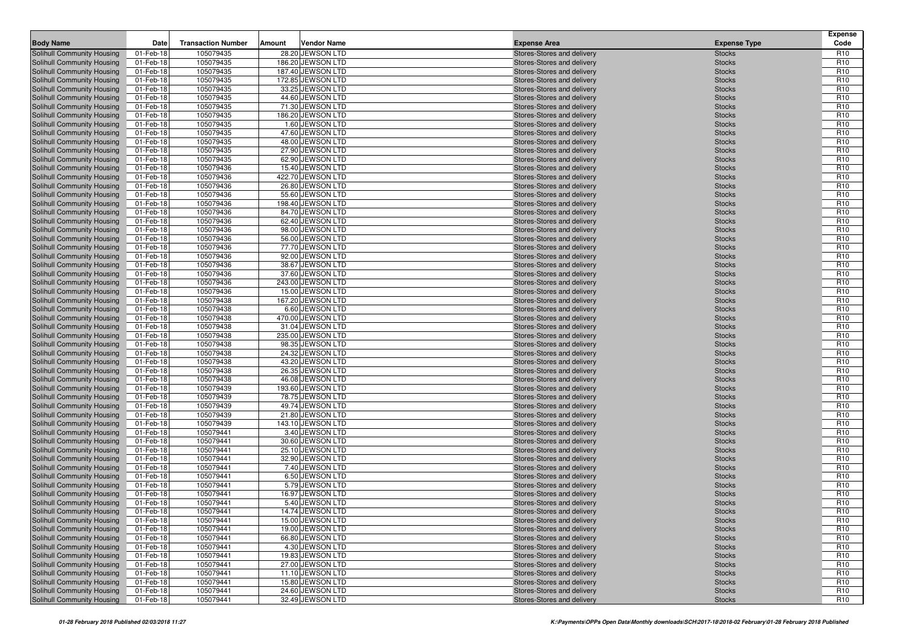| <b>Body Name</b><br><b>Transaction Number</b><br><b>Vendor Name</b><br>Amount<br><b>Expense Type</b><br>105079435<br>28.20 JEWSON LTD<br>Stores-Stores and delivery<br>Solihull Community Housing<br>01-Feb-18<br><b>Stocks</b><br>01-Feb-18<br>105079435<br>186.20 JEWSON LTD<br>Solihull Community Housing<br>Stores-Stores and delivery<br><b>Stocks</b><br>105079435<br>187.40 JEWSON LTD<br>Solihull Community Housing<br>01-Feb-18<br>Stores-Stores and delivery<br><b>Stocks</b><br>105079435<br>172.85 JEWSON LTD<br>Solihull Community Housing<br>01-Feb-18<br>Stores-Stores and delivery<br><b>Stocks</b><br>105079435<br>33.25 JEWSON LTD<br>Solihull Community Housing<br>01-Feb-18<br>Stores-Stores and delivery<br><b>Stocks</b><br>105079435<br>44.60 JEWSON LTD<br>Solihull Community Housing<br>01-Feb-18<br>Stores-Stores and delivery<br><b>Stocks</b><br>105079435<br>71.30 JEWSON LTD<br>Solihull Community Housing<br>01-Feb-18<br>Stores-Stores and delivery<br><b>Stocks</b><br>Solihull Community Housing<br>01-Feb-18<br>105079435<br>186.20 JEWSON LTD<br>Stores-Stores and delivery<br><b>Stocks</b><br>105079435<br>1.60 JEWSON LTD<br>Solihull Community Housing<br>01-Feb-18<br>Stores-Stores and delivery<br><b>Stocks</b><br>01-Feb-18<br>105079435<br>47.60 JEWSON LTD<br>Solihull Community Housing<br>Stores-Stores and delivery<br><b>Stocks</b><br>01-Feb-18<br>105079435<br>48.00 JEWSON LTD<br>Solihull Community Housing<br>Stores-Stores and delivery<br><b>Stocks</b><br>105079435<br>27.90 JEWSON LTD<br>Solihull Community Housing<br>01-Feb-18<br>Stores-Stores and delivery<br><b>Stocks</b><br>105079435<br>62.90 JEWSON LTD<br>Solihull Community Housing<br>01-Feb-18<br>Stores-Stores and delivery<br><b>Stocks</b><br>105079436<br>Solihull Community Housing<br>01-Feb-18<br>15.40 JEWSON LTD<br>Stores-Stores and delivery<br><b>Stocks</b><br>105079436<br>422.70 JEWSON LTD<br>Solihull Community Housing<br>01-Feb-18<br>Stores-Stores and delivery<br><b>Stocks</b><br>105079436<br>26.80 JEWSON LTD<br>Solihull Community Housing<br>01-Feb-18<br>Stores-Stores and delivery<br><b>Stocks</b><br>Solihull Community Housing<br>01-Feb-18<br>105079436<br>55.60 JEWSON LTD<br>Stores-Stores and delivery<br><b>Stocks</b><br>105079436<br>198.40 JEWSON LTD<br>Solihull Community Housing<br>01-Feb-18<br>Stores-Stores and delivery<br><b>Stocks</b><br>105079436<br>84.70 JEWSON LTD<br>Solihull Community Housing<br>01-Feb-18<br>Stores-Stores and delivery<br><b>Stocks</b><br>105079436<br>62.40 JEWSON LTD<br>Solihull Community Housing<br>01-Feb-18<br>Stores-Stores and delivery<br><b>Stocks</b><br>01-Feb-18<br>105079436<br>Solihull Community Housing<br>98.00 JEWSON LTD<br>Stores-Stores and delivery<br><b>Stocks</b><br>Solihull Community Housing<br>01-Feb-18<br>105079436<br>56.00 JEWSON LTD<br>Stores-Stores and delivery<br><b>Stocks</b><br>105079436<br>77.70 JEWSON LTD<br>Solihull Community Housing<br>01-Feb-18<br>Stores-Stores and delivery<br><b>Stocks</b><br>Solihull Community Housing<br>01-Feb-18<br>105079436<br>92.00 JEWSON LTD<br>Stores-Stores and delivery<br><b>Stocks</b><br>105079436<br>38.67 JEWSON LTD<br>Solihull Community Housing<br>01-Feb-18<br>Stores-Stores and delivery<br><b>Stocks</b><br>Solihull Community Housing<br>01-Feb-18<br>105079436<br>37.60 JEWSON LTD<br>Stores-Stores and delivery<br><b>Stocks</b><br>01-Feb-18<br>105079436<br>243.00 JEWSON LTD<br>Solihull Community Housing<br>Stores-Stores and delivery<br><b>Stocks</b><br>01-Feb-18<br>105079436<br>Solihull Community Housing<br>15.00 JEWSON LTD<br>Stores-Stores and delivery<br><b>Stocks</b><br>01-Feb-18<br>105079438<br>167.20 JEWSON LTD<br>Solihull Community Housing<br>Stores-Stores and delivery<br><b>Stocks</b><br>6.60 JEWSON LTD<br>Solihull Community Housing<br>01-Feb-18<br>105079438<br><b>Stocks</b><br>Stores-Stores and delivery<br>105079438<br>470.00 JEWSON LTD<br>Solihull Community Housing<br>01-Feb-18<br>Stores-Stores and delivery<br><b>Stocks</b><br>105079438<br>Solihull Community Housing<br>01-Feb-18<br>31.04 JEWSON LTD<br>Stores-Stores and delivery<br><b>Stocks</b><br>235.00 JEWSON LTD<br>Solihull Community Housing<br>01-Feb-18<br>105079438<br>Stores-Stores and delivery<br><b>Stocks</b><br>105079438<br>98.35 JEWSON LTD<br>Solihull Community Housing<br>01-Feb-18<br>Stores-Stores and delivery<br><b>Stocks</b><br>105079438<br>Solihull Community Housing<br>01-Feb-18<br>24.32 JEWSON LTD<br>Stores-Stores and delivery<br><b>Stocks</b><br>105079438<br>43.20 JEWSON LTD<br>Solihull Community Housing<br>01-Feb-18<br>Stores-Stores and delivery<br><b>Stocks</b><br>105079438<br>26.35 JEWSON LTD<br>Solihull Community Housing<br>01-Feb-18<br>Stores-Stores and delivery<br><b>Stocks</b><br>01-Feb-18<br>105079438<br>46.08 JEWSON LTD<br>Solihull Community Housing<br>Stores-Stores and delivery<br><b>Stocks</b><br>Solihull Community Housing<br>01-Feb-18<br>105079439<br>193.60 JEWSON LTD<br><b>Stocks</b><br>Stores-Stores and delivery<br>105079439<br>78.75 JEWSON LTD<br>Solihull Community Housing<br>01-Feb-18<br>Stores-Stores and delivery<br><b>Stocks</b><br>01-Feb-18<br>105079439<br>49.74 JEWSON LTD<br>Solihull Community Housing<br>Stores-Stores and delivery<br><b>Stocks</b><br>01-Feb-18<br>105079439<br>21.80 JEWSON LTD<br>Solihull Community Housing<br>Stores-Stores and delivery<br><b>Stocks</b><br>105079439 | <b>Expense</b><br>Code             |
|----------------------------------------------------------------------------------------------------------------------------------------------------------------------------------------------------------------------------------------------------------------------------------------------------------------------------------------------------------------------------------------------------------------------------------------------------------------------------------------------------------------------------------------------------------------------------------------------------------------------------------------------------------------------------------------------------------------------------------------------------------------------------------------------------------------------------------------------------------------------------------------------------------------------------------------------------------------------------------------------------------------------------------------------------------------------------------------------------------------------------------------------------------------------------------------------------------------------------------------------------------------------------------------------------------------------------------------------------------------------------------------------------------------------------------------------------------------------------------------------------------------------------------------------------------------------------------------------------------------------------------------------------------------------------------------------------------------------------------------------------------------------------------------------------------------------------------------------------------------------------------------------------------------------------------------------------------------------------------------------------------------------------------------------------------------------------------------------------------------------------------------------------------------------------------------------------------------------------------------------------------------------------------------------------------------------------------------------------------------------------------------------------------------------------------------------------------------------------------------------------------------------------------------------------------------------------------------------------------------------------------------------------------------------------------------------------------------------------------------------------------------------------------------------------------------------------------------------------------------------------------------------------------------------------------------------------------------------------------------------------------------------------------------------------------------------------------------------------------------------------------------------------------------------------------------------------------------------------------------------------------------------------------------------------------------------------------------------------------------------------------------------------------------------------------------------------------------------------------------------------------------------------------------------------------------------------------------------------------------------------------------------------------------------------------------------------------------------------------------------------------------------------------------------------------------------------------------------------------------------------------------------------------------------------------------------------------------------------------------------------------------------------------------------------------------------------------------------------------------------------------------------------------------------------------------------------------------------------------------------------------------------------------------------------------------------------------------------------------------------------------------------------------------------------------------------------------------------------------------------------------------------------------------------------------------------------------------------------------------------------------------------------------------------------------------------------------------------------------------------------------------------------------------------------------------------------------------------------------------------------------------------------------------------------------------------------------------------------------------------------------------------------------------------------------------------------------------------------------------------------------------------------------------------------------------------------------------------------------------------------------------------------------------------------------------------------------------------------------------------------------------------------------------------------------------------------------------------------------------------------------|------------------------------------|
|                                                                                                                                                                                                                                                                                                                                                                                                                                                                                                                                                                                                                                                                                                                                                                                                                                                                                                                                                                                                                                                                                                                                                                                                                                                                                                                                                                                                                                                                                                                                                                                                                                                                                                                                                                                                                                                                                                                                                                                                                                                                                                                                                                                                                                                                                                                                                                                                                                                                                                                                                                                                                                                                                                                                                                                                                                                                                                                                                                                                                                                                                                                                                                                                                                                                                                                                                                                                                                                                                                                                                                                                                                                                                                                                                                                                                                                                                                                                                                                                                                                                                                                                                                                                                                                                                                                                                                                                                                                                                                                                                                                                                                                                                                                                                                                                                                                                                                                                                                                                                                                                                                                                                                                                                                                                                                                                                                                                                                                                                                          | R <sub>10</sub>                    |
|                                                                                                                                                                                                                                                                                                                                                                                                                                                                                                                                                                                                                                                                                                                                                                                                                                                                                                                                                                                                                                                                                                                                                                                                                                                                                                                                                                                                                                                                                                                                                                                                                                                                                                                                                                                                                                                                                                                                                                                                                                                                                                                                                                                                                                                                                                                                                                                                                                                                                                                                                                                                                                                                                                                                                                                                                                                                                                                                                                                                                                                                                                                                                                                                                                                                                                                                                                                                                                                                                                                                                                                                                                                                                                                                                                                                                                                                                                                                                                                                                                                                                                                                                                                                                                                                                                                                                                                                                                                                                                                                                                                                                                                                                                                                                                                                                                                                                                                                                                                                                                                                                                                                                                                                                                                                                                                                                                                                                                                                                                          | R <sub>10</sub>                    |
|                                                                                                                                                                                                                                                                                                                                                                                                                                                                                                                                                                                                                                                                                                                                                                                                                                                                                                                                                                                                                                                                                                                                                                                                                                                                                                                                                                                                                                                                                                                                                                                                                                                                                                                                                                                                                                                                                                                                                                                                                                                                                                                                                                                                                                                                                                                                                                                                                                                                                                                                                                                                                                                                                                                                                                                                                                                                                                                                                                                                                                                                                                                                                                                                                                                                                                                                                                                                                                                                                                                                                                                                                                                                                                                                                                                                                                                                                                                                                                                                                                                                                                                                                                                                                                                                                                                                                                                                                                                                                                                                                                                                                                                                                                                                                                                                                                                                                                                                                                                                                                                                                                                                                                                                                                                                                                                                                                                                                                                                                                          | R <sub>10</sub>                    |
|                                                                                                                                                                                                                                                                                                                                                                                                                                                                                                                                                                                                                                                                                                                                                                                                                                                                                                                                                                                                                                                                                                                                                                                                                                                                                                                                                                                                                                                                                                                                                                                                                                                                                                                                                                                                                                                                                                                                                                                                                                                                                                                                                                                                                                                                                                                                                                                                                                                                                                                                                                                                                                                                                                                                                                                                                                                                                                                                                                                                                                                                                                                                                                                                                                                                                                                                                                                                                                                                                                                                                                                                                                                                                                                                                                                                                                                                                                                                                                                                                                                                                                                                                                                                                                                                                                                                                                                                                                                                                                                                                                                                                                                                                                                                                                                                                                                                                                                                                                                                                                                                                                                                                                                                                                                                                                                                                                                                                                                                                                          | R <sub>10</sub>                    |
|                                                                                                                                                                                                                                                                                                                                                                                                                                                                                                                                                                                                                                                                                                                                                                                                                                                                                                                                                                                                                                                                                                                                                                                                                                                                                                                                                                                                                                                                                                                                                                                                                                                                                                                                                                                                                                                                                                                                                                                                                                                                                                                                                                                                                                                                                                                                                                                                                                                                                                                                                                                                                                                                                                                                                                                                                                                                                                                                                                                                                                                                                                                                                                                                                                                                                                                                                                                                                                                                                                                                                                                                                                                                                                                                                                                                                                                                                                                                                                                                                                                                                                                                                                                                                                                                                                                                                                                                                                                                                                                                                                                                                                                                                                                                                                                                                                                                                                                                                                                                                                                                                                                                                                                                                                                                                                                                                                                                                                                                                                          | R <sub>10</sub>                    |
|                                                                                                                                                                                                                                                                                                                                                                                                                                                                                                                                                                                                                                                                                                                                                                                                                                                                                                                                                                                                                                                                                                                                                                                                                                                                                                                                                                                                                                                                                                                                                                                                                                                                                                                                                                                                                                                                                                                                                                                                                                                                                                                                                                                                                                                                                                                                                                                                                                                                                                                                                                                                                                                                                                                                                                                                                                                                                                                                                                                                                                                                                                                                                                                                                                                                                                                                                                                                                                                                                                                                                                                                                                                                                                                                                                                                                                                                                                                                                                                                                                                                                                                                                                                                                                                                                                                                                                                                                                                                                                                                                                                                                                                                                                                                                                                                                                                                                                                                                                                                                                                                                                                                                                                                                                                                                                                                                                                                                                                                                                          | R <sub>10</sub>                    |
|                                                                                                                                                                                                                                                                                                                                                                                                                                                                                                                                                                                                                                                                                                                                                                                                                                                                                                                                                                                                                                                                                                                                                                                                                                                                                                                                                                                                                                                                                                                                                                                                                                                                                                                                                                                                                                                                                                                                                                                                                                                                                                                                                                                                                                                                                                                                                                                                                                                                                                                                                                                                                                                                                                                                                                                                                                                                                                                                                                                                                                                                                                                                                                                                                                                                                                                                                                                                                                                                                                                                                                                                                                                                                                                                                                                                                                                                                                                                                                                                                                                                                                                                                                                                                                                                                                                                                                                                                                                                                                                                                                                                                                                                                                                                                                                                                                                                                                                                                                                                                                                                                                                                                                                                                                                                                                                                                                                                                                                                                                          | R <sub>10</sub>                    |
|                                                                                                                                                                                                                                                                                                                                                                                                                                                                                                                                                                                                                                                                                                                                                                                                                                                                                                                                                                                                                                                                                                                                                                                                                                                                                                                                                                                                                                                                                                                                                                                                                                                                                                                                                                                                                                                                                                                                                                                                                                                                                                                                                                                                                                                                                                                                                                                                                                                                                                                                                                                                                                                                                                                                                                                                                                                                                                                                                                                                                                                                                                                                                                                                                                                                                                                                                                                                                                                                                                                                                                                                                                                                                                                                                                                                                                                                                                                                                                                                                                                                                                                                                                                                                                                                                                                                                                                                                                                                                                                                                                                                                                                                                                                                                                                                                                                                                                                                                                                                                                                                                                                                                                                                                                                                                                                                                                                                                                                                                                          | R <sub>10</sub>                    |
|                                                                                                                                                                                                                                                                                                                                                                                                                                                                                                                                                                                                                                                                                                                                                                                                                                                                                                                                                                                                                                                                                                                                                                                                                                                                                                                                                                                                                                                                                                                                                                                                                                                                                                                                                                                                                                                                                                                                                                                                                                                                                                                                                                                                                                                                                                                                                                                                                                                                                                                                                                                                                                                                                                                                                                                                                                                                                                                                                                                                                                                                                                                                                                                                                                                                                                                                                                                                                                                                                                                                                                                                                                                                                                                                                                                                                                                                                                                                                                                                                                                                                                                                                                                                                                                                                                                                                                                                                                                                                                                                                                                                                                                                                                                                                                                                                                                                                                                                                                                                                                                                                                                                                                                                                                                                                                                                                                                                                                                                                                          | R <sub>10</sub>                    |
|                                                                                                                                                                                                                                                                                                                                                                                                                                                                                                                                                                                                                                                                                                                                                                                                                                                                                                                                                                                                                                                                                                                                                                                                                                                                                                                                                                                                                                                                                                                                                                                                                                                                                                                                                                                                                                                                                                                                                                                                                                                                                                                                                                                                                                                                                                                                                                                                                                                                                                                                                                                                                                                                                                                                                                                                                                                                                                                                                                                                                                                                                                                                                                                                                                                                                                                                                                                                                                                                                                                                                                                                                                                                                                                                                                                                                                                                                                                                                                                                                                                                                                                                                                                                                                                                                                                                                                                                                                                                                                                                                                                                                                                                                                                                                                                                                                                                                                                                                                                                                                                                                                                                                                                                                                                                                                                                                                                                                                                                                                          | R <sub>10</sub>                    |
|                                                                                                                                                                                                                                                                                                                                                                                                                                                                                                                                                                                                                                                                                                                                                                                                                                                                                                                                                                                                                                                                                                                                                                                                                                                                                                                                                                                                                                                                                                                                                                                                                                                                                                                                                                                                                                                                                                                                                                                                                                                                                                                                                                                                                                                                                                                                                                                                                                                                                                                                                                                                                                                                                                                                                                                                                                                                                                                                                                                                                                                                                                                                                                                                                                                                                                                                                                                                                                                                                                                                                                                                                                                                                                                                                                                                                                                                                                                                                                                                                                                                                                                                                                                                                                                                                                                                                                                                                                                                                                                                                                                                                                                                                                                                                                                                                                                                                                                                                                                                                                                                                                                                                                                                                                                                                                                                                                                                                                                                                                          | R <sub>10</sub>                    |
|                                                                                                                                                                                                                                                                                                                                                                                                                                                                                                                                                                                                                                                                                                                                                                                                                                                                                                                                                                                                                                                                                                                                                                                                                                                                                                                                                                                                                                                                                                                                                                                                                                                                                                                                                                                                                                                                                                                                                                                                                                                                                                                                                                                                                                                                                                                                                                                                                                                                                                                                                                                                                                                                                                                                                                                                                                                                                                                                                                                                                                                                                                                                                                                                                                                                                                                                                                                                                                                                                                                                                                                                                                                                                                                                                                                                                                                                                                                                                                                                                                                                                                                                                                                                                                                                                                                                                                                                                                                                                                                                                                                                                                                                                                                                                                                                                                                                                                                                                                                                                                                                                                                                                                                                                                                                                                                                                                                                                                                                                                          | R <sub>10</sub>                    |
|                                                                                                                                                                                                                                                                                                                                                                                                                                                                                                                                                                                                                                                                                                                                                                                                                                                                                                                                                                                                                                                                                                                                                                                                                                                                                                                                                                                                                                                                                                                                                                                                                                                                                                                                                                                                                                                                                                                                                                                                                                                                                                                                                                                                                                                                                                                                                                                                                                                                                                                                                                                                                                                                                                                                                                                                                                                                                                                                                                                                                                                                                                                                                                                                                                                                                                                                                                                                                                                                                                                                                                                                                                                                                                                                                                                                                                                                                                                                                                                                                                                                                                                                                                                                                                                                                                                                                                                                                                                                                                                                                                                                                                                                                                                                                                                                                                                                                                                                                                                                                                                                                                                                                                                                                                                                                                                                                                                                                                                                                                          | R <sub>10</sub>                    |
|                                                                                                                                                                                                                                                                                                                                                                                                                                                                                                                                                                                                                                                                                                                                                                                                                                                                                                                                                                                                                                                                                                                                                                                                                                                                                                                                                                                                                                                                                                                                                                                                                                                                                                                                                                                                                                                                                                                                                                                                                                                                                                                                                                                                                                                                                                                                                                                                                                                                                                                                                                                                                                                                                                                                                                                                                                                                                                                                                                                                                                                                                                                                                                                                                                                                                                                                                                                                                                                                                                                                                                                                                                                                                                                                                                                                                                                                                                                                                                                                                                                                                                                                                                                                                                                                                                                                                                                                                                                                                                                                                                                                                                                                                                                                                                                                                                                                                                                                                                                                                                                                                                                                                                                                                                                                                                                                                                                                                                                                                                          | R <sub>10</sub>                    |
|                                                                                                                                                                                                                                                                                                                                                                                                                                                                                                                                                                                                                                                                                                                                                                                                                                                                                                                                                                                                                                                                                                                                                                                                                                                                                                                                                                                                                                                                                                                                                                                                                                                                                                                                                                                                                                                                                                                                                                                                                                                                                                                                                                                                                                                                                                                                                                                                                                                                                                                                                                                                                                                                                                                                                                                                                                                                                                                                                                                                                                                                                                                                                                                                                                                                                                                                                                                                                                                                                                                                                                                                                                                                                                                                                                                                                                                                                                                                                                                                                                                                                                                                                                                                                                                                                                                                                                                                                                                                                                                                                                                                                                                                                                                                                                                                                                                                                                                                                                                                                                                                                                                                                                                                                                                                                                                                                                                                                                                                                                          | R <sub>10</sub><br>R <sub>10</sub> |
|                                                                                                                                                                                                                                                                                                                                                                                                                                                                                                                                                                                                                                                                                                                                                                                                                                                                                                                                                                                                                                                                                                                                                                                                                                                                                                                                                                                                                                                                                                                                                                                                                                                                                                                                                                                                                                                                                                                                                                                                                                                                                                                                                                                                                                                                                                                                                                                                                                                                                                                                                                                                                                                                                                                                                                                                                                                                                                                                                                                                                                                                                                                                                                                                                                                                                                                                                                                                                                                                                                                                                                                                                                                                                                                                                                                                                                                                                                                                                                                                                                                                                                                                                                                                                                                                                                                                                                                                                                                                                                                                                                                                                                                                                                                                                                                                                                                                                                                                                                                                                                                                                                                                                                                                                                                                                                                                                                                                                                                                                                          | R <sub>10</sub>                    |
|                                                                                                                                                                                                                                                                                                                                                                                                                                                                                                                                                                                                                                                                                                                                                                                                                                                                                                                                                                                                                                                                                                                                                                                                                                                                                                                                                                                                                                                                                                                                                                                                                                                                                                                                                                                                                                                                                                                                                                                                                                                                                                                                                                                                                                                                                                                                                                                                                                                                                                                                                                                                                                                                                                                                                                                                                                                                                                                                                                                                                                                                                                                                                                                                                                                                                                                                                                                                                                                                                                                                                                                                                                                                                                                                                                                                                                                                                                                                                                                                                                                                                                                                                                                                                                                                                                                                                                                                                                                                                                                                                                                                                                                                                                                                                                                                                                                                                                                                                                                                                                                                                                                                                                                                                                                                                                                                                                                                                                                                                                          | R <sub>10</sub>                    |
|                                                                                                                                                                                                                                                                                                                                                                                                                                                                                                                                                                                                                                                                                                                                                                                                                                                                                                                                                                                                                                                                                                                                                                                                                                                                                                                                                                                                                                                                                                                                                                                                                                                                                                                                                                                                                                                                                                                                                                                                                                                                                                                                                                                                                                                                                                                                                                                                                                                                                                                                                                                                                                                                                                                                                                                                                                                                                                                                                                                                                                                                                                                                                                                                                                                                                                                                                                                                                                                                                                                                                                                                                                                                                                                                                                                                                                                                                                                                                                                                                                                                                                                                                                                                                                                                                                                                                                                                                                                                                                                                                                                                                                                                                                                                                                                                                                                                                                                                                                                                                                                                                                                                                                                                                                                                                                                                                                                                                                                                                                          | R <sub>10</sub>                    |
|                                                                                                                                                                                                                                                                                                                                                                                                                                                                                                                                                                                                                                                                                                                                                                                                                                                                                                                                                                                                                                                                                                                                                                                                                                                                                                                                                                                                                                                                                                                                                                                                                                                                                                                                                                                                                                                                                                                                                                                                                                                                                                                                                                                                                                                                                                                                                                                                                                                                                                                                                                                                                                                                                                                                                                                                                                                                                                                                                                                                                                                                                                                                                                                                                                                                                                                                                                                                                                                                                                                                                                                                                                                                                                                                                                                                                                                                                                                                                                                                                                                                                                                                                                                                                                                                                                                                                                                                                                                                                                                                                                                                                                                                                                                                                                                                                                                                                                                                                                                                                                                                                                                                                                                                                                                                                                                                                                                                                                                                                                          | R <sub>10</sub>                    |
|                                                                                                                                                                                                                                                                                                                                                                                                                                                                                                                                                                                                                                                                                                                                                                                                                                                                                                                                                                                                                                                                                                                                                                                                                                                                                                                                                                                                                                                                                                                                                                                                                                                                                                                                                                                                                                                                                                                                                                                                                                                                                                                                                                                                                                                                                                                                                                                                                                                                                                                                                                                                                                                                                                                                                                                                                                                                                                                                                                                                                                                                                                                                                                                                                                                                                                                                                                                                                                                                                                                                                                                                                                                                                                                                                                                                                                                                                                                                                                                                                                                                                                                                                                                                                                                                                                                                                                                                                                                                                                                                                                                                                                                                                                                                                                                                                                                                                                                                                                                                                                                                                                                                                                                                                                                                                                                                                                                                                                                                                                          | R <sub>10</sub>                    |
|                                                                                                                                                                                                                                                                                                                                                                                                                                                                                                                                                                                                                                                                                                                                                                                                                                                                                                                                                                                                                                                                                                                                                                                                                                                                                                                                                                                                                                                                                                                                                                                                                                                                                                                                                                                                                                                                                                                                                                                                                                                                                                                                                                                                                                                                                                                                                                                                                                                                                                                                                                                                                                                                                                                                                                                                                                                                                                                                                                                                                                                                                                                                                                                                                                                                                                                                                                                                                                                                                                                                                                                                                                                                                                                                                                                                                                                                                                                                                                                                                                                                                                                                                                                                                                                                                                                                                                                                                                                                                                                                                                                                                                                                                                                                                                                                                                                                                                                                                                                                                                                                                                                                                                                                                                                                                                                                                                                                                                                                                                          | R <sub>10</sub>                    |
|                                                                                                                                                                                                                                                                                                                                                                                                                                                                                                                                                                                                                                                                                                                                                                                                                                                                                                                                                                                                                                                                                                                                                                                                                                                                                                                                                                                                                                                                                                                                                                                                                                                                                                                                                                                                                                                                                                                                                                                                                                                                                                                                                                                                                                                                                                                                                                                                                                                                                                                                                                                                                                                                                                                                                                                                                                                                                                                                                                                                                                                                                                                                                                                                                                                                                                                                                                                                                                                                                                                                                                                                                                                                                                                                                                                                                                                                                                                                                                                                                                                                                                                                                                                                                                                                                                                                                                                                                                                                                                                                                                                                                                                                                                                                                                                                                                                                                                                                                                                                                                                                                                                                                                                                                                                                                                                                                                                                                                                                                                          | R <sub>10</sub>                    |
|                                                                                                                                                                                                                                                                                                                                                                                                                                                                                                                                                                                                                                                                                                                                                                                                                                                                                                                                                                                                                                                                                                                                                                                                                                                                                                                                                                                                                                                                                                                                                                                                                                                                                                                                                                                                                                                                                                                                                                                                                                                                                                                                                                                                                                                                                                                                                                                                                                                                                                                                                                                                                                                                                                                                                                                                                                                                                                                                                                                                                                                                                                                                                                                                                                                                                                                                                                                                                                                                                                                                                                                                                                                                                                                                                                                                                                                                                                                                                                                                                                                                                                                                                                                                                                                                                                                                                                                                                                                                                                                                                                                                                                                                                                                                                                                                                                                                                                                                                                                                                                                                                                                                                                                                                                                                                                                                                                                                                                                                                                          | R <sub>10</sub>                    |
|                                                                                                                                                                                                                                                                                                                                                                                                                                                                                                                                                                                                                                                                                                                                                                                                                                                                                                                                                                                                                                                                                                                                                                                                                                                                                                                                                                                                                                                                                                                                                                                                                                                                                                                                                                                                                                                                                                                                                                                                                                                                                                                                                                                                                                                                                                                                                                                                                                                                                                                                                                                                                                                                                                                                                                                                                                                                                                                                                                                                                                                                                                                                                                                                                                                                                                                                                                                                                                                                                                                                                                                                                                                                                                                                                                                                                                                                                                                                                                                                                                                                                                                                                                                                                                                                                                                                                                                                                                                                                                                                                                                                                                                                                                                                                                                                                                                                                                                                                                                                                                                                                                                                                                                                                                                                                                                                                                                                                                                                                                          | R <sub>10</sub>                    |
|                                                                                                                                                                                                                                                                                                                                                                                                                                                                                                                                                                                                                                                                                                                                                                                                                                                                                                                                                                                                                                                                                                                                                                                                                                                                                                                                                                                                                                                                                                                                                                                                                                                                                                                                                                                                                                                                                                                                                                                                                                                                                                                                                                                                                                                                                                                                                                                                                                                                                                                                                                                                                                                                                                                                                                                                                                                                                                                                                                                                                                                                                                                                                                                                                                                                                                                                                                                                                                                                                                                                                                                                                                                                                                                                                                                                                                                                                                                                                                                                                                                                                                                                                                                                                                                                                                                                                                                                                                                                                                                                                                                                                                                                                                                                                                                                                                                                                                                                                                                                                                                                                                                                                                                                                                                                                                                                                                                                                                                                                                          | R <sub>10</sub>                    |
|                                                                                                                                                                                                                                                                                                                                                                                                                                                                                                                                                                                                                                                                                                                                                                                                                                                                                                                                                                                                                                                                                                                                                                                                                                                                                                                                                                                                                                                                                                                                                                                                                                                                                                                                                                                                                                                                                                                                                                                                                                                                                                                                                                                                                                                                                                                                                                                                                                                                                                                                                                                                                                                                                                                                                                                                                                                                                                                                                                                                                                                                                                                                                                                                                                                                                                                                                                                                                                                                                                                                                                                                                                                                                                                                                                                                                                                                                                                                                                                                                                                                                                                                                                                                                                                                                                                                                                                                                                                                                                                                                                                                                                                                                                                                                                                                                                                                                                                                                                                                                                                                                                                                                                                                                                                                                                                                                                                                                                                                                                          | R <sub>10</sub>                    |
|                                                                                                                                                                                                                                                                                                                                                                                                                                                                                                                                                                                                                                                                                                                                                                                                                                                                                                                                                                                                                                                                                                                                                                                                                                                                                                                                                                                                                                                                                                                                                                                                                                                                                                                                                                                                                                                                                                                                                                                                                                                                                                                                                                                                                                                                                                                                                                                                                                                                                                                                                                                                                                                                                                                                                                                                                                                                                                                                                                                                                                                                                                                                                                                                                                                                                                                                                                                                                                                                                                                                                                                                                                                                                                                                                                                                                                                                                                                                                                                                                                                                                                                                                                                                                                                                                                                                                                                                                                                                                                                                                                                                                                                                                                                                                                                                                                                                                                                                                                                                                                                                                                                                                                                                                                                                                                                                                                                                                                                                                                          | R <sub>10</sub>                    |
|                                                                                                                                                                                                                                                                                                                                                                                                                                                                                                                                                                                                                                                                                                                                                                                                                                                                                                                                                                                                                                                                                                                                                                                                                                                                                                                                                                                                                                                                                                                                                                                                                                                                                                                                                                                                                                                                                                                                                                                                                                                                                                                                                                                                                                                                                                                                                                                                                                                                                                                                                                                                                                                                                                                                                                                                                                                                                                                                                                                                                                                                                                                                                                                                                                                                                                                                                                                                                                                                                                                                                                                                                                                                                                                                                                                                                                                                                                                                                                                                                                                                                                                                                                                                                                                                                                                                                                                                                                                                                                                                                                                                                                                                                                                                                                                                                                                                                                                                                                                                                                                                                                                                                                                                                                                                                                                                                                                                                                                                                                          | R <sub>10</sub>                    |
|                                                                                                                                                                                                                                                                                                                                                                                                                                                                                                                                                                                                                                                                                                                                                                                                                                                                                                                                                                                                                                                                                                                                                                                                                                                                                                                                                                                                                                                                                                                                                                                                                                                                                                                                                                                                                                                                                                                                                                                                                                                                                                                                                                                                                                                                                                                                                                                                                                                                                                                                                                                                                                                                                                                                                                                                                                                                                                                                                                                                                                                                                                                                                                                                                                                                                                                                                                                                                                                                                                                                                                                                                                                                                                                                                                                                                                                                                                                                                                                                                                                                                                                                                                                                                                                                                                                                                                                                                                                                                                                                                                                                                                                                                                                                                                                                                                                                                                                                                                                                                                                                                                                                                                                                                                                                                                                                                                                                                                                                                                          | R <sub>10</sub>                    |
|                                                                                                                                                                                                                                                                                                                                                                                                                                                                                                                                                                                                                                                                                                                                                                                                                                                                                                                                                                                                                                                                                                                                                                                                                                                                                                                                                                                                                                                                                                                                                                                                                                                                                                                                                                                                                                                                                                                                                                                                                                                                                                                                                                                                                                                                                                                                                                                                                                                                                                                                                                                                                                                                                                                                                                                                                                                                                                                                                                                                                                                                                                                                                                                                                                                                                                                                                                                                                                                                                                                                                                                                                                                                                                                                                                                                                                                                                                                                                                                                                                                                                                                                                                                                                                                                                                                                                                                                                                                                                                                                                                                                                                                                                                                                                                                                                                                                                                                                                                                                                                                                                                                                                                                                                                                                                                                                                                                                                                                                                                          | R <sub>10</sub>                    |
|                                                                                                                                                                                                                                                                                                                                                                                                                                                                                                                                                                                                                                                                                                                                                                                                                                                                                                                                                                                                                                                                                                                                                                                                                                                                                                                                                                                                                                                                                                                                                                                                                                                                                                                                                                                                                                                                                                                                                                                                                                                                                                                                                                                                                                                                                                                                                                                                                                                                                                                                                                                                                                                                                                                                                                                                                                                                                                                                                                                                                                                                                                                                                                                                                                                                                                                                                                                                                                                                                                                                                                                                                                                                                                                                                                                                                                                                                                                                                                                                                                                                                                                                                                                                                                                                                                                                                                                                                                                                                                                                                                                                                                                                                                                                                                                                                                                                                                                                                                                                                                                                                                                                                                                                                                                                                                                                                                                                                                                                                                          | R <sub>10</sub>                    |
|                                                                                                                                                                                                                                                                                                                                                                                                                                                                                                                                                                                                                                                                                                                                                                                                                                                                                                                                                                                                                                                                                                                                                                                                                                                                                                                                                                                                                                                                                                                                                                                                                                                                                                                                                                                                                                                                                                                                                                                                                                                                                                                                                                                                                                                                                                                                                                                                                                                                                                                                                                                                                                                                                                                                                                                                                                                                                                                                                                                                                                                                                                                                                                                                                                                                                                                                                                                                                                                                                                                                                                                                                                                                                                                                                                                                                                                                                                                                                                                                                                                                                                                                                                                                                                                                                                                                                                                                                                                                                                                                                                                                                                                                                                                                                                                                                                                                                                                                                                                                                                                                                                                                                                                                                                                                                                                                                                                                                                                                                                          | R <sub>10</sub>                    |
|                                                                                                                                                                                                                                                                                                                                                                                                                                                                                                                                                                                                                                                                                                                                                                                                                                                                                                                                                                                                                                                                                                                                                                                                                                                                                                                                                                                                                                                                                                                                                                                                                                                                                                                                                                                                                                                                                                                                                                                                                                                                                                                                                                                                                                                                                                                                                                                                                                                                                                                                                                                                                                                                                                                                                                                                                                                                                                                                                                                                                                                                                                                                                                                                                                                                                                                                                                                                                                                                                                                                                                                                                                                                                                                                                                                                                                                                                                                                                                                                                                                                                                                                                                                                                                                                                                                                                                                                                                                                                                                                                                                                                                                                                                                                                                                                                                                                                                                                                                                                                                                                                                                                                                                                                                                                                                                                                                                                                                                                                                          | R <sub>10</sub>                    |
|                                                                                                                                                                                                                                                                                                                                                                                                                                                                                                                                                                                                                                                                                                                                                                                                                                                                                                                                                                                                                                                                                                                                                                                                                                                                                                                                                                                                                                                                                                                                                                                                                                                                                                                                                                                                                                                                                                                                                                                                                                                                                                                                                                                                                                                                                                                                                                                                                                                                                                                                                                                                                                                                                                                                                                                                                                                                                                                                                                                                                                                                                                                                                                                                                                                                                                                                                                                                                                                                                                                                                                                                                                                                                                                                                                                                                                                                                                                                                                                                                                                                                                                                                                                                                                                                                                                                                                                                                                                                                                                                                                                                                                                                                                                                                                                                                                                                                                                                                                                                                                                                                                                                                                                                                                                                                                                                                                                                                                                                                                          | R <sub>10</sub><br>R <sub>10</sub> |
|                                                                                                                                                                                                                                                                                                                                                                                                                                                                                                                                                                                                                                                                                                                                                                                                                                                                                                                                                                                                                                                                                                                                                                                                                                                                                                                                                                                                                                                                                                                                                                                                                                                                                                                                                                                                                                                                                                                                                                                                                                                                                                                                                                                                                                                                                                                                                                                                                                                                                                                                                                                                                                                                                                                                                                                                                                                                                                                                                                                                                                                                                                                                                                                                                                                                                                                                                                                                                                                                                                                                                                                                                                                                                                                                                                                                                                                                                                                                                                                                                                                                                                                                                                                                                                                                                                                                                                                                                                                                                                                                                                                                                                                                                                                                                                                                                                                                                                                                                                                                                                                                                                                                                                                                                                                                                                                                                                                                                                                                                                          | R <sub>10</sub>                    |
|                                                                                                                                                                                                                                                                                                                                                                                                                                                                                                                                                                                                                                                                                                                                                                                                                                                                                                                                                                                                                                                                                                                                                                                                                                                                                                                                                                                                                                                                                                                                                                                                                                                                                                                                                                                                                                                                                                                                                                                                                                                                                                                                                                                                                                                                                                                                                                                                                                                                                                                                                                                                                                                                                                                                                                                                                                                                                                                                                                                                                                                                                                                                                                                                                                                                                                                                                                                                                                                                                                                                                                                                                                                                                                                                                                                                                                                                                                                                                                                                                                                                                                                                                                                                                                                                                                                                                                                                                                                                                                                                                                                                                                                                                                                                                                                                                                                                                                                                                                                                                                                                                                                                                                                                                                                                                                                                                                                                                                                                                                          | R <sub>10</sub>                    |
|                                                                                                                                                                                                                                                                                                                                                                                                                                                                                                                                                                                                                                                                                                                                                                                                                                                                                                                                                                                                                                                                                                                                                                                                                                                                                                                                                                                                                                                                                                                                                                                                                                                                                                                                                                                                                                                                                                                                                                                                                                                                                                                                                                                                                                                                                                                                                                                                                                                                                                                                                                                                                                                                                                                                                                                                                                                                                                                                                                                                                                                                                                                                                                                                                                                                                                                                                                                                                                                                                                                                                                                                                                                                                                                                                                                                                                                                                                                                                                                                                                                                                                                                                                                                                                                                                                                                                                                                                                                                                                                                                                                                                                                                                                                                                                                                                                                                                                                                                                                                                                                                                                                                                                                                                                                                                                                                                                                                                                                                                                          | R <sub>10</sub>                    |
|                                                                                                                                                                                                                                                                                                                                                                                                                                                                                                                                                                                                                                                                                                                                                                                                                                                                                                                                                                                                                                                                                                                                                                                                                                                                                                                                                                                                                                                                                                                                                                                                                                                                                                                                                                                                                                                                                                                                                                                                                                                                                                                                                                                                                                                                                                                                                                                                                                                                                                                                                                                                                                                                                                                                                                                                                                                                                                                                                                                                                                                                                                                                                                                                                                                                                                                                                                                                                                                                                                                                                                                                                                                                                                                                                                                                                                                                                                                                                                                                                                                                                                                                                                                                                                                                                                                                                                                                                                                                                                                                                                                                                                                                                                                                                                                                                                                                                                                                                                                                                                                                                                                                                                                                                                                                                                                                                                                                                                                                                                          | R <sub>10</sub>                    |
|                                                                                                                                                                                                                                                                                                                                                                                                                                                                                                                                                                                                                                                                                                                                                                                                                                                                                                                                                                                                                                                                                                                                                                                                                                                                                                                                                                                                                                                                                                                                                                                                                                                                                                                                                                                                                                                                                                                                                                                                                                                                                                                                                                                                                                                                                                                                                                                                                                                                                                                                                                                                                                                                                                                                                                                                                                                                                                                                                                                                                                                                                                                                                                                                                                                                                                                                                                                                                                                                                                                                                                                                                                                                                                                                                                                                                                                                                                                                                                                                                                                                                                                                                                                                                                                                                                                                                                                                                                                                                                                                                                                                                                                                                                                                                                                                                                                                                                                                                                                                                                                                                                                                                                                                                                                                                                                                                                                                                                                                                                          | R <sub>10</sub>                    |
|                                                                                                                                                                                                                                                                                                                                                                                                                                                                                                                                                                                                                                                                                                                                                                                                                                                                                                                                                                                                                                                                                                                                                                                                                                                                                                                                                                                                                                                                                                                                                                                                                                                                                                                                                                                                                                                                                                                                                                                                                                                                                                                                                                                                                                                                                                                                                                                                                                                                                                                                                                                                                                                                                                                                                                                                                                                                                                                                                                                                                                                                                                                                                                                                                                                                                                                                                                                                                                                                                                                                                                                                                                                                                                                                                                                                                                                                                                                                                                                                                                                                                                                                                                                                                                                                                                                                                                                                                                                                                                                                                                                                                                                                                                                                                                                                                                                                                                                                                                                                                                                                                                                                                                                                                                                                                                                                                                                                                                                                                                          | R <sub>10</sub>                    |
| Solihull Community Housing<br>01-Feb-18<br>143.10 JEWSON LTD<br>Stores-Stores and delivery<br><b>Stocks</b>                                                                                                                                                                                                                                                                                                                                                                                                                                                                                                                                                                                                                                                                                                                                                                                                                                                                                                                                                                                                                                                                                                                                                                                                                                                                                                                                                                                                                                                                                                                                                                                                                                                                                                                                                                                                                                                                                                                                                                                                                                                                                                                                                                                                                                                                                                                                                                                                                                                                                                                                                                                                                                                                                                                                                                                                                                                                                                                                                                                                                                                                                                                                                                                                                                                                                                                                                                                                                                                                                                                                                                                                                                                                                                                                                                                                                                                                                                                                                                                                                                                                                                                                                                                                                                                                                                                                                                                                                                                                                                                                                                                                                                                                                                                                                                                                                                                                                                                                                                                                                                                                                                                                                                                                                                                                                                                                                                                              | R <sub>10</sub>                    |
| 105079441<br>3.40 JEWSON LTD<br>Solihull Community Housing<br>01-Feb-18<br>Stores-Stores and delivery<br><b>Stocks</b>                                                                                                                                                                                                                                                                                                                                                                                                                                                                                                                                                                                                                                                                                                                                                                                                                                                                                                                                                                                                                                                                                                                                                                                                                                                                                                                                                                                                                                                                                                                                                                                                                                                                                                                                                                                                                                                                                                                                                                                                                                                                                                                                                                                                                                                                                                                                                                                                                                                                                                                                                                                                                                                                                                                                                                                                                                                                                                                                                                                                                                                                                                                                                                                                                                                                                                                                                                                                                                                                                                                                                                                                                                                                                                                                                                                                                                                                                                                                                                                                                                                                                                                                                                                                                                                                                                                                                                                                                                                                                                                                                                                                                                                                                                                                                                                                                                                                                                                                                                                                                                                                                                                                                                                                                                                                                                                                                                                   | R <sub>10</sub>                    |
| 01-Feb-18<br>105079441<br>30.60 JEWSON LTD<br>Solihull Community Housing<br>Stores-Stores and delivery<br><b>Stocks</b>                                                                                                                                                                                                                                                                                                                                                                                                                                                                                                                                                                                                                                                                                                                                                                                                                                                                                                                                                                                                                                                                                                                                                                                                                                                                                                                                                                                                                                                                                                                                                                                                                                                                                                                                                                                                                                                                                                                                                                                                                                                                                                                                                                                                                                                                                                                                                                                                                                                                                                                                                                                                                                                                                                                                                                                                                                                                                                                                                                                                                                                                                                                                                                                                                                                                                                                                                                                                                                                                                                                                                                                                                                                                                                                                                                                                                                                                                                                                                                                                                                                                                                                                                                                                                                                                                                                                                                                                                                                                                                                                                                                                                                                                                                                                                                                                                                                                                                                                                                                                                                                                                                                                                                                                                                                                                                                                                                                  | R <sub>10</sub>                    |
| 01-Feb-18<br>Solihull Community Housing<br>105079441<br>25.10 JEWSON LTD<br>Stores-Stores and delivery<br><b>Stocks</b>                                                                                                                                                                                                                                                                                                                                                                                                                                                                                                                                                                                                                                                                                                                                                                                                                                                                                                                                                                                                                                                                                                                                                                                                                                                                                                                                                                                                                                                                                                                                                                                                                                                                                                                                                                                                                                                                                                                                                                                                                                                                                                                                                                                                                                                                                                                                                                                                                                                                                                                                                                                                                                                                                                                                                                                                                                                                                                                                                                                                                                                                                                                                                                                                                                                                                                                                                                                                                                                                                                                                                                                                                                                                                                                                                                                                                                                                                                                                                                                                                                                                                                                                                                                                                                                                                                                                                                                                                                                                                                                                                                                                                                                                                                                                                                                                                                                                                                                                                                                                                                                                                                                                                                                                                                                                                                                                                                                  | R <sub>10</sub>                    |
| Solihull Community Housing<br>01-Feb-18<br>105079441<br>32.90 JEWSON LTD<br>Stores-Stores and delivery<br><b>Stocks</b>                                                                                                                                                                                                                                                                                                                                                                                                                                                                                                                                                                                                                                                                                                                                                                                                                                                                                                                                                                                                                                                                                                                                                                                                                                                                                                                                                                                                                                                                                                                                                                                                                                                                                                                                                                                                                                                                                                                                                                                                                                                                                                                                                                                                                                                                                                                                                                                                                                                                                                                                                                                                                                                                                                                                                                                                                                                                                                                                                                                                                                                                                                                                                                                                                                                                                                                                                                                                                                                                                                                                                                                                                                                                                                                                                                                                                                                                                                                                                                                                                                                                                                                                                                                                                                                                                                                                                                                                                                                                                                                                                                                                                                                                                                                                                                                                                                                                                                                                                                                                                                                                                                                                                                                                                                                                                                                                                                                  | R <sub>10</sub>                    |
| 105079441<br>7.40 JEWSON LTD<br>Solihull Community Housing<br>01-Feb-18<br>Stores-Stores and delivery<br><b>Stocks</b>                                                                                                                                                                                                                                                                                                                                                                                                                                                                                                                                                                                                                                                                                                                                                                                                                                                                                                                                                                                                                                                                                                                                                                                                                                                                                                                                                                                                                                                                                                                                                                                                                                                                                                                                                                                                                                                                                                                                                                                                                                                                                                                                                                                                                                                                                                                                                                                                                                                                                                                                                                                                                                                                                                                                                                                                                                                                                                                                                                                                                                                                                                                                                                                                                                                                                                                                                                                                                                                                                                                                                                                                                                                                                                                                                                                                                                                                                                                                                                                                                                                                                                                                                                                                                                                                                                                                                                                                                                                                                                                                                                                                                                                                                                                                                                                                                                                                                                                                                                                                                                                                                                                                                                                                                                                                                                                                                                                   | R <sub>10</sub>                    |
| Solihull Community Housing<br>01-Feb-18<br>105079441<br>6.50 JEWSON LTD<br>Stores-Stores and delivery<br><b>Stocks</b>                                                                                                                                                                                                                                                                                                                                                                                                                                                                                                                                                                                                                                                                                                                                                                                                                                                                                                                                                                                                                                                                                                                                                                                                                                                                                                                                                                                                                                                                                                                                                                                                                                                                                                                                                                                                                                                                                                                                                                                                                                                                                                                                                                                                                                                                                                                                                                                                                                                                                                                                                                                                                                                                                                                                                                                                                                                                                                                                                                                                                                                                                                                                                                                                                                                                                                                                                                                                                                                                                                                                                                                                                                                                                                                                                                                                                                                                                                                                                                                                                                                                                                                                                                                                                                                                                                                                                                                                                                                                                                                                                                                                                                                                                                                                                                                                                                                                                                                                                                                                                                                                                                                                                                                                                                                                                                                                                                                   | R <sub>10</sub>                    |
| Solihull Community Housing<br>01-Feb-18<br>105079441<br>5.79 JEWSON LTD<br>Stores-Stores and delivery<br><b>Stocks</b>                                                                                                                                                                                                                                                                                                                                                                                                                                                                                                                                                                                                                                                                                                                                                                                                                                                                                                                                                                                                                                                                                                                                                                                                                                                                                                                                                                                                                                                                                                                                                                                                                                                                                                                                                                                                                                                                                                                                                                                                                                                                                                                                                                                                                                                                                                                                                                                                                                                                                                                                                                                                                                                                                                                                                                                                                                                                                                                                                                                                                                                                                                                                                                                                                                                                                                                                                                                                                                                                                                                                                                                                                                                                                                                                                                                                                                                                                                                                                                                                                                                                                                                                                                                                                                                                                                                                                                                                                                                                                                                                                                                                                                                                                                                                                                                                                                                                                                                                                                                                                                                                                                                                                                                                                                                                                                                                                                                   | R <sub>10</sub>                    |
| 105079441<br>Solihull Community Housing<br>01-Feb-18<br>16.97 JEWSON LTD<br>Stores-Stores and delivery<br><b>Stocks</b>                                                                                                                                                                                                                                                                                                                                                                                                                                                                                                                                                                                                                                                                                                                                                                                                                                                                                                                                                                                                                                                                                                                                                                                                                                                                                                                                                                                                                                                                                                                                                                                                                                                                                                                                                                                                                                                                                                                                                                                                                                                                                                                                                                                                                                                                                                                                                                                                                                                                                                                                                                                                                                                                                                                                                                                                                                                                                                                                                                                                                                                                                                                                                                                                                                                                                                                                                                                                                                                                                                                                                                                                                                                                                                                                                                                                                                                                                                                                                                                                                                                                                                                                                                                                                                                                                                                                                                                                                                                                                                                                                                                                                                                                                                                                                                                                                                                                                                                                                                                                                                                                                                                                                                                                                                                                                                                                                                                  | R <sub>10</sub>                    |
| <b>Solihull Community Housing</b><br>01-Feb-18<br>105079441<br>5.40 JEWSON LTD<br>Stores-Stores and delivery<br><b>Stocks</b>                                                                                                                                                                                                                                                                                                                                                                                                                                                                                                                                                                                                                                                                                                                                                                                                                                                                                                                                                                                                                                                                                                                                                                                                                                                                                                                                                                                                                                                                                                                                                                                                                                                                                                                                                                                                                                                                                                                                                                                                                                                                                                                                                                                                                                                                                                                                                                                                                                                                                                                                                                                                                                                                                                                                                                                                                                                                                                                                                                                                                                                                                                                                                                                                                                                                                                                                                                                                                                                                                                                                                                                                                                                                                                                                                                                                                                                                                                                                                                                                                                                                                                                                                                                                                                                                                                                                                                                                                                                                                                                                                                                                                                                                                                                                                                                                                                                                                                                                                                                                                                                                                                                                                                                                                                                                                                                                                                            | R <sub>10</sub>                    |
| Solihull Community Housing<br>01-Feb-18<br>105079441<br>14.74 JEWSON LTD<br>Stores-Stores and delivery<br><b>Stocks</b>                                                                                                                                                                                                                                                                                                                                                                                                                                                                                                                                                                                                                                                                                                                                                                                                                                                                                                                                                                                                                                                                                                                                                                                                                                                                                                                                                                                                                                                                                                                                                                                                                                                                                                                                                                                                                                                                                                                                                                                                                                                                                                                                                                                                                                                                                                                                                                                                                                                                                                                                                                                                                                                                                                                                                                                                                                                                                                                                                                                                                                                                                                                                                                                                                                                                                                                                                                                                                                                                                                                                                                                                                                                                                                                                                                                                                                                                                                                                                                                                                                                                                                                                                                                                                                                                                                                                                                                                                                                                                                                                                                                                                                                                                                                                                                                                                                                                                                                                                                                                                                                                                                                                                                                                                                                                                                                                                                                  | R <sub>10</sub>                    |
| Solihull Community Housing<br>105079441<br>15.00 JEWSON LTD<br>01-Feb-18<br>Stores-Stores and delivery<br><b>Stocks</b><br>Solihull Community Housing<br>19.00 JEWSON LTD<br>Stores-Stores and delivery                                                                                                                                                                                                                                                                                                                                                                                                                                                                                                                                                                                                                                                                                                                                                                                                                                                                                                                                                                                                                                                                                                                                                                                                                                                                                                                                                                                                                                                                                                                                                                                                                                                                                                                                                                                                                                                                                                                                                                                                                                                                                                                                                                                                                                                                                                                                                                                                                                                                                                                                                                                                                                                                                                                                                                                                                                                                                                                                                                                                                                                                                                                                                                                                                                                                                                                                                                                                                                                                                                                                                                                                                                                                                                                                                                                                                                                                                                                                                                                                                                                                                                                                                                                                                                                                                                                                                                                                                                                                                                                                                                                                                                                                                                                                                                                                                                                                                                                                                                                                                                                                                                                                                                                                                                                                                                  | R <sub>10</sub><br>R <sub>10</sub> |
| 01-Feb-18<br>105079441<br><b>Stocks</b><br>105079441<br>66.80 JEWSON LTD<br>Solihull Community Housing<br>01-Feb-18<br>Stores-Stores and delivery<br><b>Stocks</b>                                                                                                                                                                                                                                                                                                                                                                                                                                                                                                                                                                                                                                                                                                                                                                                                                                                                                                                                                                                                                                                                                                                                                                                                                                                                                                                                                                                                                                                                                                                                                                                                                                                                                                                                                                                                                                                                                                                                                                                                                                                                                                                                                                                                                                                                                                                                                                                                                                                                                                                                                                                                                                                                                                                                                                                                                                                                                                                                                                                                                                                                                                                                                                                                                                                                                                                                                                                                                                                                                                                                                                                                                                                                                                                                                                                                                                                                                                                                                                                                                                                                                                                                                                                                                                                                                                                                                                                                                                                                                                                                                                                                                                                                                                                                                                                                                                                                                                                                                                                                                                                                                                                                                                                                                                                                                                                                       | R <sub>10</sub>                    |
| Solihull Community Housing<br>4.30 JEWSON LTD<br>01-Feb-18<br>105079441<br>Stores-Stores and delivery<br><b>Stocks</b>                                                                                                                                                                                                                                                                                                                                                                                                                                                                                                                                                                                                                                                                                                                                                                                                                                                                                                                                                                                                                                                                                                                                                                                                                                                                                                                                                                                                                                                                                                                                                                                                                                                                                                                                                                                                                                                                                                                                                                                                                                                                                                                                                                                                                                                                                                                                                                                                                                                                                                                                                                                                                                                                                                                                                                                                                                                                                                                                                                                                                                                                                                                                                                                                                                                                                                                                                                                                                                                                                                                                                                                                                                                                                                                                                                                                                                                                                                                                                                                                                                                                                                                                                                                                                                                                                                                                                                                                                                                                                                                                                                                                                                                                                                                                                                                                                                                                                                                                                                                                                                                                                                                                                                                                                                                                                                                                                                                   | R <sub>10</sub>                    |
| Solihull Community Housing<br>01-Feb-18<br>105079441<br>19.83 JEWSON LTD<br>Stores-Stores and delivery<br><b>Stocks</b>                                                                                                                                                                                                                                                                                                                                                                                                                                                                                                                                                                                                                                                                                                                                                                                                                                                                                                                                                                                                                                                                                                                                                                                                                                                                                                                                                                                                                                                                                                                                                                                                                                                                                                                                                                                                                                                                                                                                                                                                                                                                                                                                                                                                                                                                                                                                                                                                                                                                                                                                                                                                                                                                                                                                                                                                                                                                                                                                                                                                                                                                                                                                                                                                                                                                                                                                                                                                                                                                                                                                                                                                                                                                                                                                                                                                                                                                                                                                                                                                                                                                                                                                                                                                                                                                                                                                                                                                                                                                                                                                                                                                                                                                                                                                                                                                                                                                                                                                                                                                                                                                                                                                                                                                                                                                                                                                                                                  | R <sub>10</sub>                    |
| Solihull Community Housing<br>105079441<br>27.00 JEWSON LTD<br>Stores-Stores and delivery<br>01-Feb-18<br><b>Stocks</b>                                                                                                                                                                                                                                                                                                                                                                                                                                                                                                                                                                                                                                                                                                                                                                                                                                                                                                                                                                                                                                                                                                                                                                                                                                                                                                                                                                                                                                                                                                                                                                                                                                                                                                                                                                                                                                                                                                                                                                                                                                                                                                                                                                                                                                                                                                                                                                                                                                                                                                                                                                                                                                                                                                                                                                                                                                                                                                                                                                                                                                                                                                                                                                                                                                                                                                                                                                                                                                                                                                                                                                                                                                                                                                                                                                                                                                                                                                                                                                                                                                                                                                                                                                                                                                                                                                                                                                                                                                                                                                                                                                                                                                                                                                                                                                                                                                                                                                                                                                                                                                                                                                                                                                                                                                                                                                                                                                                  | R <sub>10</sub>                    |
| Solihull Community Housing<br>01-Feb-18<br>105079441<br>11.10 JEWSON LTD<br>Stores-Stores and delivery<br><b>Stocks</b>                                                                                                                                                                                                                                                                                                                                                                                                                                                                                                                                                                                                                                                                                                                                                                                                                                                                                                                                                                                                                                                                                                                                                                                                                                                                                                                                                                                                                                                                                                                                                                                                                                                                                                                                                                                                                                                                                                                                                                                                                                                                                                                                                                                                                                                                                                                                                                                                                                                                                                                                                                                                                                                                                                                                                                                                                                                                                                                                                                                                                                                                                                                                                                                                                                                                                                                                                                                                                                                                                                                                                                                                                                                                                                                                                                                                                                                                                                                                                                                                                                                                                                                                                                                                                                                                                                                                                                                                                                                                                                                                                                                                                                                                                                                                                                                                                                                                                                                                                                                                                                                                                                                                                                                                                                                                                                                                                                                  | R <sub>10</sub>                    |
| Solihull Community Housing<br>105079441<br>15.80 JEWSON LTD<br>Stores-Stores and delivery<br>01-Feb-18<br><b>Stocks</b>                                                                                                                                                                                                                                                                                                                                                                                                                                                                                                                                                                                                                                                                                                                                                                                                                                                                                                                                                                                                                                                                                                                                                                                                                                                                                                                                                                                                                                                                                                                                                                                                                                                                                                                                                                                                                                                                                                                                                                                                                                                                                                                                                                                                                                                                                                                                                                                                                                                                                                                                                                                                                                                                                                                                                                                                                                                                                                                                                                                                                                                                                                                                                                                                                                                                                                                                                                                                                                                                                                                                                                                                                                                                                                                                                                                                                                                                                                                                                                                                                                                                                                                                                                                                                                                                                                                                                                                                                                                                                                                                                                                                                                                                                                                                                                                                                                                                                                                                                                                                                                                                                                                                                                                                                                                                                                                                                                                  | R <sub>10</sub>                    |
| Solihull Community Housing<br>105079441<br>24.60 JEWSON LTD<br>Stores-Stores and delivery<br>01-Feb-18<br><b>Stocks</b>                                                                                                                                                                                                                                                                                                                                                                                                                                                                                                                                                                                                                                                                                                                                                                                                                                                                                                                                                                                                                                                                                                                                                                                                                                                                                                                                                                                                                                                                                                                                                                                                                                                                                                                                                                                                                                                                                                                                                                                                                                                                                                                                                                                                                                                                                                                                                                                                                                                                                                                                                                                                                                                                                                                                                                                                                                                                                                                                                                                                                                                                                                                                                                                                                                                                                                                                                                                                                                                                                                                                                                                                                                                                                                                                                                                                                                                                                                                                                                                                                                                                                                                                                                                                                                                                                                                                                                                                                                                                                                                                                                                                                                                                                                                                                                                                                                                                                                                                                                                                                                                                                                                                                                                                                                                                                                                                                                                  | R <sub>10</sub>                    |
| Solihull Community Housing<br>01-Feb-18<br>105079441<br>32.49 JEWSON LTD<br>Stores-Stores and delivery<br><b>Stocks</b>                                                                                                                                                                                                                                                                                                                                                                                                                                                                                                                                                                                                                                                                                                                                                                                                                                                                                                                                                                                                                                                                                                                                                                                                                                                                                                                                                                                                                                                                                                                                                                                                                                                                                                                                                                                                                                                                                                                                                                                                                                                                                                                                                                                                                                                                                                                                                                                                                                                                                                                                                                                                                                                                                                                                                                                                                                                                                                                                                                                                                                                                                                                                                                                                                                                                                                                                                                                                                                                                                                                                                                                                                                                                                                                                                                                                                                                                                                                                                                                                                                                                                                                                                                                                                                                                                                                                                                                                                                                                                                                                                                                                                                                                                                                                                                                                                                                                                                                                                                                                                                                                                                                                                                                                                                                                                                                                                                                  | R <sub>10</sub>                    |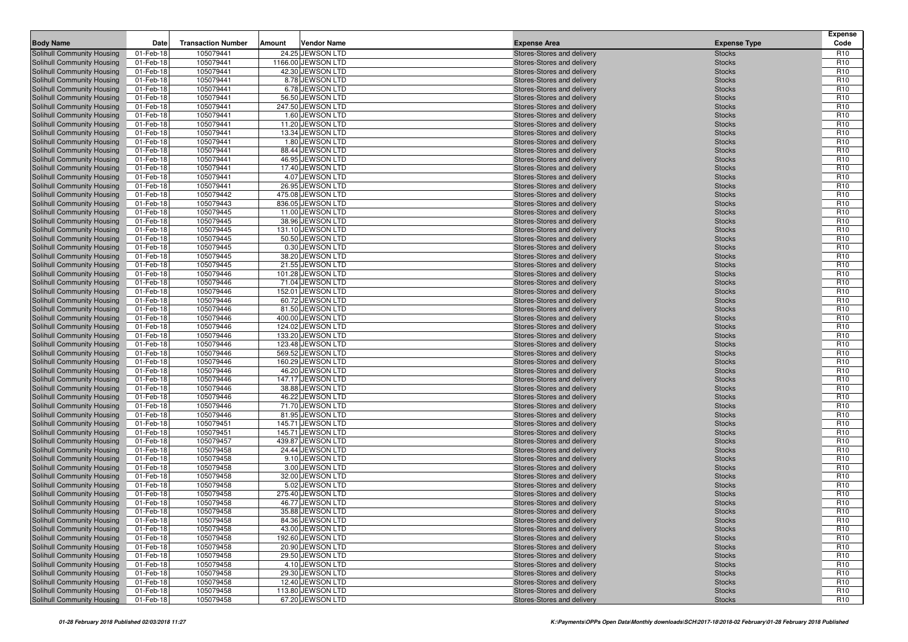| <b>Body Name</b>                                         | Date                   | <b>Transaction Number</b> | Amount | <b>Vendor Name</b>                     | <b>Expense Area</b>                                      | <b>Expense Type</b>            | <b>Expense</b><br>Code             |
|----------------------------------------------------------|------------------------|---------------------------|--------|----------------------------------------|----------------------------------------------------------|--------------------------------|------------------------------------|
| Solihull Community Housing                               | 01-Feb-18              | 105079441                 |        | 24.25 JEWSON LTD                       | Stores-Stores and delivery                               | <b>Stocks</b>                  | R <sub>10</sub>                    |
| Solihull Community Housing                               | 01-Feb-18              | 105079441                 |        | 1166.00 JEWSON LTD                     | Stores-Stores and delivery                               | <b>Stocks</b>                  | R <sub>10</sub>                    |
| Solihull Community Housing                               | 01-Feb-18              | 105079441                 |        | 42.30 JEWSON LTD                       | Stores-Stores and delivery                               | <b>Stocks</b>                  | R <sub>10</sub>                    |
| Solihull Community Housing                               | 01-Feb-18              | 105079441                 |        | 8.78 JEWSON LTD                        | Stores-Stores and delivery                               | <b>Stocks</b>                  | R <sub>10</sub>                    |
| Solihull Community Housing                               | 01-Feb-18              | 105079441                 |        | 6.78 JEWSON LTD                        | Stores-Stores and delivery                               | <b>Stocks</b>                  | R <sub>10</sub>                    |
| Solihull Community Housing                               | 01-Feb-18              | 105079441                 |        | 56.50 JEWSON LTD                       | Stores-Stores and delivery                               | <b>Stocks</b>                  | R <sub>10</sub>                    |
| Solihull Community Housing                               | 01-Feb-18              | 105079441                 |        | 247.50 JEWSON LTD                      | Stores-Stores and delivery                               | <b>Stocks</b>                  | R <sub>10</sub>                    |
| Solihull Community Housing                               | 01-Feb-18              | 105079441                 |        | 1.60 JEWSON LTD                        | Stores-Stores and delivery                               | <b>Stocks</b>                  | R <sub>10</sub>                    |
| Solihull Community Housing                               | 01-Feb-18              | 105079441                 |        | 11.20 JEWSON LTD                       | Stores-Stores and delivery                               | <b>Stocks</b>                  | R <sub>10</sub>                    |
| Solihull Community Housing                               | 01-Feb-18              | 105079441                 |        | 13.34 JEWSON LTD                       | Stores-Stores and delivery                               | <b>Stocks</b>                  | R <sub>10</sub>                    |
| Solihull Community Housing                               | 01-Feb-18              | 105079441                 |        | 1.80 JEWSON LTD                        | Stores-Stores and delivery                               | <b>Stocks</b>                  | R <sub>10</sub>                    |
| Solihull Community Housing                               | 01-Feb-18              | 105079441                 |        | 88.44 JEWSON LTD                       | Stores-Stores and delivery                               | <b>Stocks</b>                  | R <sub>10</sub>                    |
| Solihull Community Housing                               | 01-Feb-18              | 105079441                 |        | 46.95 JEWSON LTD                       | Stores-Stores and delivery                               | <b>Stocks</b>                  | R <sub>10</sub>                    |
| Solihull Community Housing                               | 01-Feb-18              | 105079441                 |        | 17.40 JEWSON LTD                       | Stores-Stores and delivery                               | <b>Stocks</b>                  | R <sub>10</sub>                    |
| Solihull Community Housing                               | 01-Feb-18              | 105079441                 |        | 4.07 JEWSON LTD                        | Stores-Stores and delivery                               | <b>Stocks</b>                  | R <sub>10</sub>                    |
| Solihull Community Housing                               | 01-Feb-18              | 105079441                 |        | 26.95 JEWSON LTD                       | Stores-Stores and delivery                               | <b>Stocks</b>                  | R <sub>10</sub>                    |
| Solihull Community Housing                               | 01-Feb-18              | 105079442<br>105079443    |        | 475.08 JEWSON LTD                      | Stores-Stores and delivery                               | <b>Stocks</b>                  | R <sub>10</sub><br>R <sub>10</sub> |
| Solihull Community Housing                               | 01-Feb-18              | 105079445                 |        | 836.05 JEWSON LTD<br>11.00 JEWSON LTD  | Stores-Stores and delivery                               | <b>Stocks</b>                  | R <sub>10</sub>                    |
| Solihull Community Housing<br>Solihull Community Housing | 01-Feb-18<br>01-Feb-18 | 105079445                 |        | 38.96 JEWSON LTD                       | Stores-Stores and delivery<br>Stores-Stores and delivery | <b>Stocks</b><br><b>Stocks</b> | R <sub>10</sub>                    |
| Solihull Community Housing                               | 01-Feb-18              | 105079445                 |        | 131.10 JEWSON LTD                      | Stores-Stores and delivery                               | <b>Stocks</b>                  | R <sub>10</sub>                    |
| Solihull Community Housing                               | 01-Feb-18              | 105079445                 |        | 50.50 JEWSON LTD                       | Stores-Stores and delivery                               | <b>Stocks</b>                  | R <sub>10</sub>                    |
| Solihull Community Housing                               | 01-Feb-18              | 105079445                 |        | 0.30 JEWSON LTD                        | Stores-Stores and delivery                               | <b>Stocks</b>                  | R <sub>10</sub>                    |
| Solihull Community Housing                               | 01-Feb-18              | 105079445                 |        | 38.20 JEWSON LTD                       | Stores-Stores and delivery                               | <b>Stocks</b>                  | R <sub>10</sub>                    |
| Solihull Community Housing                               | 01-Feb-18              | 105079445                 |        | 21.55 JEWSON LTD                       | Stores-Stores and delivery                               | <b>Stocks</b>                  | R <sub>10</sub>                    |
| Solihull Community Housing                               | 01-Feb-18              | 105079446                 |        | 101.28 JEWSON LTD                      | Stores-Stores and delivery                               | <b>Stocks</b>                  | R <sub>10</sub>                    |
| Solihull Community Housing                               | 01-Feb-18              | 105079446                 |        | 71.04 JEWSON LTD                       | Stores-Stores and delivery                               | <b>Stocks</b>                  | R <sub>10</sub>                    |
| Solihull Community Housing                               | 01-Feb-18              | 105079446                 |        | 152.01 JEWSON LTD                      | Stores-Stores and delivery                               | <b>Stocks</b>                  | R <sub>10</sub>                    |
| Solihull Community Housing                               | 01-Feb-18              | 105079446                 |        | 60.72 JEWSON LTD                       | Stores-Stores and delivery                               | <b>Stocks</b>                  | R <sub>10</sub>                    |
| Solihull Community Housing                               | 01-Feb-18              | 105079446                 |        | 81.50 JEWSON LTD                       | Stores-Stores and delivery                               | <b>Stocks</b>                  | R <sub>10</sub>                    |
| Solihull Community Housing                               | 01-Feb-18              | 105079446                 |        | 400.00 JEWSON LTD                      | Stores-Stores and delivery                               | <b>Stocks</b>                  | R <sub>10</sub>                    |
| Solihull Community Housing                               | 01-Feb-18              | 105079446                 |        | 124.02 JEWSON LTD                      | Stores-Stores and delivery                               | <b>Stocks</b>                  | R <sub>10</sub>                    |
| Solihull Community Housing                               | 01-Feb-18              | 105079446                 |        | 133.20 JEWSON LTD                      | Stores-Stores and delivery                               | <b>Stocks</b>                  | R <sub>10</sub>                    |
| Solihull Community Housing                               | 01-Feb-18              | 105079446                 |        | 123.48 JEWSON LTD                      | Stores-Stores and delivery                               | <b>Stocks</b>                  | R <sub>10</sub>                    |
| Solihull Community Housing                               | 01-Feb-18              | 105079446                 |        | 569.52 JEWSON LTD                      | Stores-Stores and delivery                               | <b>Stocks</b>                  | R <sub>10</sub>                    |
| Solihull Community Housing                               | 01-Feb-18              | 105079446                 |        | 160.29 JEWSON LTD                      | Stores-Stores and delivery                               | <b>Stocks</b>                  | R <sub>10</sub>                    |
| Solihull Community Housing                               | 01-Feb-18              | 105079446                 |        | 46.20 JEWSON LTD                       | Stores-Stores and delivery                               | <b>Stocks</b>                  | R <sub>10</sub>                    |
| Solihull Community Housing                               | 01-Feb-18              | 105079446                 |        | 147.17 JEWSON LTD                      | Stores-Stores and delivery                               | <b>Stocks</b>                  | R <sub>10</sub>                    |
| Solihull Community Housing                               | 01-Feb-18              | 105079446                 |        | 38.88 JEWSON LTD                       | Stores-Stores and delivery                               | <b>Stocks</b>                  | R <sub>10</sub>                    |
| Solihull Community Housing                               | 01-Feb-18              | 105079446                 |        | 46.22 JEWSON LTD                       | Stores-Stores and delivery                               | <b>Stocks</b>                  | R <sub>10</sub>                    |
| Solihull Community Housing                               | 01-Feb-18              | 105079446                 |        | 71.70 JEWSON LTD                       | Stores-Stores and delivery                               | <b>Stocks</b>                  | R <sub>10</sub>                    |
| Solihull Community Housing                               | 01-Feb-18              | 105079446                 |        | 81.95 JEWSON LTD                       | Stores-Stores and delivery                               | <b>Stocks</b>                  | R <sub>10</sub><br>R <sub>10</sub> |
| Solihull Community Housing                               | 01-Feb-18              | 105079451<br>105079451    |        | 145.71 JEWSON LTD<br>145.71 JEWSON LTD | Stores-Stores and delivery                               | <b>Stocks</b>                  | R <sub>10</sub>                    |
| Solihull Community Housing<br>Solihull Community Housing | 01-Feb-18<br>01-Feb-18 | 105079457                 |        | 439.87 JEWSON LTD                      | Stores-Stores and delivery<br>Stores-Stores and delivery | <b>Stocks</b><br><b>Stocks</b> | R <sub>10</sub>                    |
| Solihull Community Housing                               | 01-Feb-18              | 105079458                 |        | 24.44 JEWSON LTD                       | Stores-Stores and delivery                               | <b>Stocks</b>                  | R <sub>10</sub>                    |
| Solihull Community Housing                               | 01-Feb-18              | 105079458                 |        | 9.10 JEWSON LTD                        | Stores-Stores and delivery                               | <b>Stocks</b>                  | R <sub>10</sub>                    |
| Solihull Community Housing                               | 01-Feb-18              | 105079458                 |        | 3.00 JEWSON LTD                        | Stores-Stores and delivery                               | <b>Stocks</b>                  | R <sub>10</sub>                    |
| Solihull Community Housing                               | 01-Feb-18              | 105079458                 |        | 32.00 JEWSON LTD                       | Stores-Stores and delivery                               | <b>Stocks</b>                  | R <sub>10</sub>                    |
| Solihull Community Housing                               | 01-Feb-18              | 105079458                 |        | 5.02 JEWSON LTD                        | Stores-Stores and delivery                               | <b>Stocks</b>                  | R <sub>10</sub>                    |
| Solihull Community Housing                               | 01-Feb-18              | 105079458                 |        | 275.40 JEWSON LTD                      | Stores-Stores and delivery                               | <b>Stocks</b>                  | R <sub>10</sub>                    |
| <b>Solihull Community Housing</b>                        | 01-Feb-18              | 105079458                 |        | 46.77 JEWSON LTD                       | Stores-Stores and delivery                               | <b>Stocks</b>                  | R <sub>10</sub>                    |
| Solihull Community Housing                               | 01-Feb-18              | 105079458                 |        | 35.88 JEWSON LTD                       | Stores-Stores and delivery                               | <b>Stocks</b>                  | R <sub>10</sub>                    |
| Solihull Community Housing                               | 01-Feb-18              | 105079458                 |        | 84.36 JEWSON LTD                       | Stores-Stores and delivery                               | <b>Stocks</b>                  | R <sub>10</sub>                    |
| Solihull Community Housing                               | 01-Feb-18              | 105079458                 |        | 43.00 JEWSON LTD                       | Stores-Stores and delivery                               | <b>Stocks</b>                  | R <sub>10</sub>                    |
| Solihull Community Housing                               | 01-Feb-18              | 105079458                 |        | 192.60 JEWSON LTD                      | Stores-Stores and delivery                               | <b>Stocks</b>                  | R <sub>10</sub>                    |
| Solihull Community Housing                               | 01-Feb-18              | 105079458                 |        | 20.90 JEWSON LTD                       | Stores-Stores and delivery                               | <b>Stocks</b>                  | R <sub>10</sub>                    |
| Solihull Community Housing                               | 01-Feb-18              | 105079458                 |        | 29.50 JEWSON LTD                       | Stores-Stores and delivery                               | <b>Stocks</b>                  | R <sub>10</sub>                    |
| Solihull Community Housing                               | 01-Feb-18              | 105079458                 |        | 4.10 JEWSON LTD                        | Stores-Stores and delivery                               | <b>Stocks</b>                  | R <sub>10</sub>                    |
| Solihull Community Housing                               | 01-Feb-18              | 105079458                 |        | 29.30 JEWSON LTD                       | Stores-Stores and delivery                               | <b>Stocks</b>                  | R <sub>10</sub>                    |
| Solihull Community Housing                               | 01-Feb-18              | 105079458                 |        | 12.40 JEWSON LTD                       | Stores-Stores and delivery                               | <b>Stocks</b>                  | R <sub>10</sub>                    |
| Solihull Community Housing                               | 01-Feb-18              | 105079458                 |        | 113.80 JEWSON LTD                      | Stores-Stores and delivery                               | <b>Stocks</b>                  | R <sub>10</sub>                    |
| Solihull Community Housing                               | 01-Feb-18              | 105079458                 |        | 67.20 JEWSON LTD                       | Stores-Stores and delivery                               | <b>Stocks</b>                  | R <sub>10</sub>                    |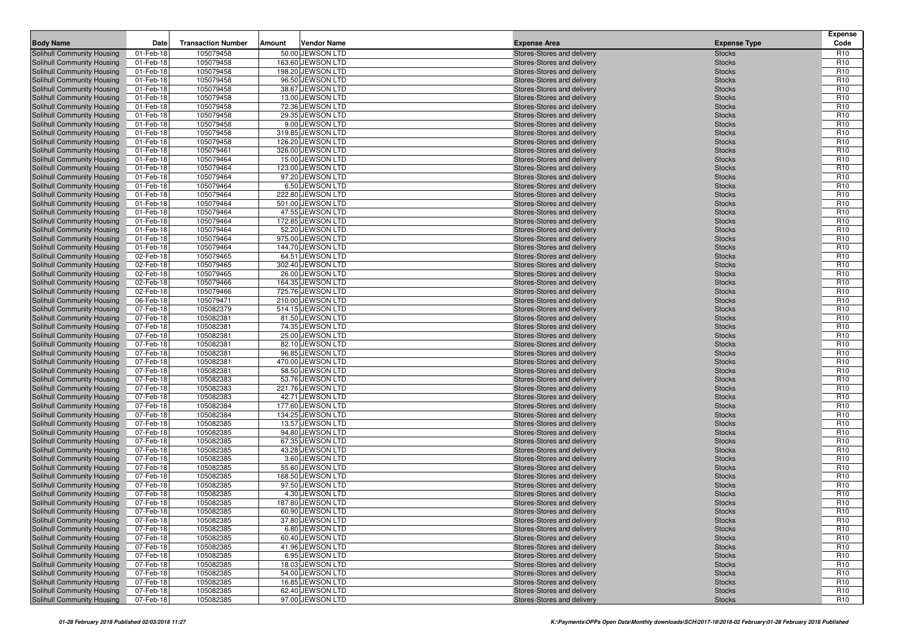| <b>Body Name</b>                                         | Date                   | <b>Transaction Number</b> | Amount | <b>Vendor Name</b>                   | <b>Expense Area</b>                                      | <b>Expense Type</b>            | <b>Expense</b><br>Code             |
|----------------------------------------------------------|------------------------|---------------------------|--------|--------------------------------------|----------------------------------------------------------|--------------------------------|------------------------------------|
| Solihull Community Housing                               | 01-Feb-18              | 105079458                 |        | 50.00 JEWSON LTD                     | Stores-Stores and delivery                               | <b>Stocks</b>                  | R <sub>10</sub>                    |
| Solihull Community Housing                               | 01-Feb-18              | 105079458                 |        | 163.60 JEWSON LTD                    | Stores-Stores and delivery                               | <b>Stocks</b>                  | R <sub>10</sub>                    |
| Solihull Community Housing                               | 01-Feb-18              | 105079458                 |        | 198.20 JEWSON LTD                    | Stores-Stores and delivery                               | <b>Stocks</b>                  | R <sub>10</sub>                    |
| Solihull Community Housing                               | 01-Feb-18              | 105079458                 |        | 96.50 JEWSON LTD                     | Stores-Stores and delivery                               | <b>Stocks</b>                  | R <sub>10</sub>                    |
| Solihull Community Housing                               | 01-Feb-18              | 105079458                 |        | 38.67 JEWSON LTD                     | Stores-Stores and delivery                               | <b>Stocks</b>                  | R <sub>10</sub>                    |
| Solihull Community Housing                               | 01-Feb-18              | 105079458                 |        | 13.00 JEWSON LTD                     | Stores-Stores and delivery                               | <b>Stocks</b>                  | R <sub>10</sub>                    |
| Solihull Community Housing                               | 01-Feb-18              | 105079458                 |        | 72.36 JEWSON LTD                     | Stores-Stores and delivery                               | <b>Stocks</b>                  | R <sub>10</sub>                    |
| Solihull Community Housing                               | 01-Feb-18              | 105079458                 |        | 29.35 JEWSON LTD                     | Stores-Stores and delivery                               | <b>Stocks</b>                  | R <sub>10</sub>                    |
| Solihull Community Housing                               | 01-Feb-18              | 105079458                 |        | 9.00 JEWSON LTD                      | Stores-Stores and delivery                               | <b>Stocks</b>                  | R <sub>10</sub>                    |
| Solihull Community Housing                               | 01-Feb-18              | 105079458                 |        | 319.85 JEWSON LTD                    | Stores-Stores and delivery                               | <b>Stocks</b>                  | R <sub>10</sub>                    |
| Solihull Community Housing                               | 01-Feb-18              | 105079458                 |        | 126.20 JEWSON LTD                    | Stores-Stores and delivery                               | <b>Stocks</b>                  | R <sub>10</sub>                    |
| Solihull Community Housing                               | 01-Feb-18              | 105079461                 |        | 326.00 JEWSON LTD                    | Stores-Stores and delivery                               | <b>Stocks</b>                  | R <sub>10</sub>                    |
| Solihull Community Housing                               | 01-Feb-18              | 105079464                 |        | 15.00 JEWSON LTD                     | Stores-Stores and delivery                               | <b>Stocks</b>                  | R <sub>10</sub>                    |
| Solihull Community Housing                               | 01-Feb-18              | 105079464                 |        | 123.00 JEWSON LTD                    | Stores-Stores and delivery                               | <b>Stocks</b>                  | R <sub>10</sub>                    |
| Solihull Community Housing                               | 01-Feb-18              | 105079464                 |        | 97.20 JEWSON LTD                     | Stores-Stores and delivery                               | <b>Stocks</b>                  | R <sub>10</sub>                    |
| Solihull Community Housing<br>Solihull Community Housing | 01-Feb-18<br>01-Feb-18 | 105079464<br>105079464    |        | 6.50 JEWSON LTD<br>222.80 JEWSON LTD | Stores-Stores and delivery<br>Stores-Stores and delivery | <b>Stocks</b><br><b>Stocks</b> | R <sub>10</sub><br>R <sub>10</sub> |
| Solihull Community Housing                               | 01-Feb-18              | 105079464                 |        | 501.00 JEWSON LTD                    | Stores-Stores and delivery                               | <b>Stocks</b>                  | R <sub>10</sub>                    |
| Solihull Community Housing                               | 01-Feb-18              | 105079464                 |        | 47.55 JEWSON LTD                     | Stores-Stores and delivery                               | <b>Stocks</b>                  | R <sub>10</sub>                    |
| Solihull Community Housing                               | 01-Feb-18              | 105079464                 |        | 172.85 JEWSON LTD                    | Stores-Stores and delivery                               | <b>Stocks</b>                  | R <sub>10</sub>                    |
| Solihull Community Housing                               | 01-Feb-18              | 105079464                 |        | 52.20 JEWSON LTD                     | Stores-Stores and delivery                               | <b>Stocks</b>                  | R <sub>10</sub>                    |
| Solihull Community Housing                               | 01-Feb-18              | 105079464                 |        | 975.00 JEWSON LTD                    | Stores-Stores and delivery                               | <b>Stocks</b>                  | R <sub>10</sub>                    |
| Solihull Community Housing                               | 01-Feb-18              | 105079464                 |        | 144.70 JEWSON LTD                    | Stores-Stores and delivery                               | <b>Stocks</b>                  | R <sub>10</sub>                    |
| Solihull Community Housing                               | 02-Feb-18              | 105079465                 |        | 64.51 JEWSON LTD                     | Stores-Stores and delivery                               | <b>Stocks</b>                  | R <sub>10</sub>                    |
| Solihull Community Housing                               | 02-Feb-18              | 105079465                 |        | 302.40 JEWSON LTD                    | Stores-Stores and delivery                               | <b>Stocks</b>                  | R <sub>10</sub>                    |
| Solihull Community Housing                               | 02-Feb-18              | 105079465                 |        | 26.00 JEWSON LTD                     | Stores-Stores and delivery                               | <b>Stocks</b>                  | R <sub>10</sub>                    |
| Solihull Community Housing                               | 02-Feb-18              | 105079466                 |        | 164.35 JEWSON LTD                    | Stores-Stores and delivery                               | <b>Stocks</b>                  | R <sub>10</sub>                    |
| Solihull Community Housing                               | 02-Feb-18              | 105079466                 |        | 725.76 JEWSON LTD                    | Stores-Stores and delivery                               | <b>Stocks</b>                  | R <sub>10</sub>                    |
| Solihull Community Housing                               | 06-Feb-18              | 105079471                 |        | 210.00 JEWSON LTD                    | Stores-Stores and delivery                               | <b>Stocks</b>                  | R <sub>10</sub>                    |
| Solihull Community Housing                               | 07-Feb-18              | 105082379                 |        | 514.15 JEWSON LTD                    | Stores-Stores and delivery                               | <b>Stocks</b>                  | R <sub>10</sub>                    |
| Solihull Community Housing                               | 07-Feb-18              | 105082381                 |        | 81.50 JEWSON LTD                     | Stores-Stores and delivery                               | <b>Stocks</b>                  | R <sub>10</sub>                    |
| Solihull Community Housing                               | 07-Feb-18              | 105082381                 |        | 74.35 JEWSON LTD                     | Stores-Stores and delivery                               | <b>Stocks</b>                  | R <sub>10</sub>                    |
| Solihull Community Housing                               | 07-Feb-18              | 105082381                 |        | 25.00 JEWSON LTD                     | Stores-Stores and delivery                               | <b>Stocks</b>                  | R <sub>10</sub>                    |
| Solihull Community Housing                               | 07-Feb-18              | 105082381                 |        | 82.10 JEWSON LTD                     | Stores-Stores and delivery                               | <b>Stocks</b>                  | R <sub>10</sub>                    |
| Solihull Community Housing                               | 07-Feb-18              | 105082381                 |        | 96.85 JEWSON LTD                     | Stores-Stores and delivery                               | <b>Stocks</b>                  | R <sub>10</sub>                    |
| Solihull Community Housing                               | 07-Feb-18              | 105082381                 |        | 470.00 JEWSON LTD                    | Stores-Stores and delivery                               | <b>Stocks</b>                  | R <sub>10</sub>                    |
| Solihull Community Housing                               | 07-Feb-18<br>07-Feb-18 | 105082381<br>105082383    |        | 58.50 JEWSON LTD<br>53.76 JEWSON LTD | Stores-Stores and delivery                               | <b>Stocks</b>                  | R <sub>10</sub><br>R <sub>10</sub> |
| Solihull Community Housing<br>Solihull Community Housing | 07-Feb-18              | 105082383                 |        | 221.76 JEWSON LTD                    | Stores-Stores and delivery<br>Stores-Stores and delivery | <b>Stocks</b><br><b>Stocks</b> | R <sub>10</sub>                    |
| Solihull Community Housing                               | 07-Feb-18              | 105082383                 |        | 42.71 JEWSON LTD                     | Stores-Stores and delivery                               | <b>Stocks</b>                  | R <sub>10</sub>                    |
| Solihull Community Housing                               | 07-Feb-18              | 105082384                 |        | 177.60 JEWSON LTD                    | Stores-Stores and delivery                               | <b>Stocks</b>                  | R <sub>10</sub>                    |
| Solihull Community Housing                               | 07-Feb-18              | 105082384                 |        | 134.25 JEWSON LTD                    | Stores-Stores and delivery                               | <b>Stocks</b>                  | R <sub>10</sub>                    |
| Solihull Community Housing                               | 07-Feb-18              | 105082385                 |        | 13.57 JEWSON LTD                     | Stores-Stores and delivery                               | <b>Stocks</b>                  | R <sub>10</sub>                    |
| Solihull Community Housing                               | 07-Feb-18              | 105082385                 |        | 94.80 JEWSON LTD                     | Stores-Stores and delivery                               | <b>Stocks</b>                  | R <sub>10</sub>                    |
| Solihull Community Housing                               | 07-Feb-18              | 105082385                 |        | 67.35 JEWSON LTD                     | Stores-Stores and delivery                               | <b>Stocks</b>                  | R <sub>10</sub>                    |
| Solihull Community Housing                               | 07-Feb-18              | 105082385                 |        | 43.28 JEWSON LTD                     | Stores-Stores and delivery                               | <b>Stocks</b>                  | R <sub>10</sub>                    |
| Solihull Community Housing                               | 07-Feb-18              | 105082385                 |        | 3.60 JEWSON LTD                      | Stores-Stores and delivery                               | <b>Stocks</b>                  | R <sub>10</sub>                    |
| Solihull Community Housing                               | 07-Feb-18              | 105082385                 |        | 55.60 JEWSON LTD                     | Stores-Stores and delivery                               | <b>Stocks</b>                  | R <sub>10</sub>                    |
| Solihull Community Housing                               | 07-Feb-18              | 105082385                 |        | 168.50 JEWSON LTD                    | Stores-Stores and delivery                               | <b>Stocks</b>                  | R <sub>10</sub>                    |
| Solihull Community Housing                               | 07-Feb-18              | 105082385                 |        | 97.50 JEWSON LTD                     | Stores-Stores and delivery                               | <b>Stocks</b>                  | R <sub>10</sub>                    |
| Solihull Community Housing                               | 07-Feb-18              | 105082385                 |        | 4.30 JEWSON LTD                      | Stores-Stores and delivery                               | <b>Stocks</b>                  | R <sub>10</sub>                    |
| <b>Solihull Community Housing</b>                        | 07-Feb-18              | 105082385                 |        | 187.80 JEWSON LTD                    | Stores-Stores and delivery                               | <b>Stocks</b>                  | R <sub>10</sub>                    |
| Solihull Community Housing                               | 07-Feb-18              | 105082385                 |        | 60.90 JEWSON LTD                     | Stores-Stores and delivery                               | <b>Stocks</b>                  | R <sub>10</sub>                    |
| Solihull Community Housing                               | 07-Feb-18              | 105082385                 |        | 37.80 JEWSON LTD                     | Stores-Stores and delivery                               | <b>Stocks</b>                  | R <sub>10</sub>                    |
| Solihull Community Housing                               | 07-Feb-18              | 105082385                 |        | 6.80 JEWSON LTD                      | Stores-Stores and delivery                               | <b>Stocks</b>                  | R <sub>10</sub>                    |
| Solihull Community Housing                               | 07-Feb-18              | 105082385                 |        | 60.40 JEWSON LTD                     | Stores-Stores and delivery                               | <b>Stocks</b>                  | R <sub>10</sub>                    |
| Solihull Community Housing                               | 07-Feb-18              | 105082385                 |        | 41.96 JEWSON LTD                     | Stores-Stores and delivery                               | <b>Stocks</b>                  | R <sub>10</sub>                    |
| Solihull Community Housing                               | 07-Feb-18              | 105082385                 |        | 6.95 JEWSON LTD                      | Stores-Stores and delivery                               | <b>Stocks</b>                  | R <sub>10</sub>                    |
| Solihull Community Housing<br>Solihull Community Housing | 07-Feb-18<br>07-Feb-18 | 105082385<br>105082385    |        | 18.03 JEWSON LTD<br>54.00 JEWSON LTD | Stores-Stores and delivery<br>Stores-Stores and delivery | <b>Stocks</b><br><b>Stocks</b> | R <sub>10</sub><br>R <sub>10</sub> |
| Solihull Community Housing                               | 07-Feb-18              | 105082385                 |        | 16.85 JEWSON LTD                     | Stores-Stores and delivery                               | <b>Stocks</b>                  | R <sub>10</sub>                    |
| Solihull Community Housing                               | 07-Feb-18              | 105082385                 |        | 62.40 JEWSON LTD                     | Stores-Stores and delivery                               | <b>Stocks</b>                  | R <sub>10</sub>                    |
| Solihull Community Housing                               | 07-Feb-18              | 105082385                 |        | 97.00 JEWSON LTD                     | Stores-Stores and delivery                               | <b>Stocks</b>                  | R <sub>10</sub>                    |
|                                                          |                        |                           |        |                                      |                                                          |                                |                                    |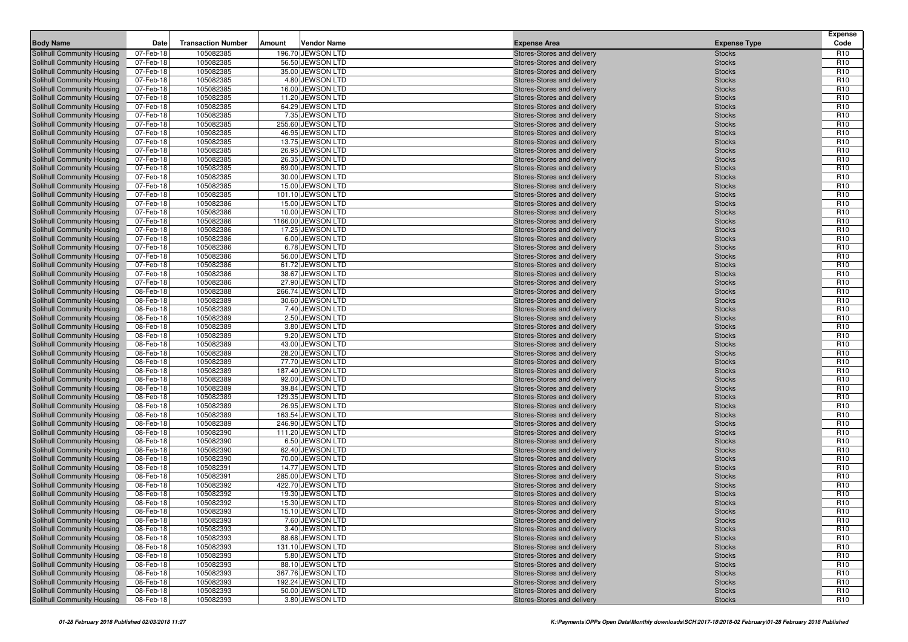|                                                                 |                        |                           |        |                                        |                                                          |                                | <b>Expense</b>                     |
|-----------------------------------------------------------------|------------------------|---------------------------|--------|----------------------------------------|----------------------------------------------------------|--------------------------------|------------------------------------|
| <b>Body Name</b>                                                | Date                   | <b>Transaction Number</b> | Amount | <b>Vendor Name</b>                     | <b>Expense Area</b>                                      | <b>Expense Type</b>            | Code                               |
| Solihull Community Housing                                      | 07-Feb-18              | 105082385                 |        | 196.70 JEWSON LTD                      | Stores-Stores and delivery                               | <b>Stocks</b>                  | R <sub>10</sub>                    |
| Solihull Community Housing                                      | 07-Feb-18              | 105082385                 |        | 56.50 JEWSON LTD                       | Stores-Stores and delivery                               | <b>Stocks</b>                  | R <sub>10</sub>                    |
| Solihull Community Housing<br>Solihull Community Housing        | 07-Feb-18<br>07-Feb-18 | 105082385<br>105082385    |        | 35.00 JEWSON LTD<br>4.80 JEWSON LTD    | Stores-Stores and delivery<br>Stores-Stores and delivery | <b>Stocks</b><br><b>Stocks</b> | R <sub>10</sub><br>R <sub>10</sub> |
| Solihull Community Housing                                      | 07-Feb-18              | 105082385                 |        | 16.00 JEWSON LTD                       | Stores-Stores and delivery                               | <b>Stocks</b>                  | R <sub>10</sub>                    |
| Solihull Community Housing                                      | 07-Feb-18              | 105082385                 |        | 11.20 JEWSON LTD                       | Stores-Stores and delivery                               | <b>Stocks</b>                  | R <sub>10</sub>                    |
| Solihull Community Housing                                      | 07-Feb-18              | 105082385                 |        | 64.29 JEWSON LTD                       | Stores-Stores and delivery                               | <b>Stocks</b>                  | R <sub>10</sub>                    |
| Solihull Community Housing                                      | 07-Feb-18              | 105082385                 |        | 7.35 JEWSON LTD                        | Stores-Stores and delivery                               | <b>Stocks</b>                  | R <sub>10</sub>                    |
| Solihull Community Housing                                      | 07-Feb-18              | 105082385                 |        | 255.60 JEWSON LTD                      | Stores-Stores and delivery                               | <b>Stocks</b>                  | R <sub>10</sub>                    |
| Solihull Community Housing                                      | 07-Feb-18              | 105082385                 |        | 46.95 JEWSON LTD                       | Stores-Stores and delivery                               | <b>Stocks</b>                  | R <sub>10</sub>                    |
| Solihull Community Housing                                      | 07-Feb-18              | 105082385                 |        | 13.75 JEWSON LTD                       | Stores-Stores and delivery                               | <b>Stocks</b>                  | R <sub>10</sub>                    |
| Solihull Community Housing                                      | 07-Feb-18              | 105082385                 |        | 26.95 JEWSON LTD                       | Stores-Stores and delivery                               | <b>Stocks</b>                  | R <sub>10</sub>                    |
| <b>Solihull Community Housing</b>                               | 07-Feb-18              | 105082385                 |        | 26.35 JEWSON LTD                       | Stores-Stores and delivery                               | <b>Stocks</b>                  | R <sub>10</sub>                    |
| Solihull Community Housing                                      | 07-Feb-18              | 105082385                 |        | 69.00 JEWSON LTD                       | Stores-Stores and delivery                               | <b>Stocks</b>                  | R <sub>10</sub>                    |
| Solihull Community Housing                                      | 07-Feb-18              | 105082385                 |        | 30.00 JEWSON LTD                       | Stores-Stores and delivery                               | <b>Stocks</b>                  | R <sub>10</sub>                    |
| Solihull Community Housing                                      | 07-Feb-18              | 105082385                 |        | 15.00 JEWSON LTD                       | Stores-Stores and delivery                               | <b>Stocks</b>                  | R <sub>10</sub>                    |
| Solihull Community Housing                                      | 07-Feb-18              | 105082385                 |        | 101.10 JEWSON LTD                      | Stores-Stores and delivery                               | <b>Stocks</b>                  | R <sub>10</sub>                    |
| Solihull Community Housing                                      | 07-Feb-18              | 105082386                 |        | 15.00 JEWSON LTD                       | Stores-Stores and delivery                               | <b>Stocks</b>                  | R <sub>10</sub>                    |
| Solihull Community Housing                                      | 07-Feb-18              | 105082386                 |        | 10.00 JEWSON LTD                       | Stores-Stores and delivery                               | <b>Stocks</b>                  | R <sub>10</sub>                    |
| Solihull Community Housing<br><b>Solihull Community Housing</b> | 07-Feb-18<br>07-Feb-18 | 105082386<br>105082386    |        | 1166.00 JEWSON LTD<br>17.25 JEWSON LTD | Stores-Stores and delivery<br>Stores-Stores and delivery | <b>Stocks</b><br><b>Stocks</b> | R <sub>10</sub><br>R <sub>10</sub> |
| Solihull Community Housing                                      | 07-Feb-18              | 105082386                 |        | 6.00 JEWSON LTD                        | Stores-Stores and delivery                               | <b>Stocks</b>                  | R <sub>10</sub>                    |
| Solihull Community Housing                                      | 07-Feb-18              | 105082386                 |        | 6.78 JEWSON LTD                        | Stores-Stores and delivery                               | <b>Stocks</b>                  | R <sub>10</sub>                    |
| Solihull Community Housing                                      | 07-Feb-18              | 105082386                 |        | 56.00 JEWSON LTD                       | Stores-Stores and delivery                               | <b>Stocks</b>                  | R <sub>10</sub>                    |
| <b>Solihull Community Housing</b>                               | 07-Feb-18              | 105082386                 |        | 61.72 JEWSON LTD                       | Stores-Stores and delivery                               | <b>Stocks</b>                  | R <sub>10</sub>                    |
| Solihull Community Housing                                      | 07-Feb-18              | 105082386                 |        | 38.67 JEWSON LTD                       | Stores-Stores and delivery                               | <b>Stocks</b>                  | R <sub>10</sub>                    |
| Solihull Community Housing                                      | 07-Feb-18              | 105082386                 |        | 27.90 JEWSON LTD                       | Stores-Stores and delivery                               | <b>Stocks</b>                  | R <sub>10</sub>                    |
| Solihull Community Housing                                      | 08-Feb-18              | 105082388                 |        | 266.74 JEWSON LTD                      | Stores-Stores and delivery                               | <b>Stocks</b>                  | R <sub>10</sub>                    |
| Solihull Community Housing                                      | 08-Feb-18              | 105082389                 |        | 30.60 JEWSON LTD                       | Stores-Stores and delivery                               | <b>Stocks</b>                  | R <sub>10</sub>                    |
| Solihull Community Housing                                      | 08-Feb-18              | 105082389                 |        | 7.40 JEWSON LTD                        | Stores-Stores and delivery                               | <b>Stocks</b>                  | R <sub>10</sub>                    |
| Solihull Community Housing                                      | 08-Feb-18              | 105082389                 |        | 2.50 JEWSON LTD                        | Stores-Stores and delivery                               | <b>Stocks</b>                  | R <sub>10</sub>                    |
| Solihull Community Housing                                      | 08-Feb-18              | 105082389                 |        | 3.80 JEWSON LTD                        | Stores-Stores and delivery                               | <b>Stocks</b>                  | R <sub>10</sub>                    |
| Solihull Community Housing                                      | 08-Feb-18              | 105082389                 |        | 9.20 JEWSON LTD                        | Stores-Stores and delivery                               | <b>Stocks</b>                  | R <sub>10</sub>                    |
| Solihull Community Housing                                      | 08-Feb-18              | 105082389                 |        | 43.00 JEWSON LTD                       | Stores-Stores and delivery                               | <b>Stocks</b>                  | R <sub>10</sub>                    |
| Solihull Community Housing                                      | 08-Feb-18              | 105082389<br>105082389    |        | 28.20 JEWSON LTD<br>77.70 JEWSON LTD   | Stores-Stores and delivery                               | <b>Stocks</b>                  | R <sub>10</sub><br>R <sub>10</sub> |
| Solihull Community Housing<br>Solihull Community Housing        | 08-Feb-18<br>08-Feb-18 | 105082389                 |        | 187.40 JEWSON LTD                      | Stores-Stores and delivery<br>Stores-Stores and delivery | <b>Stocks</b><br><b>Stocks</b> | R <sub>10</sub>                    |
| <b>Solihull Community Housing</b>                               | 08-Feb-18              | 105082389                 |        | 92.00 JEWSON LTD                       | Stores-Stores and delivery                               | <b>Stocks</b>                  | R <sub>10</sub>                    |
| Solihull Community Housing                                      | 08-Feb-18              | 105082389                 |        | 39.84 JEWSON LTD                       | Stores-Stores and delivery                               | <b>Stocks</b>                  | R <sub>10</sub>                    |
| Solihull Community Housing                                      | 08-Feb-18              | 105082389                 |        | 129.35 JEWSON LTD                      | Stores-Stores and delivery                               | <b>Stocks</b>                  | R <sub>10</sub>                    |
| Solihull Community Housing                                      | 08-Feb-18              | 105082389                 |        | 26.95 JEWSON LTD                       | Stores-Stores and delivery                               | <b>Stocks</b>                  | R <sub>10</sub>                    |
| Solihull Community Housing                                      | 08-Feb-18              | 105082389                 |        | 163.54 JEWSON LTD                      | Stores-Stores and delivery                               | <b>Stocks</b>                  | R <sub>10</sub>                    |
| Solihull Community Housing                                      | 08-Feb-18              | 105082389                 |        | 246.90 JEWSON LTD                      | Stores-Stores and delivery                               | <b>Stocks</b>                  | R <sub>10</sub>                    |
| Solihull Community Housing                                      | 08-Feb-18              | 105082390                 |        | 111.20 JEWSON LTD                      | Stores-Stores and delivery                               | <b>Stocks</b>                  | R <sub>10</sub>                    |
| Solihull Community Housing                                      | 08-Feb-18              | 105082390                 |        | 6.50 JEWSON LTD                        | Stores-Stores and delivery                               | <b>Stocks</b>                  | R <sub>10</sub>                    |
| Solihull Community Housing                                      | 08-Feb-18              | 105082390                 |        | 62.40 JEWSON LTD                       | Stores-Stores and delivery                               | <b>Stocks</b>                  | R <sub>10</sub>                    |
| Solihull Community Housing                                      | 08-Feb-18              | 105082390                 |        | 70.00 JEWSON LTD                       | Stores-Stores and delivery                               | <b>Stocks</b>                  | R <sub>10</sub>                    |
| Solihull Community Housing                                      | 08-Feb-18              | 105082391                 |        | 14.77 JEWSON LTD                       | Stores-Stores and delivery                               | <b>Stocks</b>                  | R <sub>10</sub>                    |
| Solihull Community Housing                                      | 08-Feb-18              | 105082391                 |        | 285.00 JEWSON LTD                      | Stores-Stores and delivery                               | <b>Stocks</b>                  | R <sub>10</sub>                    |
| <b>Solihull Community Housing</b>                               | 08-Feb-18              | 105082392                 |        | 422.70 JEWSON LTD                      | Stores-Stores and delivery                               | <b>Stocks</b>                  | R <sub>10</sub>                    |
| Solihull Community Housing<br>Solihull Community Housing        | 08-Feb-18<br>08-Feb-18 | 105082392<br>105082392    |        | 19.30 JEWSON LTD<br>15.30 JEWSON LTD   | Stores-Stores and delivery                               | <b>Stocks</b>                  | R <sub>10</sub><br>R <sub>10</sub> |
| Solihull Community Housing                                      | 08-Feb-18              | 105082393                 |        | 15.10 JEWSON LTD                       | Stores-Stores and delivery<br>Stores-Stores and delivery | <b>Stocks</b><br><b>Stocks</b> | R <sub>10</sub>                    |
| <b>Solihull Community Housing</b>                               | 08-Feb-18              | 105082393                 |        | 7.60 JEWSON LTD                        | Stores-Stores and delivery                               | <b>Stocks</b>                  | R <sub>10</sub>                    |
| <b>Solihull Community Housing</b>                               | 08-Feb-18              | 105082393                 |        | 3.40 JEWSON LTD                        | Stores-Stores and delivery                               | <b>Stocks</b>                  | R <sub>10</sub>                    |
| Solihull Community Housing                                      | 08-Feb-18              | 105082393                 |        | 88.68 JEWSON LTD                       | Stores-Stores and delivery                               | <b>Stocks</b>                  | R <sub>10</sub>                    |
| Solihull Community Housing                                      | 08-Feb-18              | 105082393                 |        | 131.10 JEWSON LTD                      | Stores-Stores and delivery                               | <b>Stocks</b>                  | R <sub>10</sub>                    |
| Solihull Community Housing                                      | 08-Feb-18              | 105082393                 |        | 5.80 JEWSON LTD                        | Stores-Stores and delivery                               | <b>Stocks</b>                  | R <sub>10</sub>                    |
| Solihull Community Housing                                      | 08-Feb-18              | 105082393                 |        | 88.10 JEWSON LTD                       | Stores-Stores and delivery                               | <b>Stocks</b>                  | R <sub>10</sub>                    |
| Solihull Community Housing                                      | 08-Feb-18              | 105082393                 |        | 367.76 JEWSON LTD                      | Stores-Stores and delivery                               | <b>Stocks</b>                  | R <sub>10</sub>                    |
| Solihull Community Housing                                      | 08-Feb-18              | 105082393                 |        | 192.24 JEWSON LTD                      | Stores-Stores and delivery                               | <b>Stocks</b>                  | R <sub>10</sub>                    |
| Solihull Community Housing                                      | 08-Feb-18              | 105082393                 |        | 50.00 JEWSON LTD                       | Stores-Stores and delivery                               | <b>Stocks</b>                  | R <sub>10</sub>                    |
| Solihull Community Housing                                      | 08-Feb-18              | 105082393                 |        | 3.80 JEWSON LTD                        | Stores-Stores and delivery                               | <b>Stocks</b>                  | R <sub>10</sub>                    |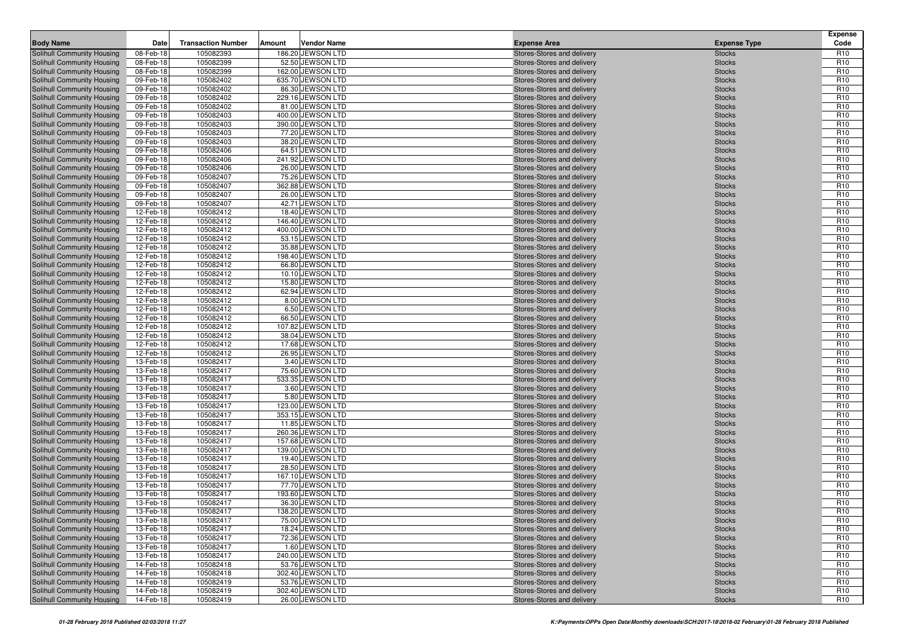| <b>Body Name</b>                                         | Date                   | <b>Transaction Number</b> | Amount | <b>Vendor Name</b>                    | <b>Expense Area</b>                                      | <b>Expense Type</b>            | <b>Expense</b><br>Code             |
|----------------------------------------------------------|------------------------|---------------------------|--------|---------------------------------------|----------------------------------------------------------|--------------------------------|------------------------------------|
| Solihull Community Housing                               | 08-Feb-18              | 105082393                 |        | 186.20 JEWSON LTD                     | Stores-Stores and delivery                               | <b>Stocks</b>                  | R <sub>10</sub>                    |
| Solihull Community Housing                               | 08-Feb-18              | 105082399                 |        | 52.50 JEWSON LTD                      | Stores-Stores and delivery                               | <b>Stocks</b>                  | R <sub>10</sub>                    |
| Solihull Community Housing                               | 08-Feb-18              | 105082399                 |        | 162.00 JEWSON LTD                     | Stores-Stores and delivery                               | <b>Stocks</b>                  | R <sub>10</sub>                    |
| Solihull Community Housing                               | 09-Feb-18              | 105082402                 |        | 635.70 JEWSON LTD                     | Stores-Stores and delivery                               | <b>Stocks</b>                  | R <sub>10</sub>                    |
| Solihull Community Housing                               | 09-Feb-18              | 105082402                 |        | 86.30 JEWSON LTD                      | Stores-Stores and delivery                               | <b>Stocks</b>                  | R <sub>10</sub>                    |
| Solihull Community Housing                               | 09-Feb-18              | 105082402                 |        | 229.16 JEWSON LTD                     | Stores-Stores and delivery                               | <b>Stocks</b>                  | R <sub>10</sub>                    |
| Solihull Community Housing                               | 09-Feb-18              | 105082402                 |        | 81.00 JEWSON LTD                      | Stores-Stores and delivery                               | <b>Stocks</b>                  | R <sub>10</sub>                    |
| Solihull Community Housing                               | 09-Feb-18              | 105082403                 |        | 400.00 JEWSON LTD                     | Stores-Stores and delivery                               | <b>Stocks</b>                  | R <sub>10</sub>                    |
| Solihull Community Housing                               | 09-Feb-18              | 105082403                 |        | 390.00 JEWSON LTD                     | Stores-Stores and delivery                               | <b>Stocks</b>                  | R <sub>10</sub>                    |
| Solihull Community Housing                               | 09-Feb-18              | 105082403                 |        | 77.20 JEWSON LTD                      | Stores-Stores and delivery                               | <b>Stocks</b>                  | R <sub>10</sub>                    |
| Solihull Community Housing                               | 09-Feb-18              | 105082403                 |        | 38.20 JEWSON LTD                      | Stores-Stores and delivery                               | <b>Stocks</b>                  | R <sub>10</sub>                    |
| Solihull Community Housing                               | 09-Feb-18              | 105082406                 |        | 64.51 JEWSON LTD                      | Stores-Stores and delivery                               | <b>Stocks</b>                  | R <sub>10</sub>                    |
| Solihull Community Housing                               | 09-Feb-18              | 105082406                 |        | 241.92 JEWSON LTD                     | Stores-Stores and delivery                               | <b>Stocks</b>                  | R <sub>10</sub>                    |
| Solihull Community Housing                               | 09-Feb-18              | 105082406                 |        | 26.00 JEWSON LTD                      | Stores-Stores and delivery                               | <b>Stocks</b>                  | R <sub>10</sub>                    |
| Solihull Community Housing                               | 09-Feb-18              | 105082407                 |        | 75.26 JEWSON LTD                      | Stores-Stores and delivery                               | <b>Stocks</b>                  | R <sub>10</sub>                    |
| Solihull Community Housing                               | 09-Feb-18              | 105082407                 |        | 362.88 JEWSON LTD                     | Stores-Stores and delivery                               | <b>Stocks</b>                  | R <sub>10</sub>                    |
| Solihull Community Housing                               | 09-Feb-18              | 105082407                 |        | 26.00 JEWSON LTD                      | Stores-Stores and delivery                               | <b>Stocks</b>                  | R <sub>10</sub>                    |
| Solihull Community Housing                               | 09-Feb-18              | 105082407                 |        | 42.71 JEWSON LTD                      | Stores-Stores and delivery                               | <b>Stocks</b>                  | R <sub>10</sub>                    |
| Solihull Community Housing                               | 12-Feb-18              | 105082412                 |        | 18.40 JEWSON LTD                      | Stores-Stores and delivery                               | <b>Stocks</b>                  | R <sub>10</sub>                    |
| Solihull Community Housing                               | 12-Feb-18              | 105082412                 |        | 146.40 JEWSON LTD                     | Stores-Stores and delivery                               | <b>Stocks</b>                  | R <sub>10</sub>                    |
| Solihull Community Housing                               | 12-Feb-18              | 105082412                 |        | 400.00 JEWSON LTD                     | Stores-Stores and delivery                               | <b>Stocks</b>                  | R <sub>10</sub>                    |
| Solihull Community Housing                               | 12-Feb-18              | 105082412                 |        | 53.15 JEWSON LTD                      | Stores-Stores and delivery                               | <b>Stocks</b>                  | R <sub>10</sub>                    |
| Solihull Community Housing                               | 12-Feb-18              | 105082412                 |        | 35.88 JEWSON LTD                      | Stores-Stores and delivery                               | <b>Stocks</b>                  | R <sub>10</sub>                    |
| Solihull Community Housing                               | 12-Feb-18              | 105082412                 |        | 198.40 JEWSON LTD                     | Stores-Stores and delivery                               | <b>Stocks</b>                  | R <sub>10</sub>                    |
| Solihull Community Housing                               | 12-Feb-18              | 105082412                 |        | 66.80 JEWSON LTD                      | Stores-Stores and delivery                               | <b>Stocks</b>                  | R <sub>10</sub>                    |
| Solihull Community Housing                               | 12-Feb-18              | 105082412                 |        | 10.10 JEWSON LTD                      | Stores-Stores and delivery                               | <b>Stocks</b>                  | R <sub>10</sub>                    |
| Solihull Community Housing                               | 12-Feb-18              | 105082412                 |        | 15.80 JEWSON LTD                      | Stores-Stores and delivery                               | <b>Stocks</b>                  | R <sub>10</sub>                    |
| Solihull Community Housing                               | 12-Feb-18              | 105082412                 |        | 62.94 JEWSON LTD                      | Stores-Stores and delivery                               | <b>Stocks</b>                  | R <sub>10</sub>                    |
| Solihull Community Housing                               | 12-Feb-18              | 105082412                 |        | 8.00 JEWSON LTD                       | Stores-Stores and delivery                               | <b>Stocks</b>                  | R <sub>10</sub>                    |
| Solihull Community Housing                               | 12-Feb-18              | 105082412                 |        | 6.50 JEWSON LTD                       | Stores-Stores and delivery                               | <b>Stocks</b>                  | R <sub>10</sub>                    |
| Solihull Community Housing                               | 12-Feb-18              | 105082412                 |        | 66.50 JEWSON LTD                      | Stores-Stores and delivery                               | <b>Stocks</b>                  | R <sub>10</sub>                    |
| Solihull Community Housing                               | 12-Feb-18              | 105082412                 |        | 107.82 JEWSON LTD<br>38.04 JEWSON LTD | Stores-Stores and delivery                               | <b>Stocks</b>                  | R <sub>10</sub>                    |
| Solihull Community Housing                               | 12-Feb-18              | 105082412<br>105082412    |        | 17.68 JEWSON LTD                      | Stores-Stores and delivery                               | <b>Stocks</b>                  | R <sub>10</sub><br>R <sub>10</sub> |
| Solihull Community Housing<br>Solihull Community Housing | 12-Feb-18<br>12-Feb-18 | 105082412                 |        | 26.95 JEWSON LTD                      | Stores-Stores and delivery<br>Stores-Stores and delivery | <b>Stocks</b><br><b>Stocks</b> | R <sub>10</sub>                    |
| Solihull Community Housing                               | 13-Feb-18              | 105082417                 |        | 3.40 JEWSON LTD                       | Stores-Stores and delivery                               | <b>Stocks</b>                  | R <sub>10</sub>                    |
| Solihull Community Housing                               | 13-Feb-18              | 105082417                 |        | 75.60 JEWSON LTD                      | Stores-Stores and delivery                               | <b>Stocks</b>                  | R <sub>10</sub>                    |
| Solihull Community Housing                               | 13-Feb-18              | 105082417                 |        | 533.35 JEWSON LTD                     | Stores-Stores and delivery                               | <b>Stocks</b>                  | R <sub>10</sub>                    |
| Solihull Community Housing                               | 13-Feb-18              | 105082417                 |        | 3.60 JEWSON LTD                       | Stores-Stores and delivery                               | <b>Stocks</b>                  | R <sub>10</sub>                    |
| Solihull Community Housing                               | 13-Feb-18              | 105082417                 |        | 5.80 JEWSON LTD                       | Stores-Stores and delivery                               | <b>Stocks</b>                  | R <sub>10</sub>                    |
| Solihull Community Housing                               | 13-Feb-18              | 105082417                 |        | 123.00 JEWSON LTD                     | Stores-Stores and delivery                               | <b>Stocks</b>                  | R <sub>10</sub>                    |
| Solihull Community Housing                               | 13-Feb-18              | 105082417                 |        | 353.15 JEWSON LTD                     | Stores-Stores and delivery                               | <b>Stocks</b>                  | R <sub>10</sub>                    |
| Solihull Community Housing                               | 13-Feb-18              | 105082417                 |        | 11.85 JEWSON LTD                      | Stores-Stores and delivery                               | <b>Stocks</b>                  | R <sub>10</sub>                    |
| Solihull Community Housing                               | 13-Feb-18              | 105082417                 |        | 260.36 JEWSON LTD                     | Stores-Stores and delivery                               | <b>Stocks</b>                  | R <sub>10</sub>                    |
| Solihull Community Housing                               | 13-Feb-18              | 105082417                 |        | 157.68 JEWSON LTD                     | Stores-Stores and delivery                               | <b>Stocks</b>                  | R <sub>10</sub>                    |
| Solihull Community Housing                               | 13-Feb-18              | 105082417                 |        | 139.00 JEWSON LTD                     | Stores-Stores and delivery                               | <b>Stocks</b>                  | R <sub>10</sub>                    |
| Solihull Community Housing                               | 13-Feb-18              | 105082417                 |        | 19.40 JEWSON LTD                      | Stores-Stores and delivery                               | <b>Stocks</b>                  | R <sub>10</sub>                    |
| Solihull Community Housing                               | 13-Feb-18              | 105082417                 |        | 28.50 JEWSON LTD                      | Stores-Stores and delivery                               | <b>Stocks</b>                  | R <sub>10</sub>                    |
| Solihull Community Housing                               | 13-Feb-18              | 105082417                 |        | 167.10 JEWSON LTD                     | Stores-Stores and delivery                               | <b>Stocks</b>                  | R <sub>10</sub>                    |
| Solihull Community Housing                               | 13-Feb-18              | 105082417                 |        | 77.70 JEWSON LTD                      | Stores-Stores and delivery                               | <b>Stocks</b>                  | R <sub>10</sub>                    |
| Solihull Community Housing                               | 13-Feb-18              | 105082417                 |        | 193.60 JEWSON LTD                     | Stores-Stores and delivery                               | <b>Stocks</b>                  | R <sub>10</sub>                    |
| <b>Solihull Community Housing</b>                        | 13-Feb-18              | 105082417                 |        | 36.30 JEWSON LTD                      | Stores-Stores and delivery                               | <b>Stocks</b>                  | R <sub>10</sub>                    |
| Solihull Community Housing                               | 13-Feb-18              | 105082417                 |        | 138.20 JEWSON LTD                     | Stores-Stores and delivery                               | <b>Stocks</b>                  | R <sub>10</sub>                    |
| Solihull Community Housing                               | 13-Feb-18              | 105082417                 |        | 75.00 JEWSON LTD                      | Stores-Stores and delivery                               | <b>Stocks</b>                  | R <sub>10</sub>                    |
| Solihull Community Housing                               | 13-Feb-18              | 105082417                 |        | 18.24 JEWSON LTD                      | Stores-Stores and delivery                               | <b>Stocks</b>                  | R <sub>10</sub>                    |
| Solihull Community Housing                               | 13-Feb-18              | 105082417                 |        | 72.36 JEWSON LTD                      | Stores-Stores and delivery                               | <b>Stocks</b>                  | R <sub>10</sub>                    |
| Solihull Community Housing                               | 13-Feb-18              | 105082417                 |        | 1.60 JEWSON LTD                       | Stores-Stores and delivery                               | <b>Stocks</b>                  | R <sub>10</sub>                    |
| Solihull Community Housing                               | 13-Feb-18              | 105082417                 |        | 240.00 JEWSON LTD                     | Stores-Stores and delivery                               | <b>Stocks</b>                  | R <sub>10</sub>                    |
| Solihull Community Housing                               | 14-Feb-18              | 105082418                 |        | 53.76 JEWSON LTD                      | Stores-Stores and delivery                               | <b>Stocks</b>                  | R <sub>10</sub>                    |
| Solihull Community Housing                               | 14-Feb-18              | 105082418                 |        | 302.40 JEWSON LTD                     | Stores-Stores and delivery                               | <b>Stocks</b>                  | R <sub>10</sub>                    |
| Solihull Community Housing                               | 14-Feb-18              | 105082419                 |        | 53.76 JEWSON LTD                      | Stores-Stores and delivery                               | <b>Stocks</b>                  | R <sub>10</sub>                    |
| Solihull Community Housing                               | 14-Feb-18              | 105082419                 |        | 302.40 JEWSON LTD                     | Stores-Stores and delivery                               | <b>Stocks</b>                  | R <sub>10</sub>                    |
| Solihull Community Housing                               | 14-Feb-18              | 105082419                 |        | 26.00 JEWSON LTD                      | Stores-Stores and delivery                               | <b>Stocks</b>                  | R <sub>10</sub>                    |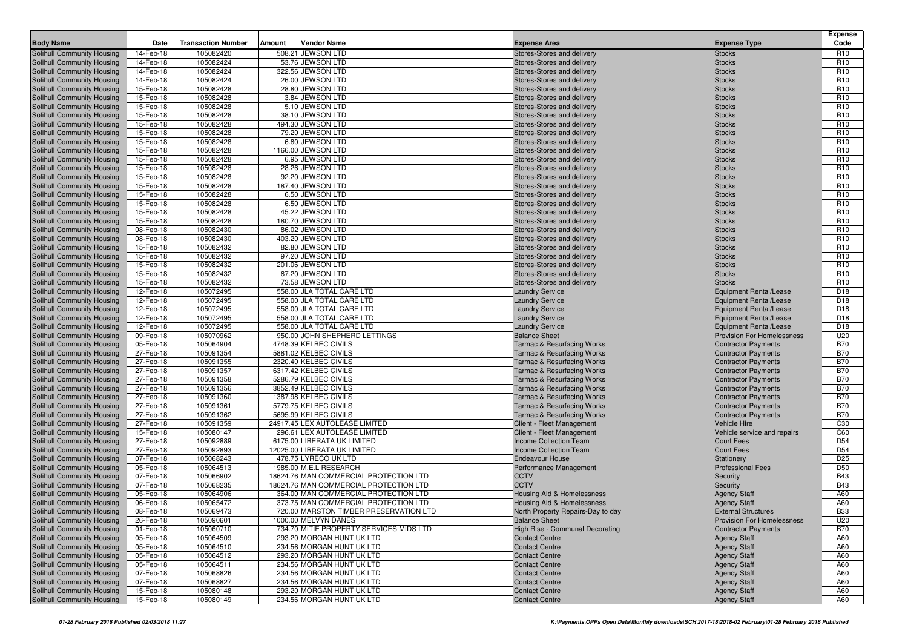| <b>Body Name</b>                                         | Date                   | <b>Transaction Number</b> | Amount | <b>Vendor Name</b>                                               | <b>Expense Area</b>                                      | <b>Expense Type</b>                                                | <b>Expense</b><br>Code             |
|----------------------------------------------------------|------------------------|---------------------------|--------|------------------------------------------------------------------|----------------------------------------------------------|--------------------------------------------------------------------|------------------------------------|
| Solihull Community Housing                               | 14-Feb-18              | 105082420                 |        | 508.21 JEWSON LTD                                                | Stores-Stores and delivery                               | <b>Stocks</b>                                                      | R <sub>10</sub>                    |
| Solihull Community Housing                               | 14-Feb-18              | 105082424                 |        | 53.76 JEWSON LTD                                                 | Stores-Stores and delivery                               | <b>Stocks</b>                                                      | R <sub>10</sub>                    |
| Solihull Community Housing                               | 14-Feb-18              | 105082424                 |        | 322.56 JEWSON LTD                                                | Stores-Stores and delivery                               | <b>Stocks</b>                                                      | R <sub>10</sub>                    |
| Solihull Community Housing                               | 14-Feb-18              | 105082424                 |        | 26.00 JEWSON LTD                                                 | Stores-Stores and delivery                               | <b>Stocks</b>                                                      | R <sub>10</sub>                    |
| Solihull Community Housing                               | 15-Feb-18              | 105082428                 |        | 28.80 JEWSON LTD                                                 | Stores-Stores and delivery                               | <b>Stocks</b>                                                      | R <sub>10</sub>                    |
| Solihull Community Housing                               | 15-Feb-18              | 105082428                 |        | 3.84 JEWSON LTD                                                  | Stores-Stores and delivery                               | <b>Stocks</b>                                                      | R <sub>10</sub>                    |
| Solihull Community Housing                               | 15-Feb-18              | 105082428                 |        | 5.10 JEWSON LTD                                                  | Stores-Stores and delivery                               | <b>Stocks</b>                                                      | R <sub>10</sub>                    |
| Solihull Community Housing                               | 15-Feb-18              | 105082428                 |        | 38.10 JEWSON LTD                                                 | Stores-Stores and delivery                               | <b>Stocks</b>                                                      | R <sub>10</sub>                    |
| Solihull Community Housing                               | 15-Feb-18              | 105082428                 |        | 494.30 JEWSON LTD                                                | Stores-Stores and delivery                               | <b>Stocks</b>                                                      | R <sub>10</sub>                    |
| Solihull Community Housing                               | 15-Feb-18              | 105082428                 |        | 79.20 JEWSON LTD                                                 | Stores-Stores and delivery                               | <b>Stocks</b>                                                      | R <sub>10</sub>                    |
| Solihull Community Housing                               | 15-Feb-18              | 105082428                 |        | 6.80 JEWSON LTD                                                  | Stores-Stores and delivery                               | <b>Stocks</b>                                                      | R <sub>10</sub>                    |
| Solihull Community Housing                               | 15-Feb-18              | 105082428                 |        | 1166.00 JEWSON LTD                                               | Stores-Stores and delivery                               | <b>Stocks</b>                                                      | R <sub>10</sub>                    |
| Solihull Community Housing                               | 15-Feb-18              | 105082428                 |        | 6.95 JEWSON LTD                                                  | Stores-Stores and delivery                               | <b>Stocks</b>                                                      | R <sub>10</sub>                    |
| Solihull Community Housing                               | 15-Feb-18              | 105082428                 |        | 28.26 JEWSON LTD                                                 | Stores-Stores and delivery                               | <b>Stocks</b>                                                      | R <sub>10</sub>                    |
| Solihull Community Housing<br>Solihull Community Housing | 15-Feb-18<br>15-Feb-18 | 105082428<br>105082428    |        | 92.20 JEWSON LTD<br>187.40 JEWSON LTD                            | Stores-Stores and delivery<br>Stores-Stores and delivery | <b>Stocks</b><br><b>Stocks</b>                                     | R <sub>10</sub><br>R <sub>10</sub> |
| Solihull Community Housing                               | 15-Feb-18              | 105082428                 |        | 6.50 JEWSON LTD                                                  | Stores-Stores and delivery                               | <b>Stocks</b>                                                      | R <sub>10</sub>                    |
| Solihull Community Housing                               | 15-Feb-18              | 105082428                 |        | 6.50 JEWSON LTD                                                  | Stores-Stores and delivery                               | <b>Stocks</b>                                                      | R <sub>10</sub>                    |
| Solihull Community Housing                               | 15-Feb-18              | 105082428                 |        | 45.22 JEWSON LTD                                                 | Stores-Stores and delivery                               | <b>Stocks</b>                                                      | R <sub>10</sub>                    |
| Solihull Community Housing                               | 15-Feb-18              | 105082428                 |        | 180.70 JEWSON LTD                                                | Stores-Stores and delivery                               | <b>Stocks</b>                                                      | R <sub>10</sub>                    |
| Solihull Community Housing                               | 08-Feb-18              | 105082430                 |        | 86.02 JEWSON LTD                                                 | Stores-Stores and delivery                               | <b>Stocks</b>                                                      | R <sub>10</sub>                    |
| Solihull Community Housing                               | 08-Feb-18              | 105082430                 |        | 403.20 JEWSON LTD                                                | Stores-Stores and delivery                               | <b>Stocks</b>                                                      | R <sub>10</sub>                    |
| Solihull Community Housing                               | 15-Feb-18              | 105082432                 |        | 82.80 JEWSON LTD                                                 | Stores-Stores and delivery                               | <b>Stocks</b>                                                      | R <sub>10</sub>                    |
| Solihull Community Housing                               | 15-Feb-18              | 105082432                 |        | 97.20 JEWSON LTD                                                 | Stores-Stores and delivery                               | <b>Stocks</b>                                                      | R <sub>10</sub>                    |
| Solihull Community Housing                               | 15-Feb-18              | 105082432                 |        | 201.06 JEWSON LTD                                                | Stores-Stores and delivery                               | <b>Stocks</b>                                                      | R <sub>10</sub>                    |
| Solihull Community Housing                               | 15-Feb-18              | 105082432                 |        | 67.20 JEWSON LTD                                                 | Stores-Stores and delivery                               | <b>Stocks</b>                                                      | R <sub>10</sub>                    |
| Solihull Community Housing                               | 15-Feb-18              | 105082432                 |        | 73.58 JEWSON LTD                                                 | Stores-Stores and delivery                               | <b>Stocks</b>                                                      | R <sub>10</sub>                    |
| Solihull Community Housing                               | 12-Feb-18              | 105072495                 |        | 558.00 JLA TOTAL CARE LTD                                        | <b>Laundry Service</b>                                   | <b>Equipment Rental/Lease</b>                                      | D <sub>18</sub>                    |
| Solihull Community Housing                               | 12-Feb-18              | 105072495                 |        | 558.00 JLA TOTAL CARE LTD                                        | <b>Laundry Service</b>                                   | <b>Equipment Rental/Lease</b>                                      | D <sub>18</sub>                    |
| Solihull Community Housing                               | 12-Feb-18              | 105072495                 |        | 558.00 JLA TOTAL CARE LTD                                        | <b>Laundry Service</b>                                   | <b>Equipment Rental/Lease</b>                                      | D <sub>18</sub>                    |
| Solihull Community Housing                               | 12-Feb-18              | 105072495                 |        | 558.00 JLA TOTAL CARE LTD<br>558.00 JLA TOTAL CARE LTD           | <b>Laundry Service</b>                                   | <b>Equipment Rental/Lease</b>                                      | D <sub>18</sub>                    |
| Solihull Community Housing                               | 12-Feb-18<br>09-Feb-18 | 105072495<br>105070962    |        | 950.00 JOHN SHEPHERD LETTINGS                                    | <b>Laundry Service</b><br><b>Balance Sheet</b>           | <b>Equipment Rental/Lease</b><br><b>Provision For Homelessness</b> | D <sub>18</sub><br>U20             |
| Solihull Community Housing<br>Solihull Community Housing | 05-Feb-18              | 105064904                 |        | 4748.39 KELBEC CIVILS                                            | Tarmac & Resurfacing Works                               | <b>Contractor Payments</b>                                         | <b>B70</b>                         |
| Solihull Community Housing                               | 27-Feb-18              | 105091354                 |        | 5881.02 KELBEC CIVILS                                            | <b>Tarmac &amp; Resurfacing Works</b>                    | <b>Contractor Payments</b>                                         | <b>B70</b>                         |
| Solihull Community Housing                               | 27-Feb-18              | 105091355                 |        | 2320.40 KELBEC CIVILS                                            | <b>Tarmac &amp; Resurfacing Works</b>                    | <b>Contractor Payments</b>                                         | <b>B70</b>                         |
| Solihull Community Housing                               | 27-Feb-18              | 105091357                 |        | 6317.42 KELBEC CIVILS                                            | <b>Tarmac &amp; Resurfacing Works</b>                    | <b>Contractor Payments</b>                                         | <b>B70</b>                         |
| Solihull Community Housing                               | 27-Feb-18              | 105091358                 |        | 5286.79 KELBEC CIVILS                                            | <b>Tarmac &amp; Resurfacing Works</b>                    | <b>Contractor Payments</b>                                         | <b>B70</b>                         |
| Solihull Community Housing                               | 27-Feb-18              | 105091356                 |        | 3852.49 KELBEC CIVILS                                            | <b>Tarmac &amp; Resurfacing Works</b>                    | <b>Contractor Payments</b>                                         | <b>B70</b>                         |
| Solihull Community Housing                               | 27-Feb-18              | 105091360                 |        | 1387.98 KELBEC CIVILS                                            | <b>Tarmac &amp; Resurfacing Works</b>                    | <b>Contractor Payments</b>                                         | <b>B70</b>                         |
| Solihull Community Housing                               | 27-Feb-18              | 105091361                 |        | 5779.75 KELBEC CIVILS                                            | <b>Tarmac &amp; Resurfacing Works</b>                    | <b>Contractor Payments</b>                                         | <b>B70</b>                         |
| Solihull Community Housing                               | 27-Feb-18              | 105091362                 |        | 5695.99 KELBEC CIVILS                                            | <b>Tarmac &amp; Resurfacing Works</b>                    | <b>Contractor Payments</b>                                         | <b>B70</b>                         |
| Solihull Community Housing                               | 27-Feb-18              | 105091359                 |        | 24917.45 LEX AUTOLEASE LIMITED                                   | Client - Fleet Management                                | Vehicle Hire                                                       | C <sub>30</sub>                    |
| Solihull Community Housing                               | 15-Feb-18              | 105080147                 |        | 296.61 LEX AUTOLEASE LIMITED                                     | Client - Fleet Management                                | Vehicle service and repairs                                        | C60                                |
| Solihull Community Housing                               | 27-Feb-18              | 105092889                 |        | 6175.00 LIBERATA UK LIMITED                                      | <b>Income Collection Team</b>                            | <b>Court Fees</b>                                                  | D <sub>54</sub>                    |
| Solihull Community Housing                               | 27-Feb-18              | 105092893                 |        | 12025.00 LIBERATA UK LIMITED                                     | <b>Income Collection Team</b>                            | <b>Court Fees</b>                                                  | D <sub>54</sub>                    |
| Solihull Community Housing                               | 07-Feb-18              | 105068243                 |        | 478.75 LYRECO UK LTD                                             | <b>Endeavour House</b>                                   | Stationery                                                         | D <sub>25</sub>                    |
| Solihull Community Housing<br>Solihull Community Housing | 05-Feb-18              | 105064513                 |        | 1985.00 M.E.L RESEARCH<br>18624.76 MAN COMMERCIAL PROTECTION LTD | Performance Management                                   | <b>Professional Fees</b>                                           | D <sub>50</sub><br><b>B43</b>      |
| Solihull Community Housing                               | 07-Feb-18<br>07-Feb-18 | 105066902<br>105068235    |        | 18624.76 MAN COMMERCIAL PROTECTION LTD                           | <b>CCTV</b><br><b>CCTV</b>                               | Security<br>Security                                               | <b>B43</b>                         |
| Solihull Community Housing                               | 05-Feb-18              | 105064906                 |        | 364.00 MAN COMMERCIAL PROTECTION LTD                             | Housing Aid & Homelessness                               | <b>Agency Staff</b>                                                | A60                                |
| Solihull Community Housing                               | 06-Feb-18              | 105065472                 |        | 373.75 MAN COMMERCIAL PROTECTION LTD                             | Housing Aid & Homelessness                               | <b>Agency Staff</b>                                                | A60                                |
| Solihull Community Housing                               | 08-Feb-18              | 105069473                 |        | 720.00 MARSTON TIMBER PRESERVATION LTD                           | North Property Repairs-Day to day                        | <b>External Structures</b>                                         | <b>B33</b>                         |
| Solihull Community Housing                               | 26-Feb-18              | 105090601                 |        | 1000.00 MELVYN DANES                                             | <b>Balance Sheet</b>                                     | <b>Provision For Homelessness</b>                                  | U20                                |
| Solihull Community Housing                               | 01-Feb-18              | 105060710                 |        | 734.70 MITIE PROPERTY SERVICES MIDS LTD                          | High Rise - Communal Decorating                          | <b>Contractor Payments</b>                                         | <b>B70</b>                         |
| Solihull Community Housing                               | 05-Feb-18              | 105064509                 |        | 293.20 MORGAN HUNT UK LTD                                        | <b>Contact Centre</b>                                    | <b>Agency Staff</b>                                                | A60                                |
| Solihull Community Housing                               | 05-Feb-18              | 105064510                 |        | 234.56 MORGAN HUNT UK LTD                                        | <b>Contact Centre</b>                                    | <b>Agency Staff</b>                                                | A60                                |
| Solihull Community Housing                               | 05-Feb-18              | 105064512                 |        | 293.20 MORGAN HUNT UK LTD                                        | <b>Contact Centre</b>                                    | <b>Agency Staff</b>                                                | A60                                |
| Solihull Community Housing                               | 05-Feb-18              | 105064511                 |        | 234.56 MORGAN HUNT UK LTD                                        | <b>Contact Centre</b>                                    | <b>Agency Staff</b>                                                | A60                                |
| Solihull Community Housing                               | 07-Feb-18              | 105068826                 |        | 234.56 MORGAN HUNT UK LTD                                        | <b>Contact Centre</b>                                    | <b>Agency Staff</b>                                                | A60                                |
| Solihull Community Housing                               | 07-Feb-18              | 105068827                 |        | 234.56 MORGAN HUNT UK LTD                                        | <b>Contact Centre</b>                                    | <b>Agency Staff</b>                                                | A60                                |
| Solihull Community Housing                               | 15-Feb-18              | 105080148                 |        | 293.20 MORGAN HUNT UK LTD                                        | <b>Contact Centre</b>                                    | <b>Agency Staff</b>                                                | A60                                |
| Solihull Community Housing                               | 15-Feb-18              | 105080149                 |        | 234.56 MORGAN HUNT UK LTD                                        | <b>Contact Centre</b>                                    | <b>Agency Staff</b>                                                | A60                                |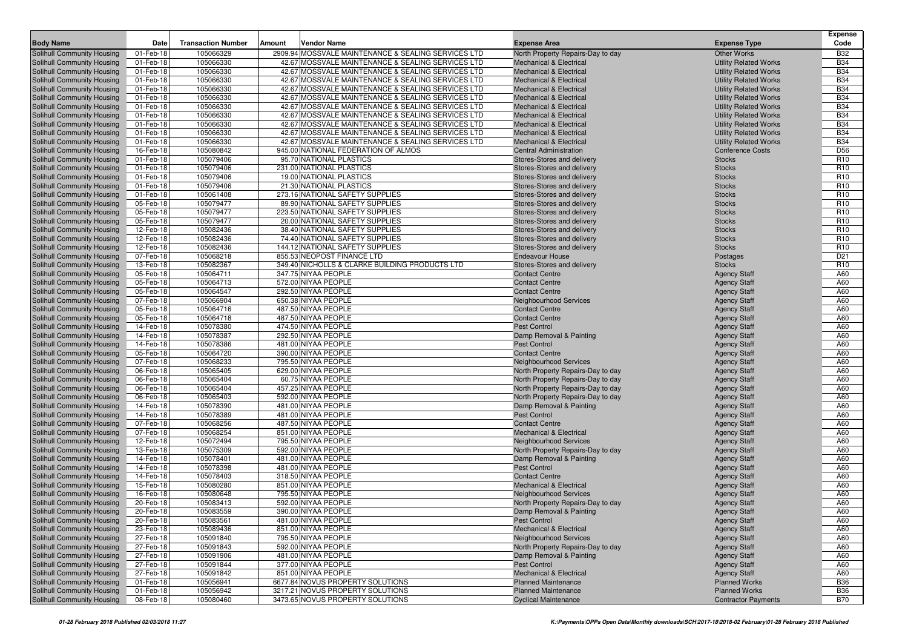|                                                          |                        |                           |        |                                                                                                        |                                                               |                                                              | <b>Expense</b>           |
|----------------------------------------------------------|------------------------|---------------------------|--------|--------------------------------------------------------------------------------------------------------|---------------------------------------------------------------|--------------------------------------------------------------|--------------------------|
| <b>Body Name</b>                                         | Date                   | <b>Transaction Number</b> | Amount | Vendor Name                                                                                            | <b>Expense Area</b>                                           | <b>Expense Type</b>                                          | Code                     |
| Solihull Community Housing                               | 01-Feb-18              | 105066329                 |        | 2909.94 MOSSVALE MAINTENANCE & SEALING SERVICES LTD                                                    | North Property Repairs-Day to day                             | <b>Other Works</b>                                           | <b>B32</b>               |
| Solihull Community Housing                               | 01-Feb-18              | 105066330                 |        | 42.67 MOSSVALE MAINTENANCE & SEALING SERVICES LTD                                                      | <b>Mechanical &amp; Electrical</b>                            | <b>Utility Related Works</b>                                 | <b>B34</b>               |
| Solihull Community Housing                               | 01-Feb-18              | 105066330                 |        | 42.67 MOSSVALE MAINTENANCE & SEALING SERVICES LTD                                                      | <b>Mechanical &amp; Electrical</b>                            | <b>Utility Related Works</b>                                 | <b>B34</b>               |
| Solihull Community Housing                               | 01-Feb-18              | 105066330                 |        | 42.67 MOSSVALE MAINTENANCE & SEALING SERVICES LTD                                                      | <b>Mechanical &amp; Electrical</b>                            | <b>Utility Related Works</b>                                 | <b>B34</b>               |
| Solihull Community Housing                               | 01-Feb-18              | 105066330                 |        | 42.67 MOSSVALE MAINTENANCE & SEALING SERVICES LTD                                                      | <b>Mechanical &amp; Electrical</b>                            | <b>Utility Related Works</b>                                 | <b>B34</b>               |
| Solihull Community Housing                               | 01-Feb-18              | 105066330                 |        | 42.67 MOSSVALE MAINTENANCE & SEALING SERVICES LTD<br>42.67 MOSSVALE MAINTENANCE & SEALING SERVICES LTD | <b>Mechanical &amp; Electrical</b>                            | <b>Utility Related Works</b>                                 | <b>B34</b>               |
| Solihull Community Housing<br>Solihull Community Housing | 01-Feb-18<br>01-Feb-18 | 105066330<br>105066330    |        | 42.67 MOSSVALE MAINTENANCE & SEALING SERVICES LTD                                                      | Mechanical & Electrical<br><b>Mechanical &amp; Electrical</b> | <b>Utility Related Works</b>                                 | <b>B34</b><br><b>B34</b> |
| Solihull Community Housing                               | 01-Feb-18              | 105066330                 |        | 42.67 MOSSVALE MAINTENANCE & SEALING SERVICES LTD                                                      | Mechanical & Electrical                                       | <b>Utility Related Works</b><br><b>Utility Related Works</b> | <b>B34</b>               |
| Solihull Community Housing                               | 01-Feb-18              | 105066330                 |        | 42.67 MOSSVALE MAINTENANCE & SEALING SERVICES LTD                                                      | <b>Mechanical &amp; Electrical</b>                            | <b>Utility Related Works</b>                                 | <b>B34</b>               |
| Solihull Community Housing                               | 01-Feb-18              | 105066330                 |        | 42.67 MOSSVALE MAINTENANCE & SEALING SERVICES LTD                                                      | <b>Mechanical &amp; Electrical</b>                            | <b>Utility Related Works</b>                                 | <b>B34</b>               |
| Solihull Community Housing                               | 16-Feb-18              | 105080842                 |        | 945.00 NATIONAL FEDERATION OF ALMOS                                                                    | <b>Central Administration</b>                                 | <b>Conference Costs</b>                                      | D <sub>56</sub>          |
| Solihull Community Housing                               | 01-Feb-18              | 105079406                 |        | 95.70 NATIONAL PLASTICS                                                                                | Stores-Stores and delivery                                    | <b>Stocks</b>                                                | R <sub>10</sub>          |
| Solihull Community Housing                               | 01-Feb-18              | 105079406                 |        | 231.00 NATIONAL PLASTICS                                                                               | Stores-Stores and delivery                                    | <b>Stocks</b>                                                | R <sub>10</sub>          |
| Solihull Community Housing                               | 01-Feb-18              | 105079406                 |        | 19.00 NATIONAL PLASTICS                                                                                | Stores-Stores and delivery                                    | <b>Stocks</b>                                                | R <sub>10</sub>          |
| Solihull Community Housing                               | 01-Feb-18              | 105079406                 |        | 21.30 NATIONAL PLASTICS                                                                                | Stores-Stores and delivery                                    | <b>Stocks</b>                                                | R <sub>10</sub>          |
| Solihull Community Housing                               | 01-Feb-18              | 105061408                 |        | 273.16 NATIONAL SAFETY SUPPLIES                                                                        | Stores-Stores and delivery                                    | <b>Stocks</b>                                                | R <sub>10</sub>          |
| Solihull Community Housing                               | 05-Feb-18              | 105079477                 |        | 89.90 NATIONAL SAFETY SUPPLIES                                                                         | Stores-Stores and delivery                                    | <b>Stocks</b>                                                | R <sub>10</sub>          |
| Solihull Community Housing                               | 05-Feb-18              | 105079477                 |        | 223.50 NATIONAL SAFETY SUPPLIES                                                                        | Stores-Stores and delivery                                    | <b>Stocks</b>                                                | R <sub>10</sub>          |
| Solihull Community Housing                               | 05-Feb-18              | 105079477                 |        | 20.00 NATIONAL SAFETY SUPPLIES                                                                         | Stores-Stores and delivery                                    | <b>Stocks</b>                                                | R <sub>10</sub>          |
| Solihull Community Housing                               | 12-Feb-18              | 105082436                 |        | 38.40 NATIONAL SAFETY SUPPLIES                                                                         | Stores-Stores and delivery                                    | <b>Stocks</b>                                                | R <sub>10</sub>          |
| Solihull Community Housing                               | 12-Feb-18              | 105082436                 |        | 74.40 NATIONAL SAFETY SUPPLIES                                                                         | Stores-Stores and delivery                                    | <b>Stocks</b>                                                | R <sub>10</sub>          |
| Solihull Community Housing                               | 12-Feb-18              | 105082436                 |        | 144.12 NATIONAL SAFETY SUPPLIES                                                                        | Stores-Stores and delivery                                    | <b>Stocks</b>                                                | R <sub>10</sub>          |
| Solihull Community Housing                               | 07-Feb-18              | 105068218                 |        | 855.53 NEOPOST FINANCE LTD                                                                             | <b>Endeavour House</b>                                        | Postages                                                     | D <sub>21</sub>          |
| Solihull Community Housing                               | 13-Feb-18              | 105082367                 |        | 349.40 NICHOLLS & CLARKE BUILDING PRODUCTS LTD                                                         | Stores-Stores and delivery                                    | <b>Stocks</b>                                                | R <sub>10</sub>          |
| Solihull Community Housing                               | 05-Feb-18              | 105064711                 |        | 347.75 NIYAA PEOPLE                                                                                    | <b>Contact Centre</b>                                         | <b>Agency Staff</b>                                          | A60                      |
| Solihull Community Housing                               | 05-Feb-18              | 105064713                 |        | 572.00 NIYAA PEOPLE                                                                                    | <b>Contact Centre</b>                                         | <b>Agency Staff</b>                                          | A60                      |
| Solihull Community Housing                               | 05-Feb-18              | 105064547                 |        | 292.50 NIYAA PEOPLE                                                                                    | <b>Contact Centre</b>                                         | <b>Agency Staff</b>                                          | A60                      |
| Solihull Community Housing<br>Solihull Community Housing | 07-Feb-18<br>05-Feb-18 | 105066904<br>105064716    |        | 650.38 NIYAA PEOPLE<br>487.50 NIYAA PEOPLE                                                             | <b>Neighbourhood Services</b><br><b>Contact Centre</b>        | <b>Agency Staff</b><br><b>Agency Staff</b>                   | A60<br>A60               |
| Solihull Community Housing                               | 05-Feb-18              | 105064718                 |        | 487.50 NIYAA PEOPLE                                                                                    | <b>Contact Centre</b>                                         | <b>Agency Staff</b>                                          | A60                      |
| Solihull Community Housing                               | 14-Feb-18              | 105078380                 |        | 474.50 NIYAA PEOPLE                                                                                    | Pest Control                                                  | <b>Agency Staff</b>                                          | A60                      |
| Solihull Community Housing                               | 14-Feb-18              | 105078387                 |        | 292.50 NIYAA PEOPLE                                                                                    | Damp Removal & Painting                                       | <b>Agency Staff</b>                                          | A60                      |
| Solihull Community Housing                               | 14-Feb-18              | 105078386                 |        | 481.00 NIYAA PEOPLE                                                                                    | Pest Control                                                  | <b>Agency Staff</b>                                          | A60                      |
| Solihull Community Housing                               | 05-Feb-18              | 105064720                 |        | 390.00 NIYAA PEOPLE                                                                                    | <b>Contact Centre</b>                                         | <b>Agency Staff</b>                                          | A60                      |
| Solihull Community Housing                               | 07-Feb-18              | 105068233                 |        | 795.50 NIYAA PEOPLE                                                                                    | <b>Neighbourhood Services</b>                                 | <b>Agency Staff</b>                                          | A60                      |
| Solihull Community Housing                               | 06-Feb-18              | 105065405                 |        | 629.00 NIYAA PEOPLE                                                                                    | North Property Repairs-Day to day                             | <b>Agency Staff</b>                                          | A60                      |
| Solihull Community Housing                               | 06-Feb-18              | 105065404                 |        | 60.75 NIYAA PEOPLE                                                                                     | North Property Repairs-Day to day                             | <b>Agency Staff</b>                                          | A60                      |
| Solihull Community Housing                               | 06-Feb-18              | 105065404                 |        | 457.25 NIYAA PEOPLE                                                                                    | North Property Repairs-Day to day                             | <b>Agency Staff</b>                                          | A60                      |
| Solihull Community Housing                               | 06-Feb-18              | 105065403                 |        | 592.00 NIYAA PEOPLE                                                                                    | North Property Repairs-Day to day                             | <b>Agency Staff</b>                                          | A60                      |
| Solihull Community Housing                               | 14-Feb-18              | 105078390                 |        | 481.00 NIYAA PEOPLE                                                                                    | Damp Removal & Painting                                       | <b>Agency Staff</b>                                          | A60                      |
| Solihull Community Housing                               | 14-Feb-18              | 105078389                 |        | 481.00 NIYAA PEOPLE                                                                                    | <b>Pest Control</b>                                           | <b>Agency Staff</b>                                          | A60                      |
| Solihull Community Housing                               | 07-Feb-18              | 105068256                 |        | 487.50 NIYAA PEOPLE                                                                                    | <b>Contact Centre</b>                                         | <b>Agency Staff</b>                                          | A60                      |
| Solihull Community Housing                               | 07-Feb-18              | 105068254                 |        | 851.00 NIYAA PEOPLE                                                                                    | <b>Mechanical &amp; Electrical</b>                            | <b>Agency Staff</b>                                          | A60                      |
| Solihull Community Housing                               | 12-Feb-18              | 105072494                 |        | 795.50 NIYAA PEOPLE                                                                                    | <b>Neighbourhood Services</b>                                 | <b>Agency Staff</b>                                          | A60                      |
| Solihull Community Housing                               | 13-Feb-18              | 105075309                 |        | 592.00 NIYAA PEOPLE                                                                                    | North Property Repairs-Day to day                             | <b>Agency Staff</b>                                          | A60                      |
| Solihull Community Housing                               | 14-Feb-18              | 105078401                 |        | 481.00 NIYAA PEOPLE<br>481.00 NIYAA PEOPLE                                                             | Damp Removal & Painting                                       | <b>Agency Staff</b>                                          | A60                      |
| Solihull Community Housing                               | 14-Feb-18<br>14-Feb-18 | 105078398<br>105078403    |        | 318.50 NIYAA PEOPLE                                                                                    | Pest Control<br><b>Contact Centre</b>                         | <b>Agency Staff</b>                                          | A60<br>A60               |
| Solihull Community Housing<br>Solihull Community Housing | 15-Feb-18              | 105080280                 |        | 851.00 NIYAA PEOPLE                                                                                    | <b>Mechanical &amp; Electrical</b>                            | <b>Agency Staff</b><br><b>Agency Staff</b>                   | A60                      |
| Solihull Community Housing                               | 16-Feb-18              | 105080648                 |        | 795.50 NIYAA PEOPLE                                                                                    | Neighbourhood Services                                        | <b>Agency Staff</b>                                          | A60                      |
| Solihull Community Housing                               | 20-Feb-18              | 105083413                 |        | 592.00 NIYAA PEOPLE                                                                                    | North Property Repairs-Day to day                             | <b>Agency Staff</b>                                          | A60                      |
| Solihull Community Housing                               | 20-Feb-18              | 105083559                 |        | 390.00 NIYAA PEOPLE                                                                                    | Damp Removal & Painting                                       | <b>Agency Staff</b>                                          | A60                      |
| Solihull Community Housing                               | 20-Feb-18              | 105083561                 |        | 481.00 NIYAA PEOPLE                                                                                    | Pest Control                                                  | <b>Agency Staff</b>                                          | A60                      |
| Solihull Community Housing                               | 23-Feb-18              | 105089436                 |        | 851.00 NIYAA PEOPLE                                                                                    | <b>Mechanical &amp; Electrical</b>                            | <b>Agency Staff</b>                                          | A60                      |
| Solihull Community Housing                               | 27-Feb-18              | 105091840                 |        | 795.50 NIYAA PEOPLE                                                                                    | <b>Neighbourhood Services</b>                                 | <b>Agency Staff</b>                                          | A60                      |
| Solihull Community Housing                               | 27-Feb-18              | 105091843                 |        | 592.00 NIYAA PEOPLE                                                                                    | North Property Repairs-Day to day                             | <b>Agency Staff</b>                                          | A60                      |
| Solihull Community Housing                               | 27-Feb-18              | 105091906                 |        | 481.00 NIYAA PEOPLE                                                                                    | Damp Removal & Painting                                       | <b>Agency Staff</b>                                          | A60                      |
| Solihull Community Housing                               | 27-Feb-18              | 105091844                 |        | 377.00 NIYAA PEOPLE                                                                                    | Pest Control                                                  | <b>Agency Staff</b>                                          | A60                      |
| Solihull Community Housing                               | 27-Feb-18              | 105091842                 |        | 851.00 NIYAA PEOPLE                                                                                    | <b>Mechanical &amp; Electrical</b>                            | <b>Agency Staff</b>                                          | A60                      |
| Solihull Community Housing                               | 01-Feb-18              | 105056941                 |        | 6677.84 NOVUS PROPERTY SOLUTIONS                                                                       | <b>Planned Maintenance</b>                                    | <b>Planned Works</b>                                         | <b>B36</b>               |
| Solihull Community Housing                               | 01-Feb-18              | 105056942                 |        | 3217.21 NOVUS PROPERTY SOLUTIONS                                                                       | <b>Planned Maintenance</b>                                    | <b>Planned Works</b>                                         | <b>B36</b>               |
| Solihull Community Housing                               | 08-Feb-18              | 105080460                 |        | 3473.65 NOVUS PROPERTY SOLUTIONS                                                                       | <b>Cyclical Maintenance</b>                                   | <b>Contractor Payments</b>                                   | <b>B70</b>               |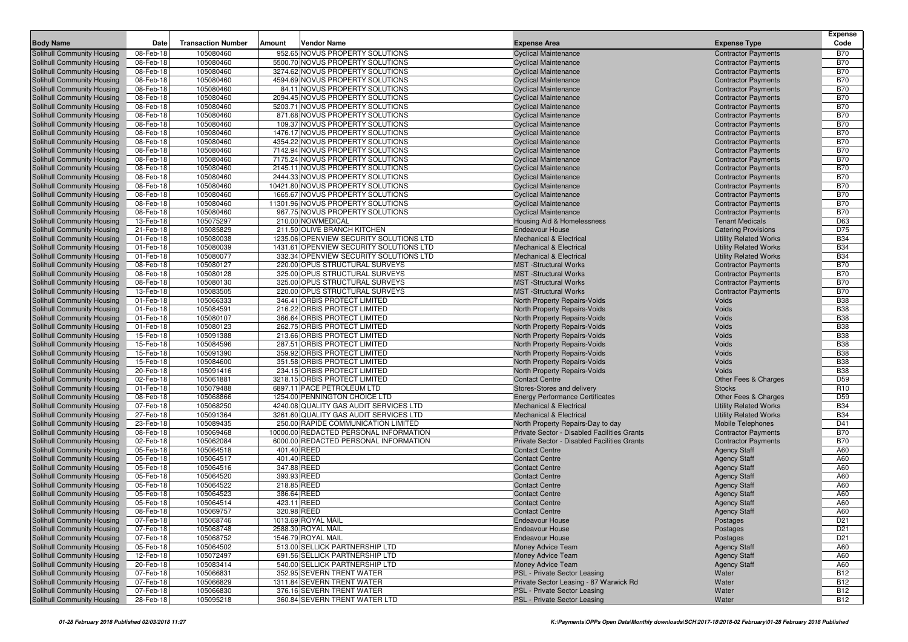|                                                          |                        |                           |        |                                                                     |                                                              |                                                          | <b>Expense</b>           |
|----------------------------------------------------------|------------------------|---------------------------|--------|---------------------------------------------------------------------|--------------------------------------------------------------|----------------------------------------------------------|--------------------------|
| <b>Body Name</b>                                         | Date                   | <b>Transaction Number</b> | Amount | Vendor Name                                                         | <b>Expense Area</b>                                          | <b>Expense Type</b>                                      | Code                     |
| Solihull Community Housing                               | 08-Feb-18              | 105080460                 |        | 952.65 NOVUS PROPERTY SOLUTIONS                                     | <b>Cyclical Maintenance</b>                                  | <b>Contractor Payments</b>                               | <b>B70</b>               |
| Solihull Community Housing                               | 08-Feb-18              | 105080460                 |        | 5500.70 NOVUS PROPERTY SOLUTIONS                                    | <b>Cyclical Maintenance</b>                                  | <b>Contractor Payments</b>                               | <b>B70</b>               |
| Solihull Community Housing                               | 08-Feb-18              | 105080460                 |        | 3274.62 NOVUS PROPERTY SOLUTIONS                                    | <b>Cyclical Maintenance</b>                                  | <b>Contractor Payments</b>                               | <b>B70</b>               |
| Solihull Community Housing                               | 08-Feb-18              | 105080460                 |        | 4594.69 NOVUS PROPERTY SOLUTIONS                                    | <b>Cyclical Maintenance</b>                                  | <b>Contractor Payments</b>                               | <b>B70</b>               |
| Solihull Community Housing                               | 08-Feb-18              | 105080460                 |        | 84.11 NOVUS PROPERTY SOLUTIONS                                      | <b>Cyclical Maintenance</b>                                  | <b>Contractor Payments</b>                               | <b>B70</b>               |
| Solihull Community Housing                               | 08-Feb-18              | 105080460                 |        | 2094.45 NOVUS PROPERTY SOLUTIONS                                    | <b>Cyclical Maintenance</b>                                  | <b>Contractor Payments</b>                               | <b>B70</b>               |
| Solihull Community Housing                               | 08-Feb-18              | 105080460                 |        | 5203.71 NOVUS PROPERTY SOLUTIONS                                    | <b>Cyclical Maintenance</b>                                  | <b>Contractor Payments</b>                               | <b>B70</b>               |
| Solihull Community Housing                               | 08-Feb-18              | 105080460                 |        | 871.68 NOVUS PROPERTY SOLUTIONS                                     | <b>Cyclical Maintenance</b>                                  | <b>Contractor Payments</b>                               | <b>B70</b>               |
| Solihull Community Housing                               | 08-Feb-18<br>08-Feb-18 | 105080460<br>105080460    |        | 109.37 NOVUS PROPERTY SOLUTIONS<br>1476.17 NOVUS PROPERTY SOLUTIONS | <b>Cyclical Maintenance</b>                                  | <b>Contractor Payments</b>                               | <b>B70</b><br><b>B70</b> |
| Solihull Community Housing<br>Solihull Community Housing | 08-Feb-18              | 105080460                 |        | 4354.22 NOVUS PROPERTY SOLUTIONS                                    | <b>Cyclical Maintenance</b><br><b>Cyclical Maintenance</b>   | <b>Contractor Payments</b>                               | <b>B70</b>               |
| Solihull Community Housing                               | 08-Feb-18              | 105080460                 |        | 7142.94 NOVUS PROPERTY SOLUTIONS                                    | <b>Cyclical Maintenance</b>                                  | <b>Contractor Payments</b><br><b>Contractor Payments</b> | <b>B70</b>               |
| Solihull Community Housing                               | 08-Feb-18              | 105080460                 |        | 7175.24 NOVUS PROPERTY SOLUTIONS                                    | <b>Cyclical Maintenance</b>                                  | <b>Contractor Payments</b>                               | <b>B70</b>               |
| Solihull Community Housing                               | 08-Feb-18              | 105080460                 |        | 2145.11 NOVUS PROPERTY SOLUTIONS                                    | <b>Cyclical Maintenance</b>                                  | <b>Contractor Payments</b>                               | <b>B70</b>               |
| Solihull Community Housing                               | 08-Feb-18              | 105080460                 |        | 2444.33 NOVUS PROPERTY SOLUTIONS                                    | <b>Cyclical Maintenance</b>                                  | <b>Contractor Payments</b>                               | <b>B70</b>               |
| Solihull Community Housing                               | 08-Feb-18              | 105080460                 |        | 10421.80 NOVUS PROPERTY SOLUTIONS                                   | <b>Cyclical Maintenance</b>                                  | <b>Contractor Payments</b>                               | <b>B70</b>               |
| Solihull Community Housing                               | 08-Feb-18              | 105080460                 |        | 1665.67 NOVUS PROPERTY SOLUTIONS                                    | <b>Cyclical Maintenance</b>                                  | <b>Contractor Payments</b>                               | <b>B70</b>               |
| Solihull Community Housing                               | 08-Feb-18              | 105080460                 |        | 11301.96 NOVUS PROPERTY SOLUTIONS                                   | <b>Cyclical Maintenance</b>                                  | <b>Contractor Payments</b>                               | <b>B70</b>               |
| Solihull Community Housing                               | 08-Feb-18              | 105080460                 |        | 967.75 NOVUS PROPERTY SOLUTIONS                                     | <b>Cyclical Maintenance</b>                                  | <b>Contractor Payments</b>                               | <b>B70</b>               |
| Solihull Community Housing                               | 13-Feb-18              | 105075297                 |        | 210.00 NOWMEDICAL                                                   | Housing Aid & Homelessness                                   | <b>Tenant Medicals</b>                                   | D63                      |
| Solihull Community Housing                               | 21-Feb-18              | 105085829                 |        | 211.50 OLIVE BRANCH KITCHEN                                         | <b>Endeavour House</b>                                       | <b>Catering Provisions</b>                               | D75                      |
| Solihull Community Housing                               | 01-Feb-18              | 105080038                 |        | 1235.06 OPENVIEW SECURITY SOLUTIONS LTD                             | <b>Mechanical &amp; Electrical</b>                           | <b>Utility Related Works</b>                             | <b>B34</b>               |
| Solihull Community Housing                               | 01-Feb-18              | 105080039                 |        | 1431.61 OPENVIEW SECURITY SOLUTIONS LTD                             | <b>Mechanical &amp; Electrical</b>                           | <b>Utility Related Works</b>                             | <b>B34</b>               |
| Solihull Community Housing                               | 01-Feb-18              | 105080077                 |        | 332.34 OPENVIEW SECURITY SOLUTIONS LTD                              | <b>Mechanical &amp; Electrical</b>                           | <b>Utility Related Works</b>                             | <b>B34</b>               |
| Solihull Community Housing                               | 08-Feb-18              | 105080127                 |        | 220.00 OPUS STRUCTURAL SURVEYS                                      | <b>MST</b> -Structural Works                                 | <b>Contractor Payments</b>                               | <b>B70</b>               |
| Solihull Community Housing                               | 08-Feb-18              | 105080128                 |        | 325.00 OPUS STRUCTURAL SURVEYS                                      | <b>MST</b> -Structural Works                                 | <b>Contractor Payments</b>                               | <b>B70</b>               |
| Solihull Community Housing                               | 08-Feb-18              | 105080130                 |        | 325.00 OPUS STRUCTURAL SURVEYS                                      | <b>MST</b> -Structural Works                                 | <b>Contractor Payments</b>                               | <b>B70</b>               |
| Solihull Community Housing                               | 13-Feb-18              | 105083505                 |        | 220.00 OPUS STRUCTURAL SURVEYS                                      | <b>MST</b> -Structural Works                                 | <b>Contractor Payments</b>                               | <b>B70</b>               |
| Solihull Community Housing                               | 01-Feb-18              | 105066333                 |        | 346.41 ORBIS PROTECT LIMITED                                        | North Property Repairs-Voids                                 | Voids                                                    | <b>B38</b>               |
| Solihull Community Housing                               | 01-Feb-18              | 105084591                 |        | 216.22 ORBIS PROTECT LIMITED                                        | North Property Repairs-Voids                                 | Voids                                                    | <b>B38</b>               |
| Solihull Community Housing                               | 01-Feb-18              | 105080107                 |        | 366.64 ORBIS PROTECT LIMITED                                        | North Property Repairs-Voids                                 | Voids                                                    | <b>B38</b>               |
| Solihull Community Housing                               | 01-Feb-18              | 105080123                 |        | 262.75 ORBIS PROTECT LIMITED                                        | <b>North Property Repairs-Voids</b>                          | Voids                                                    | <b>B38</b>               |
| Solihull Community Housing                               | 15-Feb-18              | 105091388                 |        | 213.66 ORBIS PROTECT LIMITED                                        | North Property Repairs-Voids                                 | Voids                                                    | <b>B38</b>               |
| Solihull Community Housing                               | 15-Feb-18              | 105084596<br>105091390    |        | 287.51 ORBIS PROTECT LIMITED<br>359.92 ORBIS PROTECT LIMITED        | North Property Repairs-Voids                                 | Voids<br>Voids                                           | <b>B38</b><br><b>B38</b> |
| Solihull Community Housing<br>Solihull Community Housing | 15-Feb-18<br>15-Feb-18 | 105084600                 |        | 351.58 ORBIS PROTECT LIMITED                                        | North Property Repairs-Voids<br>North Property Repairs-Voids | Voids                                                    | <b>B38</b>               |
| Solihull Community Housing                               | 20-Feb-18              | 105091416                 |        | 234.15 ORBIS PROTECT LIMITED                                        | North Property Repairs-Voids                                 | Voids                                                    | <b>B38</b>               |
| Solihull Community Housing                               | 02-Feb-18              | 105061881                 |        | 3218.15 ORBIS PROTECT LIMITED                                       | <b>Contact Centre</b>                                        | Other Fees & Charges                                     | D <sub>59</sub>          |
| Solihull Community Housing                               | 01-Feb-18              | 105079488                 |        | 6897.11 PACE PETROLEUM LTD                                          | Stores-Stores and delivery                                   | <b>Stocks</b>                                            | R <sub>10</sub>          |
| Solihull Community Housing                               | 08-Feb-18              | 105068866                 |        | 1254.00 PENNINGTON CHOICE LTD                                       | <b>Energy Performance Certificates</b>                       | Other Fees & Charges                                     | D <sub>59</sub>          |
| Solihull Community Housing                               | 07-Feb-18              | 105068250                 |        | 4240.08 QUALITY GAS AUDIT SERVICES LTD                              | <b>Mechanical &amp; Electrical</b>                           | <b>Utility Related Works</b>                             | <b>B34</b>               |
| Solihull Community Housing                               | 27-Feb-18              | 105091364                 |        | 3261.60 QUALITY GAS AUDIT SERVICES LTD                              | <b>Mechanical &amp; Electrical</b>                           | <b>Utility Related Works</b>                             | <b>B34</b>               |
| Solihull Community Housing                               | 23-Feb-18              | 105089435                 |        | 250.00 RAPIDE COMMUNICATION LIMITED                                 | North Property Repairs-Day to day                            | Mobile Telephones                                        | D41                      |
| Solihull Community Housing                               | 08-Feb-18              | 105069468                 |        | 10000.00 REDACTED PERSONAL INFORMATION                              | Private Sector - Disabled Facilities Grants                  | <b>Contractor Payments</b>                               | <b>B70</b>               |
| Solihull Community Housing                               | 02-Feb-18              | 105062084                 |        | 6000.00 REDACTED PERSONAL INFORMATION                               | Private Sector - Disabled Facilities Grants                  | <b>Contractor Payments</b>                               | <b>B70</b>               |
| Solihull Community Housing                               | 05-Feb-18              | 105064518                 |        | 401.40 REED                                                         | <b>Contact Centre</b>                                        | <b>Agency Staff</b>                                      | A60                      |
| Solihull Community Housing                               | 05-Feb-18              | 105064517                 |        | 401.40 REED                                                         | <b>Contact Centre</b>                                        | <b>Agency Staff</b>                                      | A60                      |
| Solihull Community Housing                               | 05-Feb-18              | 105064516                 |        | 347.88 REED                                                         | <b>Contact Centre</b>                                        | <b>Agency Staff</b>                                      | A60                      |
| Solihull Community Housing                               | 05-Feb-18              | 105064520                 |        | 393.93 REED                                                         | <b>Contact Centre</b>                                        | <b>Agency Staff</b>                                      | A60                      |
| Solihull Community Housing                               | 05-Feb-18              | 105064522                 |        | 218.85 REED                                                         | <b>Contact Centre</b>                                        | <b>Agency Staff</b>                                      | A60                      |
| Solihull Community Housing                               | 05-Feb-18              | 105064523                 |        | 386.64 REED                                                         | <b>Contact Centre</b>                                        | <b>Agency Staff</b>                                      | A60                      |
| Solihull Community Housing                               | 05-Feb-18              | 105064514                 |        | 423.11 REED                                                         | <b>Contact Centre</b>                                        | <b>Agency Staff</b>                                      | A60                      |
| Solihull Community Housing                               | 08-Feb-18              | 105069757                 |        | 320.98 REED                                                         | <b>Contact Centre</b>                                        | <b>Agency Staff</b>                                      | A60                      |
| Solihull Community Housing                               | 07-Feb-18              | 105068746                 |        | 1013.69 ROYAL MAIL                                                  | Endeavour House                                              | Postages                                                 | D <sub>21</sub>          |
| Solihull Community Housing                               | 07-Feb-18              | 105068748                 |        | 2588.30 ROYAL MAIL                                                  | <b>Endeavour House</b>                                       | Postages                                                 | D <sub>21</sub>          |
| Solihull Community Housing                               | 07-Feb-18              | 105068752                 |        | 1546.79 ROYAL MAIL                                                  | <b>Endeavour House</b>                                       | Postages                                                 | D <sub>21</sub>          |
| Solihull Community Housing                               | 05-Feb-18              | 105064502<br>105072497    |        | 513.00 SELLICK PARTNERSHIP LTD<br>691.56 SELLICK PARTNERSHIP LTD    | Money Advice Team<br><b>Money Advice Team</b>                | <b>Agency Staff</b>                                      | A60                      |
| Solihull Community Housing<br>Solihull Community Housing | 12-Feb-18<br>20-Feb-18 | 105083414                 |        | 540.00 SELLICK PARTNERSHIP LTD                                      | Money Advice Team                                            | <b>Agency Staff</b><br><b>Agency Staff</b>               | A60<br>A60               |
| Solihull Community Housing                               | 07-Feb-18              | 105066831                 |        | 352.95 SEVERN TRENT WATER                                           | PSL - Private Sector Leasing                                 | Water                                                    | <b>B12</b>               |
| Solihull Community Housing                               | 07-Feb-18              | 105066829                 |        | 1311.84 SEVERN TRENT WATER                                          | Private Sector Leasing - 87 Warwick Rd                       | Water                                                    | <b>B12</b>               |
| Solihull Community Housing                               | 07-Feb-18              | 105066830                 |        | 376.16 SEVERN TRENT WATER                                           | PSL - Private Sector Leasing                                 | Water                                                    | <b>B12</b>               |
| Solihull Community Housing                               | 28-Feb-18              | 105095218                 |        | 360.84 SEVERN TRENT WATER LTD                                       | PSL - Private Sector Leasing                                 | Water                                                    | <b>B12</b>               |
|                                                          |                        |                           |        |                                                                     |                                                              |                                                          |                          |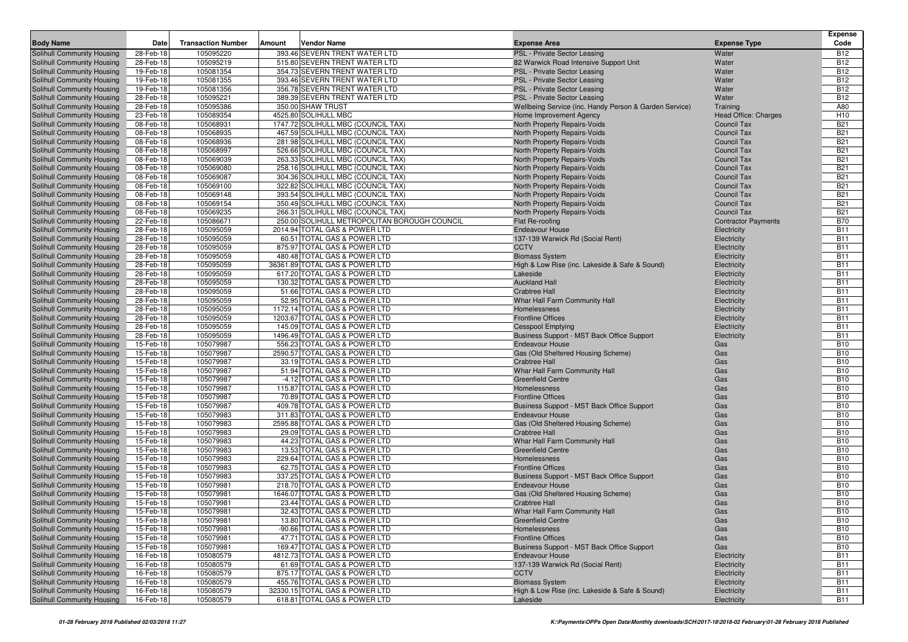| <b>Body Name</b>                                         | Date                   | <b>Transaction Number</b> | Amount | Vendor Name                                                   | <b>Expense Area</b>                                    | <b>Expense Type</b>        | <b>Expense</b><br>Code   |
|----------------------------------------------------------|------------------------|---------------------------|--------|---------------------------------------------------------------|--------------------------------------------------------|----------------------------|--------------------------|
| Solihull Community Housing                               | 28-Feb-18              | 105095220                 |        | 393.46 SEVERN TRENT WATER LTD                                 | PSL - Private Sector Leasing                           | Water                      | <b>B12</b>               |
| Solihull Community Housing                               | 28-Feb-18              | 105095219                 |        | 515.80 SEVERN TRENT WATER LTD                                 | 82 Warwick Road Intensive Support Unit                 | Water                      | <b>B12</b>               |
| Solihull Community Housing                               | 19-Feb-18              | 105081354                 |        | 354.73 SEVERN TRENT WATER LTD                                 | PSL - Private Sector Leasing                           | Water                      | <b>B12</b>               |
| Solihull Community Housing                               | 19-Feb-18              | 105081355                 |        | 393.46 SEVERN TRENT WATER LTD                                 | PSL - Private Sector Leasing                           | Water                      | <b>B12</b>               |
| Solihull Community Housing                               | 19-Feb-18              | 105081356                 |        | 356.78 SEVERN TRENT WATER LTD                                 | PSL - Private Sector Leasing                           | Water                      | <b>B12</b>               |
| Solihull Community Housing                               | 28-Feb-18              | 105095221                 |        | 389.39 SEVERN TRENT WATER LTD                                 | PSL - Private Sector Leasing                           | Water                      | <b>B12</b>               |
| Solihull Community Housing                               | 28-Feb-18              | 105095386                 |        | 350.00 SHAW TRUST                                             | Wellbeing Service (inc. Handy Person & Garden Service) | Training                   | A80                      |
| Solihull Community Housing                               | 23-Feb-18              | 105089354                 |        | 4525.80 SOLIHULL MBC                                          | Home Improvement Agency                                | Head Office: Charges       | H <sub>10</sub>          |
| Solihull Community Housing                               | 08-Feb-18              | 105068931                 |        | 1747.72 SOLIHULL MBC (COUNCIL TAX)                            | North Property Repairs-Voids                           | <b>Council Tax</b>         | <b>B21</b>               |
| Solihull Community Housing                               | 08-Feb-18              | 105068935                 |        | 467.59 SOLIHULL MBC (COUNCIL TAX)                             | North Property Repairs-Voids                           | <b>Council Tax</b>         | <b>B21</b>               |
| Solihull Community Housing                               | 08-Feb-18              | 105068936                 |        | 281.98 SOLIHULL MBC (COUNCIL TAX)                             | North Property Repairs-Voids                           | <b>Council Tax</b>         | <b>B21</b>               |
| Solihull Community Housing                               | 08-Feb-18              | 105068997                 |        | 526.66 SOLIHULL MBC (COUNCIL TAX)                             | North Property Repairs-Voids                           | <b>Council Tax</b>         | <b>B21</b>               |
| Solihull Community Housing                               | 08-Feb-18              | 105069039                 |        | 263.33 SOLIHULL MBC (COUNCIL TAX)                             | North Property Repairs-Voids                           | <b>Council Tax</b>         | <b>B21</b>               |
| Solihull Community Housing                               | 08-Feb-18              | 105069080                 |        | 258.16 SOLIHULL MBC (COUNCIL TAX)                             | North Property Repairs-Voids                           | <b>Council Tax</b>         | <b>B21</b>               |
| Solihull Community Housing                               | 08-Feb-18              | 105069087                 |        | 304.36 SOLIHULL MBC (COUNCIL TAX)                             | <b>North Property Repairs-Voids</b>                    | <b>Council Tax</b>         | <b>B21</b>               |
| Solihull Community Housing                               | 08-Feb-18              | 105069100                 |        | 322.82 SOLIHULL MBC (COUNCIL TAX)                             | North Property Repairs-Voids                           | <b>Council Tax</b>         | <b>B21</b>               |
| Solihull Community Housing                               | 08-Feb-18              | 105069148                 |        | 393.54 SOLIHULL MBC (COUNCIL TAX)                             | North Property Repairs-Voids                           | <b>Council Tax</b>         | <b>B21</b>               |
| Solihull Community Housing                               | 08-Feb-18              | 105069154                 |        | 350.49 SOLIHULL MBC (COUNCIL TAX)                             | North Property Repairs-Voids                           | <b>Council Tax</b>         | <b>B21</b>               |
| Solihull Community Housing                               | 08-Feb-18              | 105069235                 |        | 266.31 SOLIHULL MBC (COUNCIL TAX)                             | North Property Repairs-Voids                           | <b>Council Tax</b>         | <b>B21</b>               |
| Solihull Community Housing                               | 22-Feb-18              | 105086671                 |        | 250.00 SOLIHULL METROPOLITAN BOROUGH COUNCIL                  | Flat Re-roofing                                        | <b>Contractor Payments</b> | <b>B70</b>               |
| Solihull Community Housing                               | 28-Feb-18              | 105095059                 |        | 2014.94 TOTAL GAS & POWER LTD                                 | <b>Endeavour House</b>                                 | Electricity                | <b>B11</b>               |
| Solihull Community Housing                               | 28-Feb-18              | 105095059                 |        | 60.51 TOTAL GAS & POWER LTD                                   | 137-139 Warwick Rd (Social Rent)                       | Electricity                | <b>B11</b>               |
| Solihull Community Housing                               | 28-Feb-18              | 105095059                 |        | 875.97 TOTAL GAS & POWER LTD                                  | <b>CCTV</b>                                            | Electricity                | <b>B11</b>               |
| Solihull Community Housing                               | 28-Feb-18              | 105095059                 |        | 480.48 TOTAL GAS & POWER LTD                                  | <b>Biomass System</b>                                  | Electricity                | <b>B11</b>               |
| Solihull Community Housing                               | 28-Feb-18              | 105095059                 |        | 36361.89 TOTAL GAS & POWER LTD                                | High & Low Rise (inc. Lakeside & Safe & Sound)         | Electricity                | <b>B11</b>               |
| Solihull Community Housing                               | 28-Feb-18              | 105095059                 |        | 617.20 TOTAL GAS & POWER LTD                                  | Lakeside                                               | Electricity                | <b>B11</b>               |
| Solihull Community Housing                               | 28-Feb-18              | 105095059                 |        | 130.32 TOTAL GAS & POWER LTD                                  | <b>Auckland Hall</b>                                   | Electricity                | <b>B11</b>               |
| Solihull Community Housing                               | 28-Feb-18              | 105095059                 |        | 51.66 TOTAL GAS & POWER LTD                                   | <b>Crabtree Hall</b>                                   | Electricity                | <b>B11</b>               |
| Solihull Community Housing                               | 28-Feb-18              | 105095059                 |        | 52.95 TOTAL GAS & POWER LTD                                   | Whar Hall Farm Community Hall                          | Electricity                | <b>B11</b>               |
| Solihull Community Housing                               | 28-Feb-18              | 105095059                 |        | 1172.14 TOTAL GAS & POWER LTD                                 | Homelessness                                           | Electricity                | <b>B11</b>               |
| Solihull Community Housing                               | 28-Feb-18              | 105095059                 |        | 1203.67 TOTAL GAS & POWER LTD                                 | <b>Frontline Offices</b>                               | Electricity                | <b>B11</b>               |
| Solihull Community Housing                               | 28-Feb-18              | 105095059                 |        | 145.09 TOTAL GAS & POWER LTD                                  | Cesspool Emptying                                      | Electricity                | <b>B11</b>               |
| Solihull Community Housing                               | 28-Feb-18              | 105095059                 |        | 1496.49 TOTAL GAS & POWER LTD                                 | Business Support - MST Back Office Support             | Electricity                | <b>B11</b>               |
| Solihull Community Housing                               | 15-Feb-18              | 105079987                 |        | 556.23 TOTAL GAS & POWER LTD                                  | <b>Endeavour House</b>                                 | Gas                        | <b>B10</b>               |
| Solihull Community Housing                               | 15-Feb-18              | 105079987                 |        | 2590.57 TOTAL GAS & POWER LTD                                 | Gas (Old Sheltered Housing Scheme)                     | Gas                        | <b>B10</b>               |
| Solihull Community Housing                               | 15-Feb-18              | 105079987                 |        | 33.19 TOTAL GAS & POWER LTD                                   | <b>Crabtree Hall</b>                                   | Gas                        | <b>B10</b>               |
| Solihull Community Housing                               | 15-Feb-18              | 105079987                 |        | 51.94 TOTAL GAS & POWER LTD                                   | Whar Hall Farm Community Hall                          | Gas                        | <b>B10</b>               |
| Solihull Community Housing                               | 15-Feb-18              | 105079987                 |        | -4.12 TOTAL GAS & POWER LTD                                   | <b>Greenfield Centre</b>                               | Gas                        | <b>B10</b>               |
| Solihull Community Housing                               | 15-Feb-18              | 105079987                 |        | 115.87 TOTAL GAS & POWER LTD                                  | Homelessness                                           | Gas                        | <b>B10</b>               |
| Solihull Community Housing                               | 15-Feb-18              | 105079987                 |        | 70.89 TOTAL GAS & POWER LTD                                   | <b>Frontline Offices</b>                               | Gas                        | <b>B10</b>               |
| Solihull Community Housing                               | 15-Feb-18              | 105079987                 |        | 409.78 TOTAL GAS & POWER LTD                                  | Business Support - MST Back Office Support             | Gas                        | <b>B10</b>               |
| Solihull Community Housing                               | 15-Feb-18              | 105079983                 |        | 311.83 TOTAL GAS & POWER LTD                                  | <b>Endeavour House</b>                                 | Gas                        | <b>B10</b>               |
| Solihull Community Housing                               | 15-Feb-18              | 105079983                 |        | 2595.88 TOTAL GAS & POWER LTD                                 | Gas (Old Sheltered Housing Scheme)                     | Gas                        | <b>B10</b>               |
| Solihull Community Housing                               | 15-Feb-18              | 105079983                 |        | 29.09 TOTAL GAS & POWER LTD                                   | Crabtree Hall                                          | Gas                        | <b>B10</b>               |
| Solihull Community Housing                               | 15-Feb-18              | 105079983                 |        | 44.23 TOTAL GAS & POWER LTD                                   | Whar Hall Farm Community Hall                          | Gas                        | <b>B10</b>               |
| Solihull Community Housing                               | 15-Feb-18              | 105079983                 |        | 13.53 TOTAL GAS & POWER LTD                                   | <b>Greenfield Centre</b>                               | Gas                        | <b>B10</b>               |
| Solihull Community Housing                               | 15-Feb-18              | 105079983                 |        | 229.64 TOTAL GAS & POWER LTD                                  | Homelessness                                           | Gas                        | <b>B10</b>               |
| Solihull Community Housing                               | 15-Feb-18              | 105079983                 |        | 62.75 TOTAL GAS & POWER LTD                                   | <b>Frontline Offices</b>                               | Gas                        | <b>B10</b>               |
| Solihull Community Housing                               | 15-Feb-18              | 105079983                 |        | 337.25 TOTAL GAS & POWER LTD                                  | Business Support - MST Back Office Support             | Gas                        | <b>B10</b>               |
| Solihull Community Housing                               | 15-Feb-18              | 105079981                 |        | 218.70 TOTAL GAS & POWER LTD<br>1646.07 TOTAL GAS & POWER LTD | <b>Endeavour House</b>                                 | Gas<br>Gas                 | <b>B10</b><br><b>B10</b> |
| Solihull Community Housing<br>Solihull Community Housing | 15-Feb-18<br>15-Feb-18 | 105079981<br>105079981    |        | 23.44 TOTAL GAS & POWER LTD                                   | Gas (Old Sheltered Housing Scheme)                     |                            | <b>B10</b>               |
|                                                          |                        |                           |        |                                                               | <b>Crabtree Hall</b>                                   | Gas                        |                          |
| Solihull Community Housing<br>Solihull Community Housing | 15-Feb-18              | 105079981<br>105079981    |        | 32.43 TOTAL GAS & POWER LTD<br>13.80 TOTAL GAS & POWER LTD    | Whar Hall Farm Community Hall                          | Gas                        | <b>B10</b><br><b>B10</b> |
| Solihull Community Housing                               | 15-Feb-18              |                           |        |                                                               | Greenfield Centre                                      | Gas                        | <b>B10</b>               |
| Solihull Community Housing                               | 15-Feb-18<br>15-Feb-18 | 105079981<br>105079981    |        | -90.66 TOTAL GAS & POWER LTD<br>47.71 TOTAL GAS & POWER LTD   | Homelessness<br><b>Frontline Offices</b>               | Gas                        | <b>B10</b>               |
| Solihull Community Housing                               |                        | 105079981                 |        | 169.47 TOTAL GAS & POWER LTD                                  | Business Support - MST Back Office Support             | Gas                        | <b>B10</b>               |
| Solihull Community Housing                               | 15-Feb-18<br>16-Feb-18 | 105080579                 |        | 4812.73 TOTAL GAS & POWER LTD                                 | <b>Endeavour House</b>                                 | Gas                        | <b>B11</b>               |
| Solihull Community Housing                               | 16-Feb-18              | 105080579                 |        | 61.69 TOTAL GAS & POWER LTD                                   | 137-139 Warwick Rd (Social Rent)                       | Electricity<br>Electricity | <b>B11</b>               |
| Solihull Community Housing                               | 16-Feb-18              | 105080579                 |        | 875.17 TOTAL GAS & POWER LTD                                  | <b>CCTV</b>                                            | Electricity                | <b>B11</b>               |
| Solihull Community Housing                               | 16-Feb-18              | 105080579                 |        | 455.76 TOTAL GAS & POWER LTD                                  | <b>Biomass System</b>                                  | Electricity                | <b>B11</b>               |
| Solihull Community Housing                               | 16-Feb-18              | 105080579                 |        | 32330.15 TOTAL GAS & POWER LTD                                | High & Low Rise (inc. Lakeside & Safe & Sound)         | Electricity                | <b>B11</b>               |
| Solihull Community Housing                               | 16-Feb-18              | 105080579                 |        | 618.81 TOTAL GAS & POWER LTD                                  | Lakeside                                               | Electricity                | <b>B11</b>               |
|                                                          |                        |                           |        |                                                               |                                                        |                            |                          |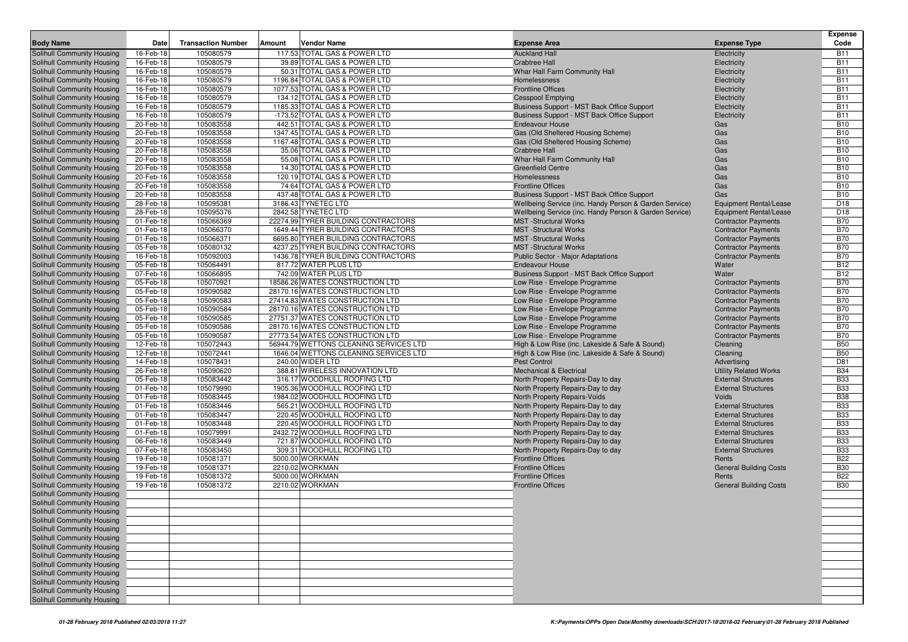|                                   |           |                           |        |                                        |                                                        |                               | <b>Expense</b> |
|-----------------------------------|-----------|---------------------------|--------|----------------------------------------|--------------------------------------------------------|-------------------------------|----------------|
| <b>Body Name</b>                  | Date      | <b>Transaction Number</b> | Amount | <b>Vendor Name</b>                     | <b>Expense Area</b>                                    | <b>Expense Type</b>           | Code           |
| Solihull Community Housing        | 16-Feb-18 | 105080579                 |        | 117.53 TOTAL GAS & POWER LTD           | <b>Auckland Hall</b>                                   | Electricity                   | <b>B11</b>     |
| Solihull Community Housing        | 16-Feb-18 | 105080579                 |        | 39.89 TOTAL GAS & POWER LTD            | <b>Crabtree Hall</b>                                   | Electricity                   | <b>B11</b>     |
| Solihull Community Housing        | 16-Feb-18 | 105080579                 |        | 50.31 TOTAL GAS & POWER LTD            | Whar Hall Farm Community Hall                          | Electricity                   | <b>B11</b>     |
| Solihull Community Housing        | 16-Feb-18 | 105080579                 |        | 1196.84 TOTAL GAS & POWER LTD          | Homelessness                                           | Electricity                   | <b>B11</b>     |
| Solihull Community Housing        | 16-Feb-18 | 105080579                 |        | 1077.53 TOTAL GAS & POWER LTD          | <b>Frontline Offices</b>                               | Electricity                   | <b>B11</b>     |
| Solihull Community Housing        | 16-Feb-18 | 105080579                 |        | 134.12 TOTAL GAS & POWER LTD           | <b>Cesspool Emptying</b>                               | Electricity                   | <b>B11</b>     |
| Solihull Community Housing        | 16-Feb-18 | 105080579                 |        | 1185.33 TOTAL GAS & POWER LTD          | Business Support - MST Back Office Support             | Electricity                   | <b>B11</b>     |
| <b>Solihull Community Housing</b> | 16-Feb-18 | 105080579                 |        | -173.52 TOTAL GAS & POWER LTD          | Business Support - MST Back Office Support             | Electricity                   | <b>B11</b>     |
| Solihull Community Housing        | 20-Feb-18 | 105083558                 |        | 442.51 TOTAL GAS & POWER LTD           | <b>Endeavour House</b>                                 | Gas                           | <b>B10</b>     |
| Solihull Community Housing        | 20-Feb-18 | 105083558                 |        | 1347.45 TOTAL GAS & POWER LTD          | Gas (Old Sheltered Housing Scheme)                     | Gas                           | <b>B10</b>     |
| Solihull Community Housing        | 20-Feb-18 | 105083558                 |        | 1167.48 TOTAL GAS & POWER LTD          | Gas (Old Sheltered Housing Scheme)                     | Gas                           | <b>B10</b>     |
| Solihull Community Housing        | 20-Feb-18 | 105083558                 |        | 35.06 TOTAL GAS & POWER LTD            | <b>Crabtree Hall</b>                                   | Gas                           | <b>B10</b>     |
| Solihull Community Housing        | 20-Feb-18 | 105083558                 |        | 55.08 TOTAL GAS & POWER LTD            | Whar Hall Farm Community Hall                          | Gas                           | <b>B10</b>     |
| Solihull Community Housing        | 20-Feb-18 | 105083558                 |        | 14.30 TOTAL GAS & POWER LTD            | <b>Greenfield Centre</b>                               | Gas                           | <b>B10</b>     |
| Solihull Community Housing        | 20-Feb-18 | 105083558                 |        | 120.19 TOTAL GAS & POWER LTD           | Homelessness                                           | Gas                           | <b>B10</b>     |
| Solihull Community Housing        | 20-Feb-18 | 105083558                 |        | 74.64 TOTAL GAS & POWER LTD            | <b>Frontline Offices</b>                               | Gas                           | <b>B10</b>     |
| Solihull Community Housing        | 20-Feb-18 | 105083558                 |        | 437.48 TOTAL GAS & POWER LTD           | Business Support - MST Back Office Support             | Gas                           | <b>B10</b>     |
| <b>Solihull Community Housing</b> | 28-Feb-18 | 105095381                 |        | 3186.43 TYNETEC LTD                    | Wellbeing Service (inc. Handy Person & Garden Service) | <b>Equipment Rental/Lease</b> | D18            |
| <b>Solihull Community Housing</b> | 28-Feb-18 | 105095376                 |        | 2842.58 TYNETEC LTD                    | Wellbeing Service (inc. Handy Person & Garden Service) | <b>Equipment Rental/Lease</b> | D18            |
| Solihull Community Housing        | 01-Feb-18 | 105066369                 |        | 22274.99 TYRER BUILDING CONTRACTORS    | <b>MST</b> -Structural Works                           | <b>Contractor Payments</b>    | <b>B70</b>     |
| Solihull Community Housing        | 01-Feb-18 | 105066370                 |        | 1649.44 TYRER BUILDING CONTRACTORS     | <b>MST</b> -Structural Works                           | <b>Contractor Payments</b>    | <b>B70</b>     |
| Solihull Community Housing        | 01-Feb-18 | 105066371                 |        | 6695.80 TYRER BUILDING CONTRACTORS     | <b>MST</b> -Structural Works                           | <b>Contractor Payments</b>    | <b>B70</b>     |
| Solihull Community Housing        | 05-Feb-18 | 105080132                 |        | 4237.25 TYRER BUILDING CONTRACTORS     | <b>MST</b> -Structural Works                           | <b>Contractor Payments</b>    | <b>B70</b>     |
| Solihull Community Housing        | 16-Feb-18 | 105092003                 |        | 1436.78 TYRER BUILDING CONTRACTORS     | <b>Public Sector - Major Adaptations</b>               | <b>Contractor Payments</b>    | <b>B70</b>     |
| Solihull Community Housing        | 05-Feb-18 | 105064491                 |        | 817.72 WATER PLUS LTD                  | <b>Endeavour House</b>                                 | Water                         | <b>B12</b>     |
| Solihull Community Housing        | 07-Feb-18 | 105066895                 |        | 742.09 WATER PLUS LTD                  | Business Support - MST Back Office Support             | Water                         | <b>B12</b>     |
| Solihull Community Housing        | 05-Feb-18 | 105070921                 |        | 18586.26 WATES CONSTRUCTION LTD        | Low Rise - Envelope Programme                          | <b>Contractor Payments</b>    | <b>B70</b>     |
| Solihull Community Housing        | 05-Feb-18 | 105090582                 |        | 28170.16 WATES CONSTRUCTION LTD        | Low Rise - Envelope Programme                          | <b>Contractor Payments</b>    | <b>B70</b>     |
| Solihull Community Housing        | 05-Feb-18 | 105090583                 |        | 27414.83 WATES CONSTRUCTION LTD        | Low Rise - Envelope Programme                          | <b>Contractor Payments</b>    | <b>B70</b>     |
| <b>Solihull Community Housing</b> | 05-Feb-18 | 105090584                 |        | 28170.16 WATES CONSTRUCTION LTD        | Low Rise - Envelope Programme                          | <b>Contractor Payments</b>    | <b>B70</b>     |
| Solihull Community Housing        | 05-Feb-18 | 105090585                 |        | 27751.37 WATES CONSTRUCTION LTD        | Low Rise - Envelope Programme                          | <b>Contractor Payments</b>    | <b>B70</b>     |
| Solihull Community Housing        | 05-Feb-18 | 105090586                 |        | 28170.16 WATES CONSTRUCTION LTD        | Low Rise - Envelope Programme                          | <b>Contractor Payments</b>    | <b>B70</b>     |
| Solihull Community Housing        | 05-Feb-18 | 105090587                 |        | 27773.54 WATES CONSTRUCTION LTD        | Low Rise - Envelope Programme                          | <b>Contractor Payments</b>    | <b>B70</b>     |
| Solihull Community Housing        | 12-Feb-18 | 105072443                 |        | 56944.79 WETTONS CLEANING SERVICES LTD | High & Low Rise (inc. Lakeside & Safe & Sound)         | Cleaning                      | <b>B50</b>     |
| Solihull Community Housing        | 12-Feb-18 | 105072441                 |        | 1646.04 WETTONS CLEANING SERVICES LTD  | High & Low Rise (inc. Lakeside & Safe & Sound)         | Cleaning                      | <b>B50</b>     |
| Solihull Community Housing        | 14-Feb-18 | 105078431                 |        | 240.00 WIDER LTD                       | <b>Pest Control</b>                                    | Advertising                   | D81            |
| Solihull Community Housing        | 26-Feb-18 | 105090620                 |        | 388.81 WIRELESS INNOVATION LTD         | <b>Mechanical &amp; Electrical</b>                     | <b>Utility Related Works</b>  | <b>B34</b>     |
| Solihull Community Housing        | 05-Feb-18 | 105083442                 |        | 316.17 WOODHULL ROOFING LTD            | North Property Repairs-Day to day                      | <b>External Structures</b>    | <b>B33</b>     |
| Solihull Community Housing        | 01-Feb-18 | 105079990                 |        | 1905.36 WOODHULL ROOFING LTD           | North Property Repairs-Day to day                      | <b>External Structures</b>    | <b>B33</b>     |
| Solihull Community Housing        | 01-Feb-18 | 105083445                 |        | 1984.02 WOODHULL ROOFING LTD           | North Property Repairs-Voids                           | Voids                         | <b>B38</b>     |
| Solihull Community Housing        | 01-Feb-18 | 105083446                 |        | 565.21 WOODHULL ROOFING LTD            | North Property Repairs-Day to day                      | <b>External Structures</b>    | <b>B33</b>     |
| Solihull Community Housing        | 01-Feb-18 | 105083447                 |        | 220.45 WOODHULL ROOFING LTD            | North Property Repairs-Day to day                      | <b>External Structures</b>    | <b>B33</b>     |
| Solihull Community Housing        | 01-Feb-18 | 105083448                 |        | 220.45 WOODHULL ROOFING LTD            | North Property Repairs-Day to day                      | <b>External Structures</b>    | <b>B33</b>     |
| Solihull Community Housing        | 01-Feb-18 | 105079991                 |        | 2432.72 WOODHULL ROOFING LTD           | North Property Repairs-Day to day                      | <b>External Structures</b>    | <b>B33</b>     |
| Solihull Community Housing        | 06-Feb-18 | 105083449                 |        | 721.87 WOODHULL ROOFING LTD            | North Property Repairs-Day to day                      | <b>External Structures</b>    | <b>B33</b>     |
| Solihull Community Housing        | 07-Feb-18 | 105083450                 |        | 309.31 WOODHULL ROOFING LTD            | North Property Repairs-Day to day                      | <b>External Structures</b>    | <b>B33</b>     |
| Solihull Community Housing        | 19-Feb-18 | 105081371                 |        | 5000.00 WORKMAN                        | <b>Frontline Offices</b>                               | Rents                         | <b>B22</b>     |
| Solihull Community Housing        | 19-Feb-18 | 105081371                 |        | 2210.02 WORKMAN                        | <b>Frontline Offices</b>                               | <b>General Building Costs</b> | <b>B30</b>     |
| Solihull Community Housing        | 19-Feb-18 | 105081372                 |        | 5000.00 WORKMAN                        | <b>Frontline Offices</b>                               | Rents                         | <b>B22</b>     |
| Solihull Community Housing        | 19-Feb-18 | 105081372                 |        | 2210.02 WORKMAN                        | <b>Frontline Offices</b>                               | <b>General Building Costs</b> | <b>B30</b>     |
| Solihull Community Housing        |           |                           |        |                                        |                                                        |                               |                |
| Solihull Community Housing        |           |                           |        |                                        |                                                        |                               |                |
| Solihull Community Housing        |           |                           |        |                                        |                                                        |                               |                |
| Solihull Community Housing        |           |                           |        |                                        |                                                        |                               |                |
| Solihull Community Housing        |           |                           |        |                                        |                                                        |                               |                |
| Solihull Community Housing        |           |                           |        |                                        |                                                        |                               |                |
| Solihull Community Housing        |           |                           |        |                                        |                                                        |                               |                |
| Solihull Community Housing        |           |                           |        |                                        |                                                        |                               |                |
| Solihull Community Housing        |           |                           |        |                                        |                                                        |                               |                |
| Solihull Community Housing        |           |                           |        |                                        |                                                        |                               |                |
| Solihull Community Housing        |           |                           |        |                                        |                                                        |                               |                |
| Solihull Community Housing        |           |                           |        |                                        |                                                        |                               |                |
| Solihull Community Housing        |           |                           |        |                                        |                                                        |                               |                |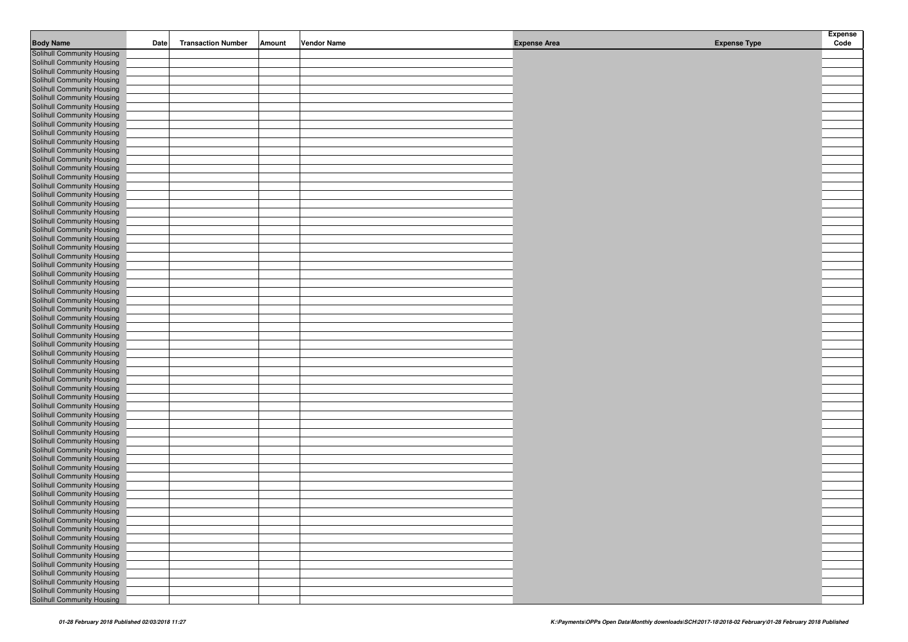| <b>Body Name</b>                                         | Date | <b>Transaction Number</b> | Amount | <b>Vendor Name</b> | <b>Expense Area</b> | <b>Expense Type</b> | <b>Expense</b><br>Code |
|----------------------------------------------------------|------|---------------------------|--------|--------------------|---------------------|---------------------|------------------------|
| <b>Solihull Community Housing</b>                        |      |                           |        |                    |                     |                     |                        |
| Solihull Community Housing                               |      |                           |        |                    |                     |                     |                        |
| Solihull Community Housing                               |      |                           |        |                    |                     |                     |                        |
| Solihull Community Housing                               |      |                           |        |                    |                     |                     |                        |
| Solihull Community Housing                               |      |                           |        |                    |                     |                     |                        |
| Solihull Community Housing                               |      |                           |        |                    |                     |                     |                        |
| Solihull Community Housing                               |      |                           |        |                    |                     |                     |                        |
| Solihull Community Housing                               |      |                           |        |                    |                     |                     |                        |
| Solihull Community Housing                               |      |                           |        |                    |                     |                     |                        |
| Solihull Community Housing                               |      |                           |        |                    |                     |                     |                        |
| Solihull Community Housing                               |      |                           |        |                    |                     |                     |                        |
| Solihull Community Housing                               |      |                           |        |                    |                     |                     |                        |
| Solihull Community Housing                               |      |                           |        |                    |                     |                     |                        |
| Solihull Community Housing                               |      |                           |        |                    |                     |                     |                        |
| Solihull Community Housing                               |      |                           |        |                    |                     |                     |                        |
| Solihull Community Housing                               |      |                           |        |                    |                     |                     |                        |
| Solihull Community Housing                               |      |                           |        |                    |                     |                     |                        |
| Solihull Community Housing                               |      |                           |        |                    |                     |                     |                        |
| Solihull Community Housing                               |      |                           |        |                    |                     |                     |                        |
| Solihull Community Housing                               |      |                           |        |                    |                     |                     |                        |
| Solihull Community Housing                               |      |                           |        |                    |                     |                     |                        |
| Solihull Community Housing                               |      |                           |        |                    |                     |                     |                        |
| Solihull Community Housing                               |      |                           |        |                    |                     |                     |                        |
| Solihull Community Housing                               |      |                           |        |                    |                     |                     |                        |
| Solihull Community Housing                               |      |                           |        |                    |                     |                     |                        |
| Solihull Community Housing                               |      |                           |        |                    |                     |                     |                        |
| Solihull Community Housing                               |      |                           |        |                    |                     |                     |                        |
| Solihull Community Housing                               |      |                           |        |                    |                     |                     |                        |
| Solihull Community Housing                               |      |                           |        |                    |                     |                     |                        |
| Solihull Community Housing                               |      |                           |        |                    |                     |                     |                        |
| Solihull Community Housing                               |      |                           |        |                    |                     |                     |                        |
| Solihull Community Housing<br>Solihull Community Housing |      |                           |        |                    |                     |                     |                        |
| Solihull Community Housing                               |      |                           |        |                    |                     |                     |                        |
| Solihull Community Housing                               |      |                           |        |                    |                     |                     |                        |
| Solihull Community Housing                               |      |                           |        |                    |                     |                     |                        |
| Solihull Community Housing                               |      |                           |        |                    |                     |                     |                        |
| Solihull Community Housing                               |      |                           |        |                    |                     |                     |                        |
| Solihull Community Housing                               |      |                           |        |                    |                     |                     |                        |
| Solihull Community Housing                               |      |                           |        |                    |                     |                     |                        |
| Solihull Community Housing                               |      |                           |        |                    |                     |                     |                        |
| Solihull Community Housing                               |      |                           |        |                    |                     |                     |                        |
| Solihull Community Housing                               |      |                           |        |                    |                     |                     |                        |
| Solihull Community Housing                               |      |                           |        |                    |                     |                     |                        |
| Solihull Community Housing                               |      |                           |        |                    |                     |                     |                        |
| Solihull Community Housing                               |      |                           |        |                    |                     |                     |                        |
| Solihull Community Housing                               |      |                           |        |                    |                     |                     |                        |
| Solihull Community Housing                               |      |                           |        |                    |                     |                     |                        |
| Solihull Community Housing                               |      |                           |        |                    |                     |                     |                        |
| Solihull Community Housing                               |      |                           |        |                    |                     |                     |                        |
| Solihull Community Housing                               |      |                           |        |                    |                     |                     |                        |
| Solihull Community Housing                               |      |                           |        |                    |                     |                     |                        |
| Solihull Community Housing                               |      |                           |        |                    |                     |                     |                        |
| Solihull Community Housing                               |      |                           |        |                    |                     |                     |                        |
| Solihull Community Housing                               |      |                           |        |                    |                     |                     |                        |
| Solihull Community Housing<br>Solihull Community Housing |      |                           |        |                    |                     |                     |                        |
| Solihull Community Housing                               |      |                           |        |                    |                     |                     |                        |
| Solihull Community Housing                               |      |                           |        |                    |                     |                     |                        |
| Solihull Community Housing                               |      |                           |        |                    |                     |                     |                        |
| Solihull Community Housing                               |      |                           |        |                    |                     |                     |                        |
| Solihull Community Housing                               |      |                           |        |                    |                     |                     |                        |
| Solihull Community Housing                               |      |                           |        |                    |                     |                     |                        |